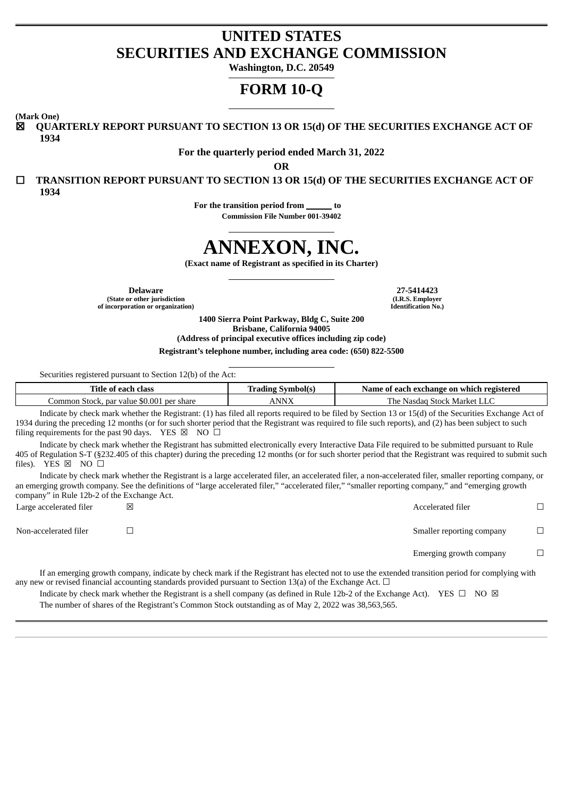# **UNITED STATES SECURITIES AND EXCHANGE COMMISSION**

**Washington, D.C. 20549**

# **FORM 10-Q**

**(Mark One)**

☒ **QUARTERLY REPORT PURSUANT TO SECTION 13 OR 15(d) OF THE SECURITIES EXCHANGE ACT OF 1934**

**For the quarterly period ended March 31, 2022**

**OR**

☐ **TRANSITION REPORT PURSUANT TO SECTION 13 OR 15(d) OF THE SECURITIES EXCHANGE ACT OF 1934**

> **For the transition period from to Commission File Number 001-39402**

# **ANNEXON, INC.**

**(Exact name of Registrant as specified in its Charter)**

**(State or other jurisdiction of incorporation or organization)**

**Delaware 27-5414423 (I.R.S. Employer Identification No.)**

> **1400 Sierra Point Parkway, Bldg C, Suite 200 Brisbane, California 94005**

**(Address of principal executive offices including zip code)**

**Registrant's telephone number, including area code: (650) 822-5500**

Securities registered pursuant to Section 12(b) of the Act:

| --<br>Title<br>class<br>each<br>∶ot                                         | --<br>.<br>. adınc | registered<br>-each<br>ı exchange on<br>, which<br>Name of |
|-----------------------------------------------------------------------------|--------------------|------------------------------------------------------------|
| \$0.00<br>share<br>. par value<br>ommon<br><b>Der</b><br>stoch.<br>$\cdots$ | <b>A NINIV</b>     | m<br>1 ne<br>Market<br>Nasdad<br>Stock.<br>LILIN.          |

Indicate by check mark whether the Registrant: (1) has filed all reports required to be filed by Section 13 or 15(d) of the Securities Exchange Act of 1934 during the preceding 12 months (or for such shorter period that the Registrant was required to file such reports), and (2) has been subject to such filing requirements for the past 90 days. YES  $\boxtimes$  NO  $\Box$ 

Indicate by check mark whether the Registrant has submitted electronically every Interactive Data File required to be submitted pursuant to Rule 405 of Regulation S-T (§232.405 of this chapter) during the preceding 12 months (or for such shorter period that the Registrant was required to submit such files). YES  $\boxtimes$  NO  $\square$ 

Indicate by check mark whether the Registrant is a large accelerated filer, an accelerated filer, a non-accelerated filer, smaller reporting company, or an emerging growth company. See the definitions of "large accelerated filer," "accelerated filer," "smaller reporting company," and "emerging growth company" in Rule 12b-2 of the Exchange Act.

| Large accelerated filer | 図                                                                                                              | Accelerated filer         |  |
|-------------------------|----------------------------------------------------------------------------------------------------------------|---------------------------|--|
| Non-accelerated filer   |                                                                                                                | Smaller reporting company |  |
|                         |                                                                                                                | Emerging growth company   |  |
|                         | re est de tradition de la décoration de la décoration de la décoration de la décoration de la décoration de la |                           |  |

If an emerging growth company, indicate by check mark if the Registrant has elected not to use the extended transition period for complying with any new or revised financial accounting standards provided pursuant to Section 13(a) of the Exchange Act.  $\Box$ 

Indicate by check mark whether the Registrant is a shell company (as defined in Rule 12b-2 of the Exchange Act). YES  $\Box$  NO  $\boxtimes$ The number of shares of the Registrant's Common Stock outstanding as of May 2, 2022 was 38,563,565.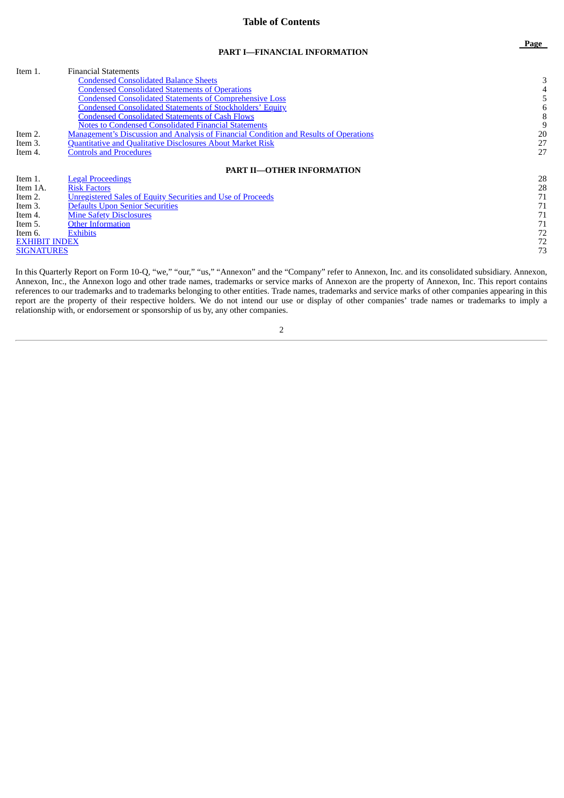# **Table of Contents**

# **PART I—FINANCIAL INFORMATION**

| Item 1.              | <b>Financial Statements</b>                                                                  |    |
|----------------------|----------------------------------------------------------------------------------------------|----|
|                      | <b>Condensed Consolidated Balance Sheets</b>                                                 |    |
|                      | <b>Condensed Consolidated Statements of Operations</b>                                       |    |
|                      | <b>Condensed Consolidated Statements of Comprehensive Loss</b>                               |    |
|                      | <b>Condensed Consolidated Statements of Stockholders' Equity</b>                             | b  |
|                      | <b>Condensed Consolidated Statements of Cash Flows</b>                                       | 8  |
|                      | <b>Notes to Condensed Consolidated Financial Statements</b>                                  | 9  |
| Item 2.              | <b>Management's Discussion and Analysis of Financial Condition and Results of Operations</b> | 20 |
| Item 3.              | <b>Quantitative and Qualitative Disclosures About Market Risk</b>                            | 27 |
| Item 4.              | <b>Controls and Procedures</b>                                                               | 27 |
|                      | <b>PART II-OTHER INFORMATION</b>                                                             |    |
| Item 1.              | <b>Legal Proceedings</b>                                                                     | 28 |
| Item 1A.             | <b>Risk Factors</b>                                                                          | 28 |
| Item 2.              | <b>Unregistered Sales of Equity Securities and Use of Proceeds</b>                           | 71 |
| Item 3.              | <b>Defaults Upon Senior Securities</b>                                                       | 71 |
| Item 4.              | <b>Mine Safety Disclosures</b>                                                               | 71 |
| Item 5.              | <b>Other Information</b>                                                                     | 71 |
| Item 6.              | <b>Exhibits</b>                                                                              | 72 |
| <b>EXHIBIT INDEX</b> |                                                                                              | 72 |
| <b>SIGNATURES</b>    |                                                                                              | 73 |

In this Quarterly Report on Form 10-Q, "we," "our," "us," "Annexon" and the "Company" refer to Annexon, Inc. and its consolidated subsidiary. Annexon, Annexon, Inc., the Annexon logo and other trade names, trademarks or service marks of Annexon are the property of Annexon, Inc. This report contains references to our trademarks and to trademarks belonging to other entities. Trade names, trademarks and service marks of other companies appearing in this report are the property of their respective holders. We do not intend our use or display of other companies' trade names or trademarks to imply a relationship with, or endorsement or sponsorship of us by, any other companies.

2

**Page**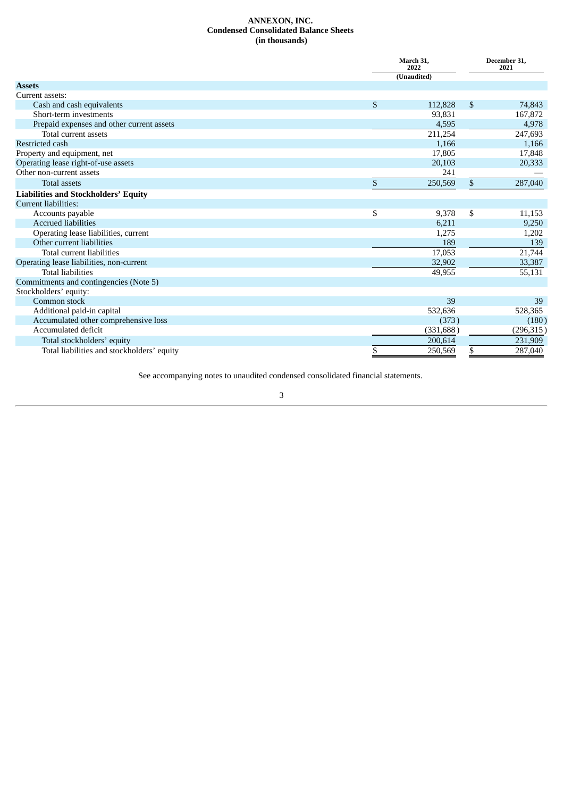# **ANNEXON, INC. Condensed Consolidated Balance Sheets (in thousands)**

<span id="page-2-0"></span>

|                                             | March 31,<br>2022 |    |            |
|---------------------------------------------|-------------------|----|------------|
|                                             | (Unaudited)       |    |            |
| <b>Assets</b>                               |                   |    |            |
| Current assets:                             |                   |    |            |
| Cash and cash equivalents                   | \$<br>112,828     | \$ | 74,843     |
| Short-term investments                      | 93,831            |    | 167,872    |
| Prepaid expenses and other current assets   | 4,595             |    | 4,978      |
| Total current assets                        | 211,254           |    | 247,693    |
| <b>Restricted cash</b>                      | 1.166             |    | 1,166      |
| Property and equipment, net                 | 17,805            |    | 17,848     |
| Operating lease right-of-use assets         | 20,103            |    | 20,333     |
| Other non-current assets                    | 241               |    |            |
| <b>Total assets</b>                         | \$<br>250,569     | \$ | 287,040    |
| <b>Liabilities and Stockholders' Equity</b> |                   |    |            |
| Current liabilities:                        |                   |    |            |
| Accounts payable                            | \$<br>9,378       | \$ | 11,153     |
| <b>Accrued liabilities</b>                  | 6.211             |    | 9,250      |
| Operating lease liabilities, current        | 1,275             |    | 1,202      |
| Other current liabilities                   | 189               |    | 139        |
| Total current liabilities                   | 17,053            |    | 21,744     |
| Operating lease liabilities, non-current    | 32,902            |    | 33,387     |
| <b>Total liabilities</b>                    | 49,955            |    | 55,131     |
| Commitments and contingencies (Note 5)      |                   |    |            |
| Stockholders' equity:                       |                   |    |            |
| Common stock                                | 39                |    | 39         |
| Additional paid-in capital                  | 532,636           |    | 528,365    |
| Accumulated other comprehensive loss        | (373)             |    | (180)      |
| Accumulated deficit                         | (331, 688)        |    | (296, 315) |
| Total stockholders' equity                  | 200,614           |    | 231,909    |
| Total liabilities and stockholders' equity  | \$<br>250,569     | \$ | 287,040    |

See accompanying notes to unaudited condensed consolidated financial statements.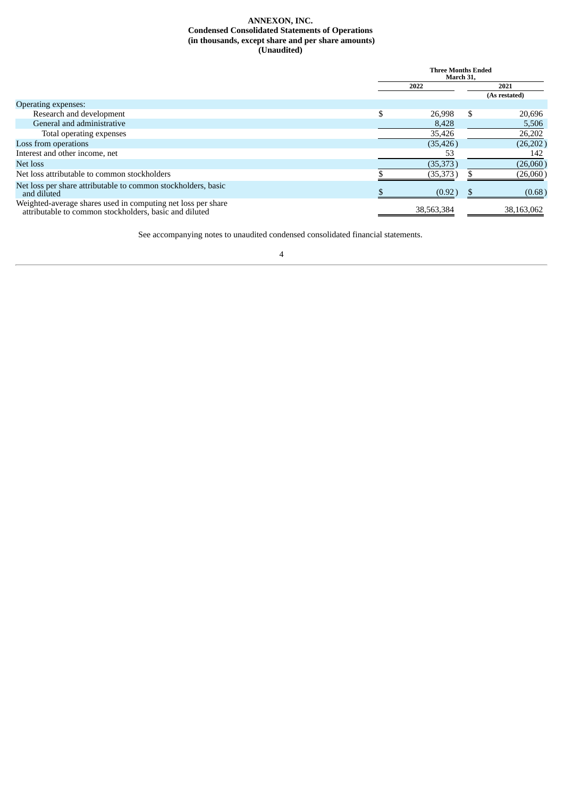# **ANNEXON, INC. Condensed Consolidated Statements of Operations (in thousands, except share and per share amounts) (Unaudited)**

<span id="page-3-0"></span>

|                                                                                                                        | <b>Three Months Ended</b><br>March 31. |     |               |
|------------------------------------------------------------------------------------------------------------------------|----------------------------------------|-----|---------------|
|                                                                                                                        | 2022                                   |     | 2021          |
|                                                                                                                        |                                        |     | (As restated) |
| Operating expenses:                                                                                                    |                                        |     |               |
| Research and development                                                                                               | 26,998                                 | \$. | 20,696        |
| General and administrative                                                                                             | 8,428                                  |     | 5,506         |
| Total operating expenses                                                                                               | 35,426                                 |     | 26,202        |
| Loss from operations                                                                                                   | (35, 426)                              |     | (26, 202)     |
| Interest and other income, net                                                                                         | 53                                     |     | 142           |
| Net loss                                                                                                               | (35,373)                               |     | (26,060)      |
| Net loss attributable to common stockholders                                                                           | (35, 373)                              |     | (26,060)      |
| Net loss per share attributable to common stockholders, basic<br>and diluted                                           | (0.92)                                 |     | (0.68)        |
| Weighted-average shares used in computing net loss per share<br>attributable to common stockholders, basic and diluted | 38,563,384                             |     | 38,163,062    |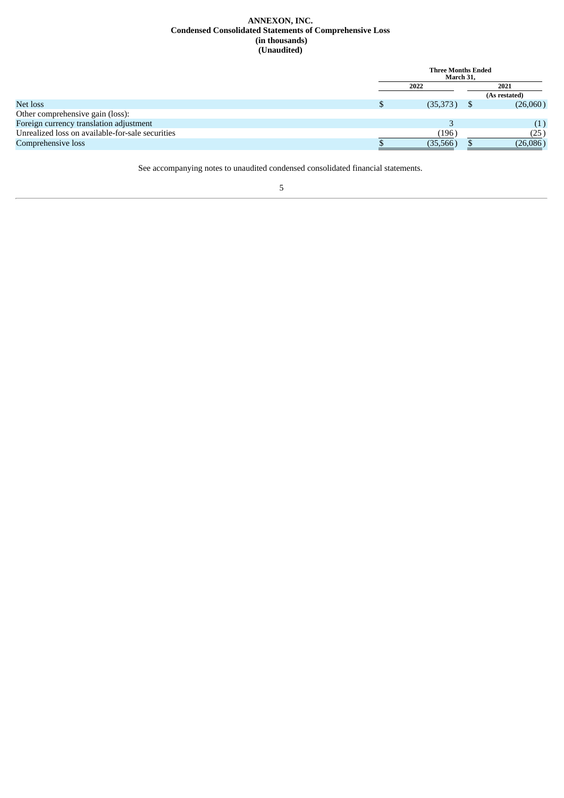# **ANNEXON, INC. Condensed Consolidated Statements of Comprehensive Loss (in thousands) (Unaudited)**

<span id="page-4-0"></span>

|                                                  | <b>Three Months Ended</b><br>March 31, |               |
|--------------------------------------------------|----------------------------------------|---------------|
|                                                  | 2022                                   | 2021          |
|                                                  |                                        | (As restated) |
| Net loss                                         | (35,373)                               | (26,060)      |
| Other comprehensive gain (loss):                 |                                        |               |
| Foreign currency translation adjustment          |                                        | (1)           |
| Unrealized loss on available-for-sale securities | (196                                   | (25)          |
| Comprehensive loss                               | (35,566)                               | (26,086)      |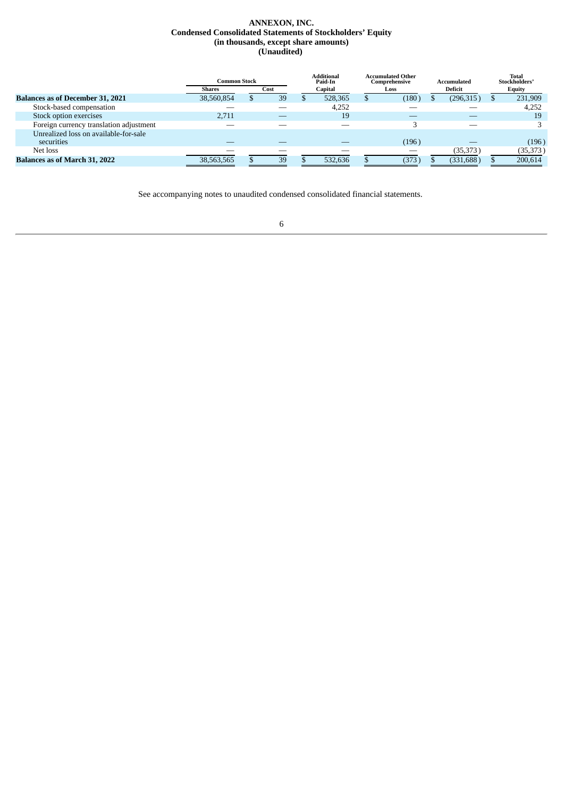# **ANNEXON, INC. Condensed Consolidated Statements of Stockholders' Equity (in thousands, except share amounts) (Unaudited)**

<span id="page-5-0"></span>

|                                                     | <b>Common Stock</b><br><b>Shares</b> | Cost |    | <b>Additional</b><br>Paid-In<br>Capital |         |       |  |            |           |  |  |  |  |  |  |  |  | <b>Accumulated Other</b><br>Comprehensive<br>Loss |  | Accumulated<br>Deficit | <b>Total</b><br>Stockholders'<br><b>Equity</b> |
|-----------------------------------------------------|--------------------------------------|------|----|-----------------------------------------|---------|-------|--|------------|-----------|--|--|--|--|--|--|--|--|---------------------------------------------------|--|------------------------|------------------------------------------------|
| <b>Balances as of December 31, 2021</b>             | 38,560,854                           |      | 39 |                                         | 528,365 | (180) |  | (296, 315) | 231,909   |  |  |  |  |  |  |  |  |                                                   |  |                        |                                                |
| Stock-based compensation                            |                                      |      |    |                                         | 4,252   |       |  |            | 4,252     |  |  |  |  |  |  |  |  |                                                   |  |                        |                                                |
| Stock option exercises                              | 2,711                                |      |    |                                         | 19      |       |  |            | 19        |  |  |  |  |  |  |  |  |                                                   |  |                        |                                                |
| Foreign currency translation adjustment             |                                      |      |    |                                         | __      |       |  |            |           |  |  |  |  |  |  |  |  |                                                   |  |                        |                                                |
| Unrealized loss on available-for-sale<br>securities |                                      |      |    |                                         |         | (196) |  |            | (196)     |  |  |  |  |  |  |  |  |                                                   |  |                        |                                                |
| Net loss                                            |                                      |      |    |                                         |         |       |  | (35,373)   | (35, 373) |  |  |  |  |  |  |  |  |                                                   |  |                        |                                                |
| <b>Balances as of March 31, 2022</b>                | 38,563,565                           |      | 39 |                                         | 532,636 | (373) |  | (331, 688) | 200,614   |  |  |  |  |  |  |  |  |                                                   |  |                        |                                                |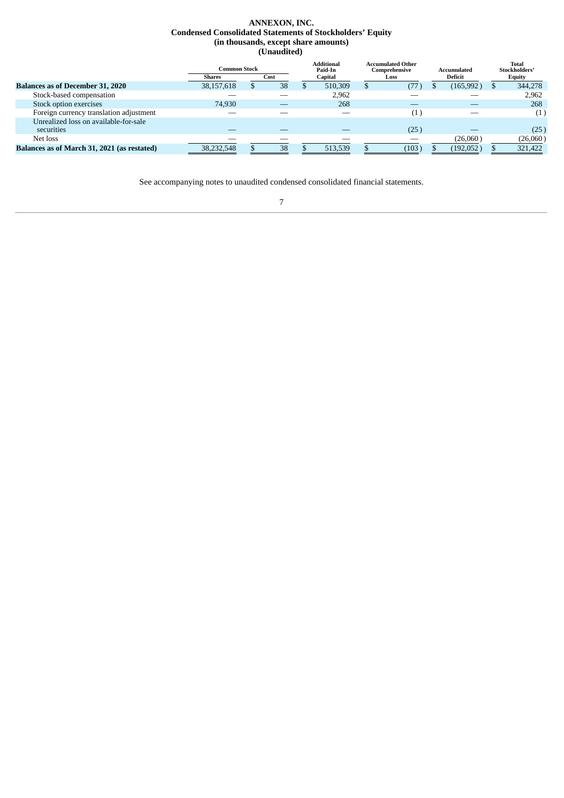# **ANNEXON, INC. Condensed Consolidated Statements of Stockholders' Equity (in thousands, except share amounts) (Unaudited)**

|                                                     | <b>Common Stock</b><br>Cost<br>Shares |  |    | <b>Additional</b><br>Paid-In<br>Capital |         | <b>Accumulated Other</b><br>Comprehensive<br>Loss | Accumulated<br><b>Deficit</b> | <b>Total</b><br>Stockholders'<br><b>Equity</b> |          |
|-----------------------------------------------------|---------------------------------------|--|----|-----------------------------------------|---------|---------------------------------------------------|-------------------------------|------------------------------------------------|----------|
| <b>Balances as of December 31, 2020</b>             | 38,157,618                            |  | 38 | 510,309                                 |         | (77)                                              |                               | (165, 992)                                     | 344,278  |
| Stock-based compensation                            |                                       |  |    |                                         | 2,962   |                                                   |                               |                                                | 2,962    |
| Stock option exercises                              | 74.930                                |  |    |                                         | 268     |                                                   |                               |                                                | 268      |
| Foreign currency translation adjustment             |                                       |  |    |                                         |         |                                                   | (1)                           |                                                | (1)      |
| Unrealized loss on available-for-sale<br>securities |                                       |  |    |                                         |         |                                                   | (25)                          |                                                | (25)     |
| Net loss                                            |                                       |  |    |                                         |         |                                                   |                               | (26,060)                                       | (26,060) |
| Balances as of March 31, 2021 (as restated)         | 38,232,548                            |  | 38 |                                         | 513,539 |                                                   | (103)                         | (192,052)                                      | 321,422  |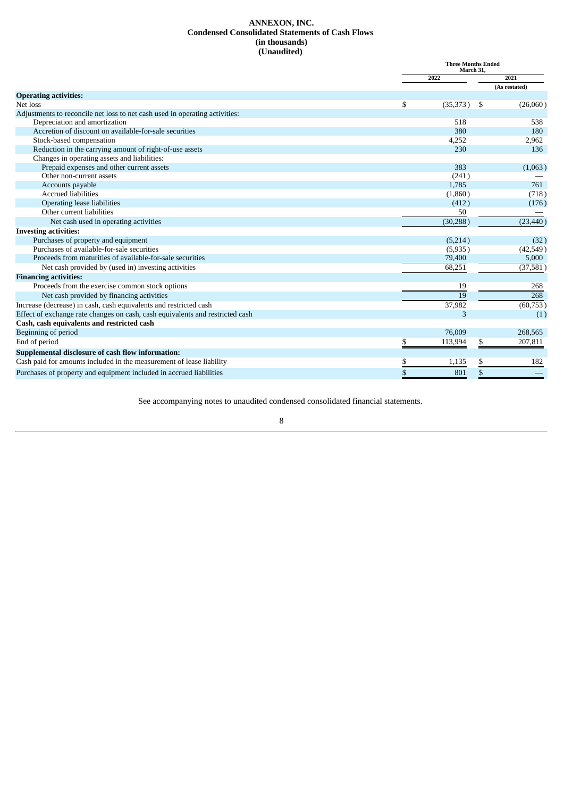# **ANNEXON, INC. Condensed Consolidated Statements of Cash Flows (in thousands) (Unaudited)**

<span id="page-7-0"></span>

|                                                                               | <b>Three Months Ended</b><br>March 31, |    |               |
|-------------------------------------------------------------------------------|----------------------------------------|----|---------------|
|                                                                               | 2022                                   |    | 2021          |
|                                                                               |                                        |    | (As restated) |
| <b>Operating activities:</b>                                                  |                                        |    |               |
| Net loss                                                                      | \$<br>(35, 373)                        | -S | (26,060)      |
| Adjustments to reconcile net loss to net cash used in operating activities:   |                                        |    |               |
| Depreciation and amortization                                                 | 518                                    |    | 538           |
| Accretion of discount on available-for-sale securities                        | 380                                    |    | 180           |
| Stock-based compensation                                                      | 4,252                                  |    | 2,962         |
| Reduction in the carrying amount of right-of-use assets                       | 230                                    |    | 136           |
| Changes in operating assets and liabilities:                                  |                                        |    |               |
| Prepaid expenses and other current assets                                     | 383                                    |    | (1,063)       |
| Other non-current assets                                                      | (241)                                  |    |               |
| Accounts payable                                                              | 1,785                                  |    | 761           |
| <b>Accrued liabilities</b>                                                    | (1,860)                                |    | (718)         |
| Operating lease liabilities                                                   | (412)                                  |    | (176)         |
| Other current liabilities                                                     | 50                                     |    |               |
| Net cash used in operating activities                                         | (30, 288)                              |    | (23, 440)     |
| <b>Investing activities:</b>                                                  |                                        |    |               |
| Purchases of property and equipment                                           | (5,214)                                |    | (32)          |
| Purchases of available-for-sale securities                                    | (5,935)                                |    | (42,549)      |
| Proceeds from maturities of available-for-sale securities                     | 79,400                                 |    | 5,000         |
| Net cash provided by (used in) investing activities                           | 68,251                                 |    | (37, 581)     |
| <b>Financing activities:</b>                                                  |                                        |    |               |
| Proceeds from the exercise common stock options                               | 19                                     |    | 268           |
| Net cash provided by financing activities                                     | 19                                     |    | 268           |
| Increase (decrease) in cash, cash equivalents and restricted cash             | 37,982                                 |    | (60, 753)     |
| Effect of exchange rate changes on cash, cash equivalents and restricted cash | 3                                      |    | (1)           |
| Cash, cash equivalents and restricted cash                                    |                                        |    |               |
| Beginning of period                                                           | 76,009                                 |    | 268,565       |
| End of period                                                                 | \$<br>113,994                          | \$ | 207,811       |
| Supplemental disclosure of cash flow information:                             |                                        |    |               |
| Cash paid for amounts included in the measurement of lease liability          | \$<br>1,135                            | \$ | 182           |
| Purchases of property and equipment included in accrued liabilities           | \$<br>801                              | \$ |               |

See accompanying notes to unaudited condensed consolidated financial statements.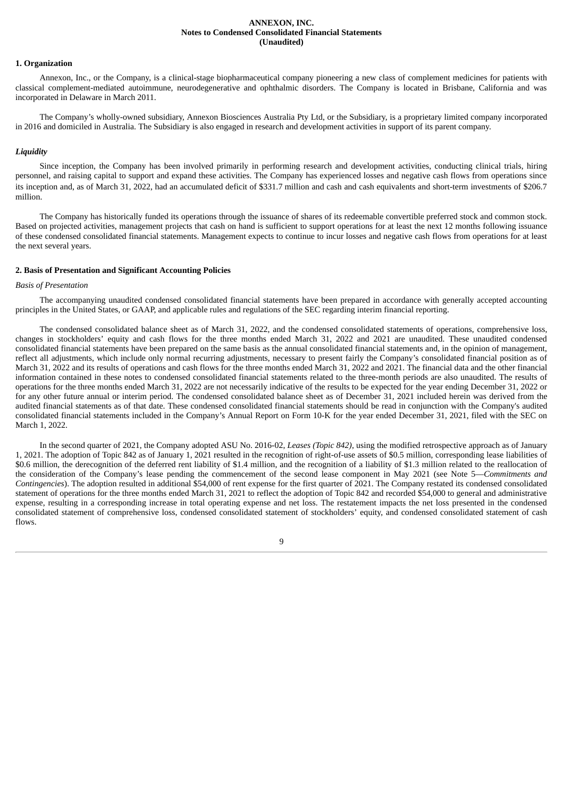#### <span id="page-8-0"></span>**1. Organization**

Annexon, Inc., or the Company, is a clinical-stage biopharmaceutical company pioneering a new class of complement medicines for patients with classical complement-mediated autoimmune, neurodegenerative and ophthalmic disorders. The Company is located in Brisbane, California and was incorporated in Delaware in March 2011.

The Company's wholly-owned subsidiary, Annexon Biosciences Australia Pty Ltd, or the Subsidiary, is a proprietary limited company incorporated in 2016 and domiciled in Australia. The Subsidiary is also engaged in research and development activities in support of its parent company.

# *Liquidity*

Since inception, the Company has been involved primarily in performing research and development activities, conducting clinical trials, hiring personnel, and raising capital to support and expand these activities. The Company has experienced losses and negative cash flows from operations since its inception and, as of March 31, 2022, had an accumulated deficit of \$331.7 million and cash and cash equivalents and short-term investments of \$206.7 million.

The Company has historically funded its operations through the issuance of shares of its redeemable convertible preferred stock and common stock. Based on projected activities, management projects that cash on hand is sufficient to support operations for at least the next 12 months following issuance of these condensed consolidated financial statements. Management expects to continue to incur losses and negative cash flows from operations for at least the next several years.

#### **2. Basis of Presentation and Significant Accounting Policies**

# *Basis of Presentation*

The accompanying unaudited condensed consolidated financial statements have been prepared in accordance with generally accepted accounting principles in the United States, or GAAP, and applicable rules and regulations of the SEC regarding interim financial reporting.

The condensed consolidated balance sheet as of March 31, 2022, and the condensed consolidated statements of operations, comprehensive loss, changes in stockholders' equity and cash flows for the three months ended March 31, 2022 and 2021 are unaudited. These unaudited condensed consolidated financial statements have been prepared on the same basis as the annual consolidated financial statements and, in the opinion of management, reflect all adjustments, which include only normal recurring adjustments, necessary to present fairly the Company's consolidated financial position as of March 31, 2022 and its results of operations and cash flows for the three months ended March 31, 2022 and 2021. The financial data and the other financial information contained in these notes to condensed consolidated financial statements related to the three-month periods are also unaudited. The results of operations for the three months ended March 31, 2022 are not necessarily indicative of the results to be expected for the year ending December 31, 2022 or for any other future annual or interim period. The condensed consolidated balance sheet as of December 31, 2021 included herein was derived from the audited financial statements as of that date. These condensed consolidated financial statements should be read in conjunction with the Company's audited consolidated financial statements included in the Company's Annual Report on Form 10-K for the year ended December 31, 2021, filed with the SEC on March 1, 2022.

In the second quarter of 2021, the Company adopted ASU No. 2016-02, *Leases (Topic 842),* using the modified retrospective approach as of January 1, 2021. The adoption of Topic 842 as of January 1, 2021 resulted in the recognition of right-of-use assets of \$0.5 million, corresponding lease liabilities of \$0.6 million, the derecognition of the deferred rent liability of \$1.4 million, and the recognition of a liability of \$1.3 million related to the reallocation of the consideration of the Company's lease pending the commencement of the second lease component in May 2021 (see Note 5—*Commitments and Contingencies*). The adoption resulted in additional \$54,000 of rent expense for the first quarter of 2021. The Company restated its condensed consolidated statement of operations for the three months ended March 31, 2021 to reflect the adoption of Topic 842 and recorded \$54,000 to general and administrative expense, resulting in a corresponding increase in total operating expense and net loss. The restatement impacts the net loss presented in the condensed consolidated statement of comprehensive loss, condensed consolidated statement of stockholders' equity, and condensed consolidated statement of cash flows.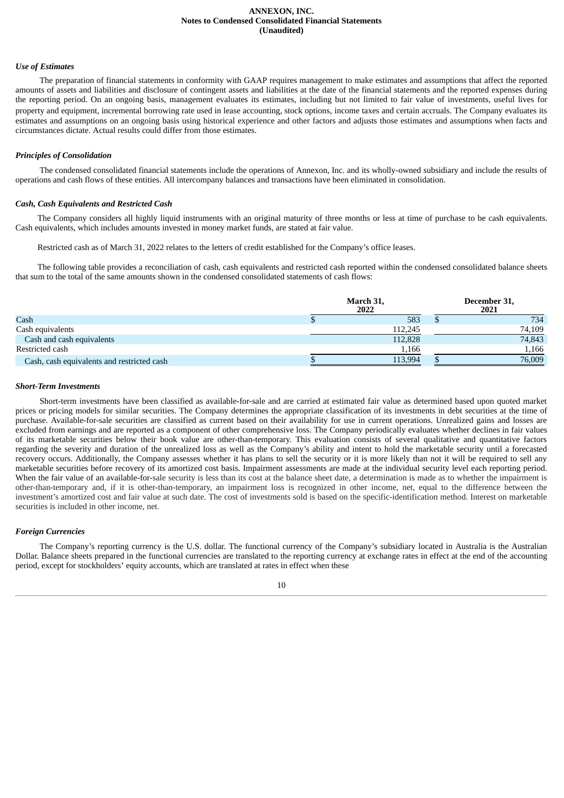#### *Use of Estimates*

The preparation of financial statements in conformity with GAAP requires management to make estimates and assumptions that affect the reported amounts of assets and liabilities and disclosure of contingent assets and liabilities at the date of the financial statements and the reported expenses during the reporting period. On an ongoing basis, management evaluates its estimates, including but not limited to fair value of investments, useful lives for property and equipment, incremental borrowing rate used in lease accounting, stock options, income taxes and certain accruals. The Company evaluates its estimates and assumptions on an ongoing basis using historical experience and other factors and adjusts those estimates and assumptions when facts and circumstances dictate. Actual results could differ from those estimates.

#### *Principles of Consolidation*

The condensed consolidated financial statements include the operations of Annexon, Inc. and its wholly-owned subsidiary and include the results of operations and cash flows of these entities. All intercompany balances and transactions have been eliminated in consolidation.

#### *Cash, Cash Equivalents and Restricted Cash*

The Company considers all highly liquid instruments with an original maturity of three months or less at time of purchase to be cash equivalents. Cash equivalents, which includes amounts invested in money market funds, are stated at fair value.

Restricted cash as of March 31, 2022 relates to the letters of credit established for the Company's office leases.

The following table provides a reconciliation of cash, cash equivalents and restricted cash reported within the condensed consolidated balance sheets that sum to the total of the same amounts shown in the condensed consolidated statements of cash flows:

|                                            | March 31,<br>2022 | December 31,<br>2021 |
|--------------------------------------------|-------------------|----------------------|
| Cash                                       | 583               | 734                  |
| Cash equivalents                           | 112,245           | 74,109               |
| Cash and cash equivalents                  | 112,828           | 74,843               |
| Restricted cash                            | 1,166             | 1.166                |
| Cash, cash equivalents and restricted cash | 113,994           | 76,009               |

#### *Short-Term Investments*

Short-term investments have been classified as available-for-sale and are carried at estimated fair value as determined based upon quoted market prices or pricing models for similar securities. The Company determines the appropriate classification of its investments in debt securities at the time of purchase. Available-for-sale securities are classified as current based on their availability for use in current operations. Unrealized gains and losses are excluded from earnings and are reported as a component of other comprehensive loss. The Company periodically evaluates whether declines in fair values of its marketable securities below their book value are other-than-temporary. This evaluation consists of several qualitative and quantitative factors regarding the severity and duration of the unrealized loss as well as the Company's ability and intent to hold the marketable security until a forecasted recovery occurs. Additionally, the Company assesses whether it has plans to sell the security or it is more likely than not it will be required to sell any marketable securities before recovery of its amortized cost basis. Impairment assessments are made at the individual security level each reporting period. When the fair value of an available-for-sale security is less than its cost at the balance sheet date, a determination is made as to whether the impairment is other-than-temporary and, if it is other-than-temporary, an impairment loss is recognized in other income, net, equal to the difference between the investment's amortized cost and fair value at such date. The cost of investments sold is based on the specific-identification method. Interest on marketable securities is included in other income, net.

#### *Foreign Currencies*

The Company's reporting currency is the U.S. dollar. The functional currency of the Company's subsidiary located in Australia is the Australian Dollar. Balance sheets prepared in the functional currencies are translated to the reporting currency at exchange rates in effect at the end of the accounting period, except for stockholders' equity accounts, which are translated at rates in effect when these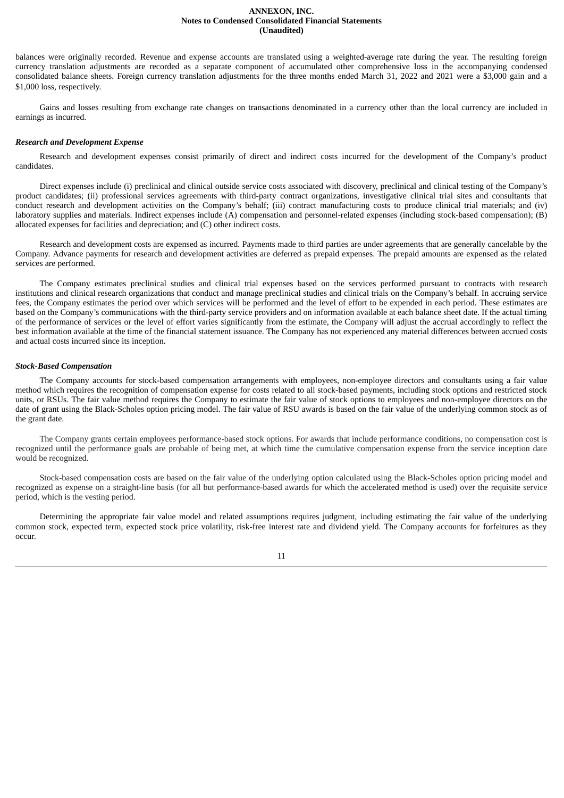balances were originally recorded. Revenue and expense accounts are translated using a weighted-average rate during the year. The resulting foreign currency translation adjustments are recorded as a separate component of accumulated other comprehensive loss in the accompanying condensed consolidated balance sheets. Foreign currency translation adjustments for the three months ended March 31, 2022 and 2021 were a \$3,000 gain and a \$1,000 loss, respectively.

Gains and losses resulting from exchange rate changes on transactions denominated in a currency other than the local currency are included in earnings as incurred.

# *Research and Development Expense*

Research and development expenses consist primarily of direct and indirect costs incurred for the development of the Company's product candidates.

Direct expenses include (i) preclinical and clinical outside service costs associated with discovery, preclinical and clinical testing of the Company's product candidates; (ii) professional services agreements with third-party contract organizations, investigative clinical trial sites and consultants that conduct research and development activities on the Company's behalf; (iii) contract manufacturing costs to produce clinical trial materials: and (iv) laboratory supplies and materials. Indirect expenses include (A) compensation and personnel-related expenses (including stock-based compensation); (B) allocated expenses for facilities and depreciation; and (C) other indirect costs.

Research and development costs are expensed as incurred. Payments made to third parties are under agreements that are generally cancelable by the Company. Advance payments for research and development activities are deferred as prepaid expenses. The prepaid amounts are expensed as the related services are performed.

The Company estimates preclinical studies and clinical trial expenses based on the services performed pursuant to contracts with research institutions and clinical research organizations that conduct and manage preclinical studies and clinical trials on the Company's behalf. In accruing service fees, the Company estimates the period over which services will be performed and the level of effort to be expended in each period. These estimates are based on the Company's communications with the third-party service providers and on information available at each balance sheet date. If the actual timing of the performance of services or the level of effort varies significantly from the estimate, the Company will adjust the accrual accordingly to reflect the best information available at the time of the financial statement issuance. The Company has not experienced any material differences between accrued costs and actual costs incurred since its inception.

#### *Stock-Based Compensation*

The Company accounts for stock-based compensation arrangements with employees, non-employee directors and consultants using a fair value method which requires the recognition of compensation expense for costs related to all stock-based payments, including stock options and restricted stock units, or RSUs. The fair value method requires the Company to estimate the fair value of stock options to employees and non-employee directors on the date of grant using the Black-Scholes option pricing model. The fair value of RSU awards is based on the fair value of the underlying common stock as of the grant date.

The Company grants certain employees performance-based stock options. For awards that include performance conditions, no compensation cost is recognized until the performance goals are probable of being met, at which time the cumulative compensation expense from the service inception date would be recognized.

Stock-based compensation costs are based on the fair value of the underlying option calculated using the Black-Scholes option pricing model and recognized as expense on a straight-line basis (for all but performance-based awards for which the accelerated method is used) over the requisite service period, which is the vesting period.

Determining the appropriate fair value model and related assumptions requires judgment, including estimating the fair value of the underlying common stock, expected term, expected stock price volatility, risk-free interest rate and dividend yield. The Company accounts for forfeitures as they occur.

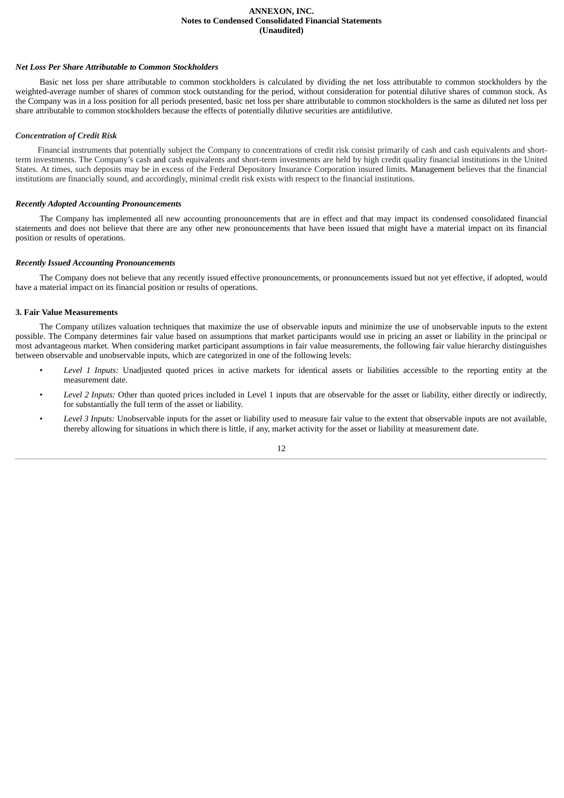#### *Net Loss Per Share Attributable to Common Stockholders*

Basic net loss per share attributable to common stockholders is calculated by dividing the net loss attributable to common stockholders by the weighted-average number of shares of common stock outstanding for the period, without consideration for potential dilutive shares of common stock. As the Company was in a loss position for all periods presented, basic net loss per share attributable to common stockholders is the same as diluted net loss per share attributable to common stockholders because the effects of potentially dilutive securities are antidilutive.

#### *Concentration of Credit Risk*

Financial instruments that potentially subject the Company to concentrations of credit risk consist primarily of cash and cash equivalents and shortterm investments. The Company's cash and cash equivalents and short-term investments are held by high credit quality financial institutions in the United States. At times, such deposits may be in excess of the Federal Depository Insurance Corporation insured limits. Management believes that the financial institutions are financially sound, and accordingly, minimal credit risk exists with respect to the financial institutions.

#### *Recently Adopted Accounting Pronouncements*

The Company has implemented all new accounting pronouncements that are in effect and that may impact its condensed consolidated financial statements and does not believe that there are any other new pronouncements that have been issued that might have a material impact on its financial position or results of operations.

# *Recently Issued Accounting Pronouncements*

The Company does not believe that any recently issued effective pronouncements, or pronouncements issued but not yet effective, if adopted, would have a material impact on its financial position or results of operations.

## **3. Fair Value Measurements**

The Company utilizes valuation techniques that maximize the use of observable inputs and minimize the use of unobservable inputs to the extent possible. The Company determines fair value based on assumptions that market participants would use in pricing an asset or liability in the principal or most advantageous market. When considering market participant assumptions in fair value measurements, the following fair value hierarchy distinguishes between observable and unobservable inputs, which are categorized in one of the following levels:

- *Level 1 Inputs:* Unadjusted quoted prices in active markets for identical assets or liabilities accessible to the reporting entity at the measurement date.
- *Level 2 Inputs:* Other than quoted prices included in Level 1 inputs that are observable for the asset or liability, either directly or indirectly, for substantially the full term of the asset or liability.
- *Level 3 Inputs:* Unobservable inputs for the asset or liability used to measure fair value to the extent that observable inputs are not available, thereby allowing for situations in which there is little, if any, market activity for the asset or liability at measurement date.

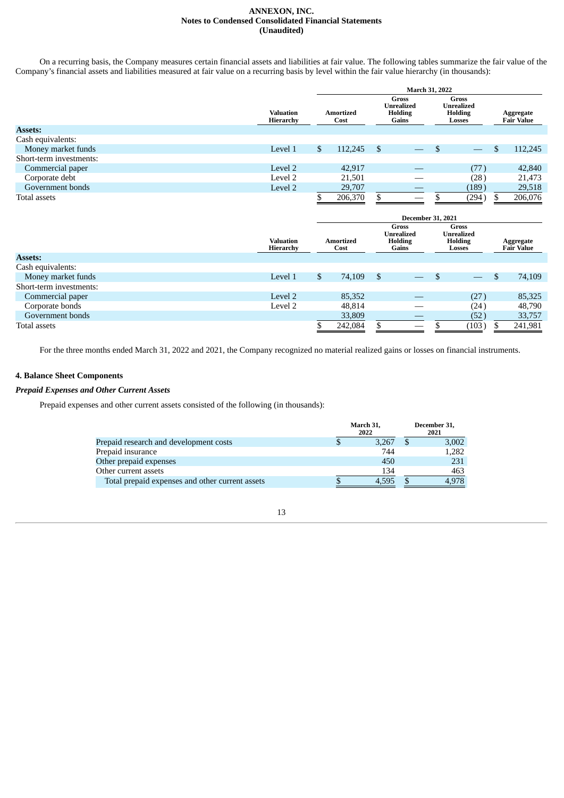On a recurring basis, the Company measures certain financial assets and liabilities at fair value. The following tables summarize the fair value of the Company's financial assets and liabilities measured at fair value on a recurring basis by level within the fair value hierarchy (in thousands):

|                         |                               | <b>March 31, 2022</b> |                   |  |                                                              |                                                        |                                 |   |                                |
|-------------------------|-------------------------------|-----------------------|-------------------|--|--------------------------------------------------------------|--------------------------------------------------------|---------------------------------|---|--------------------------------|
|                         | <b>Valuation</b><br>Hierarchy |                       | Amortized<br>Cost |  | <b>Gross</b><br><b>Unrealized</b><br><b>Holding</b><br>Gains | Gross<br><b>Unrealized</b><br><b>Holding</b><br>Losses |                                 |   | Aggregate<br><b>Fair Value</b> |
| <b>Assets:</b>          |                               |                       |                   |  |                                                              |                                                        |                                 |   |                                |
| Cash equivalents:       |                               |                       |                   |  |                                                              |                                                        |                                 |   |                                |
| Money market funds      | Level 1                       | \$                    | $112,245$ \$      |  | $\overbrace{\phantom{12333}}$                                | S                                                      | $\hspace{0.1mm}-\hspace{0.1mm}$ | S | 112,245                        |
| Short-term investments: |                               |                       |                   |  |                                                              |                                                        |                                 |   |                                |
| Commercial paper        | Level 2                       |                       | 42,917            |  |                                                              |                                                        | (77)                            |   | 42,840                         |
| Corporate debt          | Level 2                       |                       | 21,501            |  |                                                              |                                                        | (28)                            |   | 21,473                         |
| Government bonds        | Level 2                       |                       | 29,707            |  |                                                              |                                                        | (189)                           |   | 29,518                         |
| Total assets            |                               |                       | 206,370           |  |                                                              |                                                        | (294                            |   | 206,076                        |

|                         |                               |     | <b>December 31, 2021</b>                                            |    |                                                        |   |       |                                |         |  |
|-------------------------|-------------------------------|-----|---------------------------------------------------------------------|----|--------------------------------------------------------|---|-------|--------------------------------|---------|--|
|                         | <b>Valuation</b><br>Hierarchy |     | Gross<br><b>Unrealized</b><br>Holding<br>Amortized<br>Gains<br>Cost |    | <b>Gross</b><br><b>Unrealized</b><br>Holding<br>Losses |   |       | Aggregate<br><b>Fair Value</b> |         |  |
| <b>Assets:</b>          |                               |     |                                                                     |    |                                                        |   |       |                                |         |  |
| Cash equivalents:       |                               |     |                                                                     |    |                                                        |   |       |                                |         |  |
| Money market funds      | Level 1                       | \$. | 74,109                                                              | \$ |                                                        | S |       | $\mathbb{S}$                   | 74,109  |  |
| Short-term investments: |                               |     |                                                                     |    |                                                        |   |       |                                |         |  |
| Commercial paper        | Level 2                       |     | 85,352                                                              |    |                                                        |   | (27)  |                                | 85,325  |  |
| Corporate bonds         | Level 2                       |     | 48,814                                                              |    |                                                        |   | (24)  |                                | 48,790  |  |
| Government bonds        |                               |     | 33,809                                                              |    | __                                                     |   | (52)  |                                | 33,757  |  |
| Total assets            |                               |     | 242,084                                                             |    |                                                        |   | (103) |                                | 241,981 |  |

For the three months ended March 31, 2022 and 2021, the Company recognized no material realized gains or losses on financial instruments.

# **4. Balance Sheet Components**

# *Prepaid Expenses and Other Current Assets*

Prepaid expenses and other current assets consisted of the following (in thousands):

|                                                 | March 31,<br>2022 |       |  | December 31,<br>2021 |
|-------------------------------------------------|-------------------|-------|--|----------------------|
| Prepaid research and development costs          |                   | 3.267 |  | 3,002                |
| Prepaid insurance                               |                   | 744   |  | 1,282                |
| Other prepaid expenses                          |                   | 450   |  | 231                  |
| Other current assets                            |                   | 134   |  | 463                  |
| Total prepaid expenses and other current assets |                   | 4.595 |  | 4.978                |

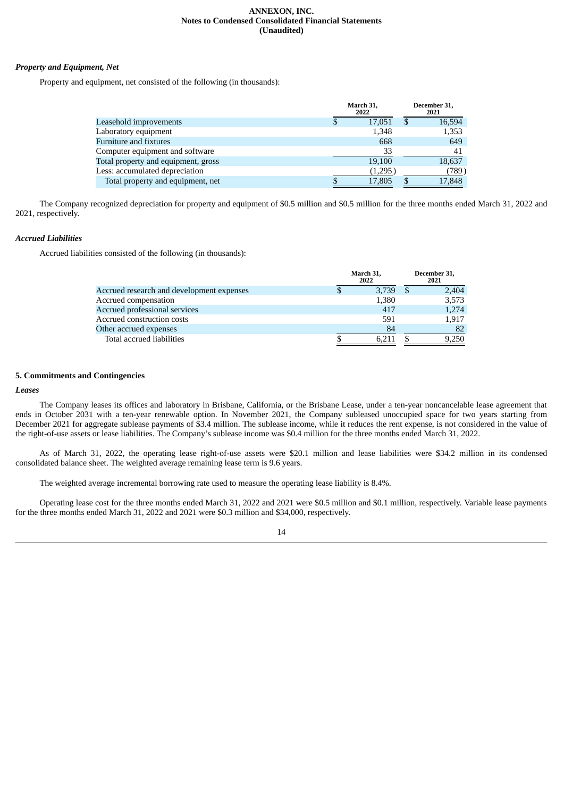# *Property and Equipment, Net*

Property and equipment, net consisted of the following (in thousands):

|                                     | March 31,<br>2022 | December 31,<br>2021 |        |  |
|-------------------------------------|-------------------|----------------------|--------|--|
| Leasehold improvements              | \$<br>17,051      | S                    | 16,594 |  |
| Laboratory equipment                | 1,348             |                      | 1,353  |  |
| Furniture and fixtures              | 668               |                      | 649    |  |
| Computer equipment and software     | 33                |                      | 41     |  |
| Total property and equipment, gross | 19,100            |                      | 18,637 |  |
| Less: accumulated depreciation      | (1,295)           |                      | (789)  |  |
| Total property and equipment, net   | 17,805            | S.                   | 17,848 |  |

The Company recognized depreciation for property and equipment of \$0.5 million and \$0.5 million for the three months ended March 31, 2022 and 2021, respectively.

# *Accrued Liabilities*

Accrued liabilities consisted of the following (in thousands):

|                                           | March 31,<br>2022 | December 31,<br>2021 |       |  |
|-------------------------------------------|-------------------|----------------------|-------|--|
| Accrued research and development expenses | 3,739             |                      | 2,404 |  |
| Accrued compensation                      | 1,380             |                      | 3,573 |  |
| Accrued professional services             | 417               |                      | 1,274 |  |
| Accrued construction costs                | 591               |                      | 1,917 |  |
| Other accrued expenses                    | 84                |                      | 82    |  |
| Total accrued liabilities                 | 6.211             |                      | 9,250 |  |

# **5. Commitments and Contingencies**

#### *Leases*

The Company leases its offices and laboratory in Brisbane, California, or the Brisbane Lease, under a ten-year noncancelable lease agreement that ends in October 2031 with a ten-year renewable option. In November 2021, the Company subleased unoccupied space for two years starting from December 2021 for aggregate sublease payments of \$3.4 million. The sublease income, while it reduces the rent expense, is not considered in the value of the right-of-use assets or lease liabilities. The Company's sublease income was \$0.4 million for the three months ended March 31, 2022.

As of March 31, 2022, the operating lease right-of-use assets were \$20.1 million and lease liabilities were \$34.2 million in its condensed consolidated balance sheet. The weighted average remaining lease term is 9.6 years.

The weighted average incremental borrowing rate used to measure the operating lease liability is 8.4%.

Operating lease cost for the three months ended March 31, 2022 and 2021 were \$0.5 million and \$0.1 million, respectively. Variable lease payments for the three months ended March 31, 2022 and 2021 were \$0.3 million and \$34,000, respectively.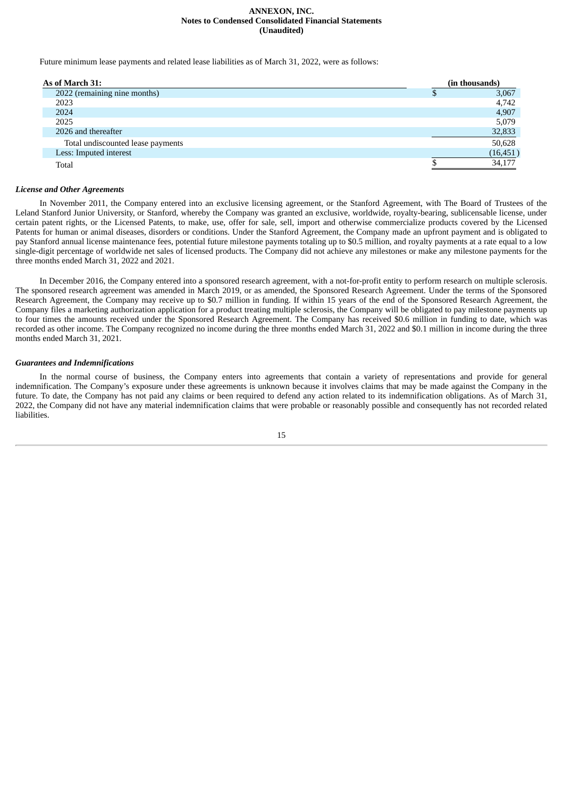Future minimum lease payments and related lease liabilities as of March 31, 2022, were as follows:

| As of March 31:                   | (in thousands) |
|-----------------------------------|----------------|
| 2022 (remaining nine months)      | 3,067          |
| 2023                              | 4,742          |
| 2024                              | 4,907          |
| 2025                              | 5,079          |
| 2026 and thereafter               | 32,833         |
| Total undiscounted lease payments | 50,628         |
| Less: Imputed interest            | (16, 451)      |
| Total                             | 34,177         |
|                                   |                |

# *License and Other Agreements*

In November 2011, the Company entered into an exclusive licensing agreement, or the Stanford Agreement, with The Board of Trustees of the Leland Stanford Junior University, or Stanford, whereby the Company was granted an exclusive, worldwide, royalty-bearing, sublicensable license, under certain patent rights, or the Licensed Patents, to make, use, offer for sale, sell, import and otherwise commercialize products covered by the Licensed Patents for human or animal diseases, disorders or conditions. Under the Stanford Agreement, the Company made an upfront payment and is obligated to pay Stanford annual license maintenance fees, potential future milestone payments totaling up to \$0.5 million, and royalty payments at a rate equal to a low single-digit percentage of worldwide net sales of licensed products. The Company did not achieve any milestones or make any milestone payments for the three months ended March 31, 2022 and 2021.

In December 2016, the Company entered into a sponsored research agreement, with a not-for-profit entity to perform research on multiple sclerosis. The sponsored research agreement was amended in March 2019, or as amended, the Sponsored Research Agreement. Under the terms of the Sponsored Research Agreement, the Company may receive up to \$0.7 million in funding. If within 15 years of the end of the Sponsored Research Agreement, the Company files a marketing authorization application for a product treating multiple sclerosis, the Company will be obligated to pay milestone payments up to four times the amounts received under the Sponsored Research Agreement. The Company has received \$0.6 million in funding to date, which was recorded as other income. The Company recognized no income during the three months ended March 31, 2022 and \$0.1 million in income during the three months ended March 31, 2021.

## *Guarantees and Indemnifications*

In the normal course of business, the Company enters into agreements that contain a variety of representations and provide for general indemnification. The Company's exposure under these agreements is unknown because it involves claims that may be made against the Company in the future. To date, the Company has not paid any claims or been required to defend any action related to its indemnification obligations. As of March 31, 2022, the Company did not have any material indemnification claims that were probable or reasonably possible and consequently has not recorded related liabilities.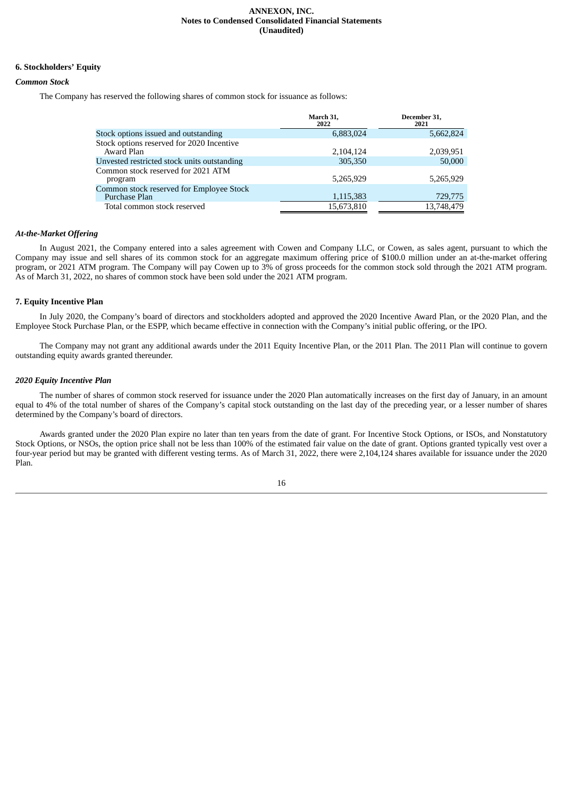# **6. Stockholders' Equity**

# *Common Stock*

The Company has reserved the following shares of common stock for issuance as follows:

|                                                           | March 31,<br>2022 | December 31,<br>2021 |
|-----------------------------------------------------------|-------------------|----------------------|
| Stock options issued and outstanding                      | 6,883,024         | 5,662,824            |
| Stock options reserved for 2020 Incentive<br>Award Plan   | 2,104,124         | 2,039,951            |
| Unvested restricted stock units outstanding               | 305,350           | 50,000               |
| Common stock reserved for 2021 ATM<br>program             | 5,265,929         | 5,265,929            |
| Common stock reserved for Employee Stock<br>Purchase Plan | 1,115,383         | 729,775              |
| Total common stock reserved                               | 15,673,810        | 13,748,479           |

# *At-the-Market Offering*

In August 2021, the Company entered into a sales agreement with Cowen and Company LLC, or Cowen, as sales agent, pursuant to which the Company may issue and sell shares of its common stock for an aggregate maximum offering price of \$100.0 million under an at-the-market offering program, or 2021 ATM program. The Company will pay Cowen up to 3% of gross proceeds for the common stock sold through the 2021 ATM program. As of March 31, 2022, no shares of common stock have been sold under the 2021 ATM program.

#### **7. Equity Incentive Plan**

In July 2020, the Company's board of directors and stockholders adopted and approved the 2020 Incentive Award Plan, or the 2020 Plan, and the Employee Stock Purchase Plan, or the ESPP, which became effective in connection with the Company's initial public offering, or the IPO.

The Company may not grant any additional awards under the 2011 Equity Incentive Plan, or the 2011 Plan. The 2011 Plan will continue to govern outstanding equity awards granted thereunder.

#### *2020 Equity Incentive Plan*

The number of shares of common stock reserved for issuance under the 2020 Plan automatically increases on the first day of January, in an amount equal to 4% of the total number of shares of the Company's capital stock outstanding on the last day of the preceding year, or a lesser number of shares determined by the Company's board of directors.

Awards granted under the 2020 Plan expire no later than ten years from the date of grant. For Incentive Stock Options, or ISOs, and Nonstatutory Stock Options, or NSOs, the option price shall not be less than 100% of the estimated fair value on the date of grant. Options granted typically vest over a four-year period but may be granted with different vesting terms. As of March 31, 2022, there were 2,104,124 shares available for issuance under the 2020 Plan.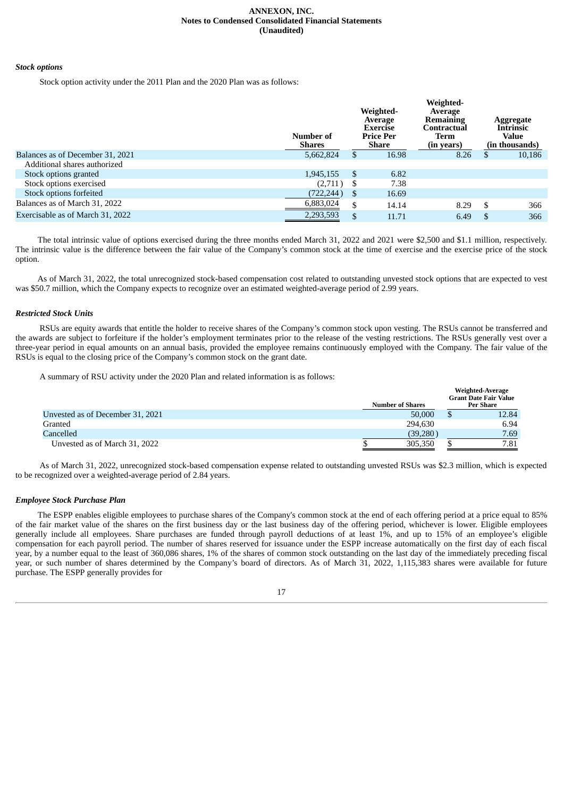#### *Stock options*

Stock option activity under the 2011 Plan and the 2020 Plan was as follows:

|                                  | Number of<br>Shares | Weighted-<br>Average<br>Exercise<br><b>Price Per</b><br>Share |       | Weighted-<br>Average<br><b>Remaining</b><br>Contractual<br>Term<br>(in years) |   | Aggregate<br>Intrinsic<br>Value<br>(in thousands) |
|----------------------------------|---------------------|---------------------------------------------------------------|-------|-------------------------------------------------------------------------------|---|---------------------------------------------------|
| Balances as of December 31, 2021 | 5,662,824           |                                                               | 16.98 | 8.26                                                                          |   | 10,186                                            |
| Additional shares authorized     |                     |                                                               |       |                                                                               |   |                                                   |
| Stock options granted            | 1,945,155           | -\$                                                           | 6.82  |                                                                               |   |                                                   |
| Stock options exercised          | (2,711)             | - \$                                                          | 7.38  |                                                                               |   |                                                   |
| Stock options forfeited          | (722,244)           | S                                                             | 16.69 |                                                                               |   |                                                   |
| Balances as of March 31, 2022    | 6,883,024           | \$                                                            | 14.14 | 8.29                                                                          | S | 366                                               |
| Exercisable as of March 31, 2022 | 2,293,593           |                                                               | 11.71 | 6.49                                                                          |   | 366                                               |

The total intrinsic value of options exercised during the three months ended March 31, 2022 and 2021 were \$2,500 and \$1.1 million, respectively. The intrinsic value is the difference between the fair value of the Company's common stock at the time of exercise and the exercise price of the stock option.

As of March 31, 2022, the total unrecognized stock-based compensation cost related to outstanding unvested stock options that are expected to vest was \$50.7 million, which the Company expects to recognize over an estimated weighted-average period of 2.99 years.

#### *Restricted Stock Units*

RSUs are equity awards that entitle the holder to receive shares of the Company's common stock upon vesting. The RSUs cannot be transferred and the awards are subject to forfeiture if the holder's employment terminates prior to the release of the vesting restrictions. The RSUs generally vest over a three-year period in equal amounts on an annual basis, provided the employee remains continuously employed with the Company. The fair value of the RSUs is equal to the closing price of the Company's common stock on the grant date.

A summary of RSU activity under the 2020 Plan and related information is as follows:

|                                  | <b>Number of Shares</b> | <b>Weighted-Average</b><br><b>Grant Date Fair Value</b><br><b>Per Share</b> |
|----------------------------------|-------------------------|-----------------------------------------------------------------------------|
| Unvested as of December 31, 2021 | 50,000                  | 12.84                                                                       |
| Granted                          | 294.630                 | 6.94                                                                        |
| Cancelled                        | (39, 280)               | 7.69                                                                        |
| Unvested as of March 31, 2022    | 305,350                 | 7.81                                                                        |

As of March 31, 2022, unrecognized stock-based compensation expense related to outstanding unvested RSUs was \$2.3 million, which is expected to be recognized over a weighted-average period of 2.84 years.

#### *Employee Stock Purchase Plan*

The ESPP enables eligible employees to purchase shares of the Company's common stock at the end of each offering period at a price equal to 85% of the fair market value of the shares on the first business day or the last business day of the offering period, whichever is lower. Eligible employees generally include all employees. Share purchases are funded through payroll deductions of at least 1%, and up to 15% of an employee's eligible compensation for each payroll period. The number of shares reserved for issuance under the ESPP increase automatically on the first day of each fiscal year, by a number equal to the least of 360,086 shares, 1% of the shares of common stock outstanding on the last day of the immediately preceding fiscal year, or such number of shares determined by the Company's board of directors. As of March 31, 2022, 1,115,383 shares were available for future purchase. The ESPP generally provides for

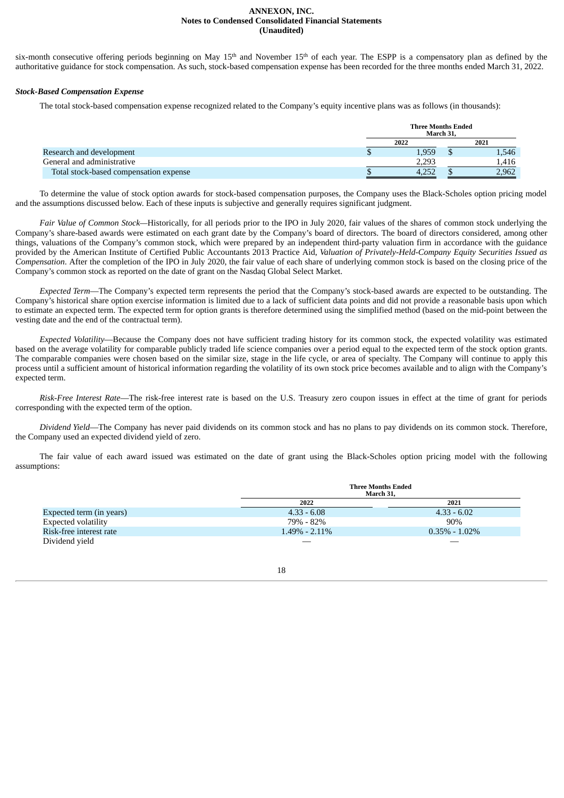six-month consecutive offering periods beginning on May 15<sup>th</sup> and November 15<sup>th</sup> of each year. The ESPP is a compensatory plan as defined by the authoritative guidance for stock compensation. As such, stock-based compensation expense has been recorded for the three months ended March 31, 2022.

# *Stock-Based Compensation Expense*

The total stock-based compensation expense recognized related to the Company's equity incentive plans was as follows (in thousands):

|                                        | <b>Three Months Ended</b><br>March 31, |      |       |
|----------------------------------------|----------------------------------------|------|-------|
|                                        | 2022                                   | 2021 |       |
| Research and development               | 1,959                                  |      | 1,546 |
| General and administrative             | 2,293                                  |      | 1.416 |
| Total stock-based compensation expense | 4.252                                  |      | 2.962 |

To determine the value of stock option awards for stock-based compensation purposes, the Company uses the Black-Scholes option pricing model and the assumptions discussed below. Each of these inputs is subjective and generally requires significant judgment.

*Fair Value of Common Stock—*Historically, for all periods prior to the IPO in July 2020, fair values of the shares of common stock underlying the Company's share-based awards were estimated on each grant date by the Company's board of directors. The board of directors considered, among other things, valuations of the Company's common stock, which were prepared by an independent third-party valuation firm in accordance with the guidance provided by the American Institute of Certified Public Accountants 2013 Practice Aid, *Valuation of Privately-Held-Company Equity Securities Issued as Compensation*. After the completion of the IPO in July 2020, the fair value of each share of underlying common stock is based on the closing price of the Company's common stock as reported on the date of grant on the Nasdaq Global Select Market.

*Expected Term*—The Company's expected term represents the period that the Company's stock-based awards are expected to be outstanding. The Company's historical share option exercise information is limited due to a lack of sufficient data points and did not provide a reasonable basis upon which to estimate an expected term. The expected term for option grants is therefore determined using the simplified method (based on the mid-point between the vesting date and the end of the contractual term).

*Expected Volatility*—Because the Company does not have sufficient trading history for its common stock, the expected volatility was estimated based on the average volatility for comparable publicly traded life science companies over a period equal to the expected term of the stock option grants. The comparable companies were chosen based on the similar size, stage in the life cycle, or area of specialty. The Company will continue to apply this process until a sufficient amount of historical information regarding the volatility of its own stock price becomes available and to align with the Company's expected term.

*Risk-Free Interest Rate*—The risk-free interest rate is based on the U.S. Treasury zero coupon issues in effect at the time of grant for periods corresponding with the expected term of the option.

*Dividend Yield*—The Company has never paid dividends on its common stock and has no plans to pay dividends on its common stock. Therefore, the Company used an expected dividend yield of zero.

The fair value of each award issued was estimated on the date of grant using the Black-Scholes option pricing model with the following assumptions:

|                            | March 31,           | <b>Three Months Ended</b> |
|----------------------------|---------------------|---------------------------|
|                            | 2022                | 2021                      |
| Expected term (in years)   | $4.33 - 6.08$       | $4.33 - 6.02$             |
| <b>Expected volatility</b> | 79% - 82%           | 90%                       |
| Risk-free interest rate    | $1.49\%$ - $2.11\%$ | $0.35\% - 1.02\%$         |
| Dividend yield             |                     |                           |

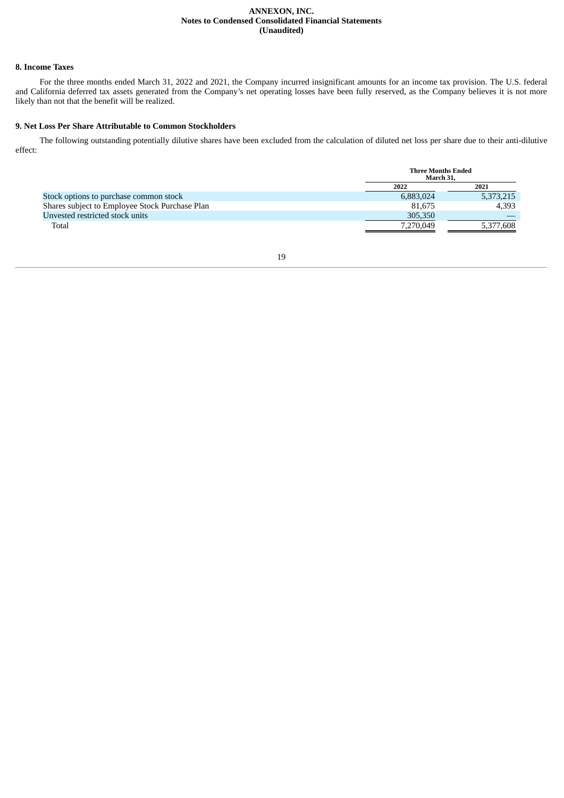# **8. Income Taxes**

For the three months ended March 31, 2022 and 2021, the Company incurred insignificant amounts for an income tax provision. The U.S. federal and California deferred tax assets generated from the Company's net operating losses have been fully reserved, as the Company believes it is not more likely than not that the benefit will be realized.

# **9. Net Loss Per Share Attributable to Common Stockholders**

The following outstanding potentially dilutive shares have been excluded from the calculation of diluted net loss per share due to their anti-dilutive effect:

|                                                | <b>Three Months Ended</b><br>March 31. |           |
|------------------------------------------------|----------------------------------------|-----------|
|                                                | 2022                                   | 2021      |
| Stock options to purchase common stock         | 6,883,024                              | 5,373,215 |
| Shares subject to Employee Stock Purchase Plan | 81.675                                 | 4,393     |
| Unvested restricted stock units                | 305,350                                |           |
| Total                                          | 7,270,049                              | 5,377,608 |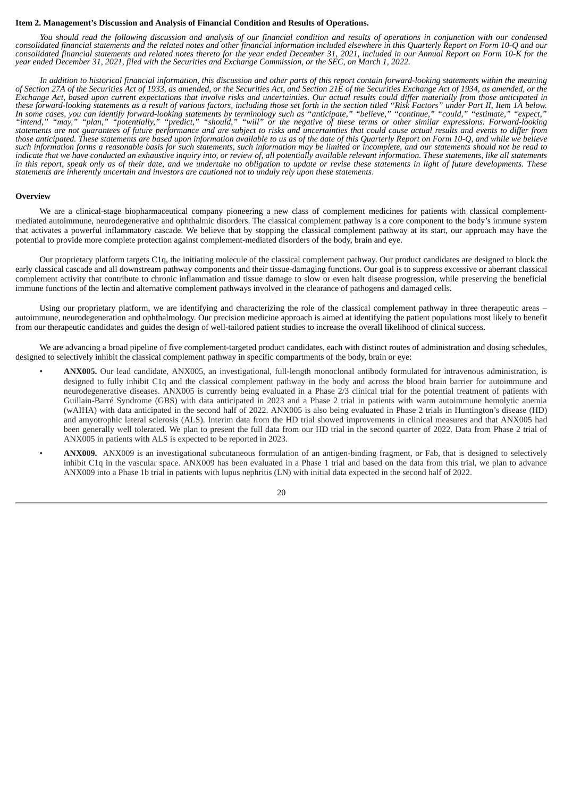#### <span id="page-19-0"></span>**Item 2. Management's Discussion and Analysis of Financial Condition and Results of Operations.**

You should read the following discussion and analysis of our financial condition and results of operations in conjunction with our condensed consolidated financial statements and the related notes and other financial information included elsewhere in this Quarterly Report on Form 10-Q and our consolidated financial statements and related notes thereto for the year ended December 31, 2021, included in our Annual Report on Form 10-K for the year ended December 31, 2021, filed with the Securities and Exchange Commission, or the SEC, on March 1, 2022.

In addition to historical financial information, this discussion and other parts of this report contain forward-looking statements within the meaning of Section 27A of the Securities Act of 1933, as amended, or the Securities Act, and Section 21E of the Securities Exchange Act of 1934, as amended, or the Exchange Act, based upon current expectations that involve risks and uncertainties. Our actual results could differ materially from those anticipated in these forward-looking statements as a result of various factors, including those set forth in the section titled "Risk Factors" under Part II, Item 1A below. In some cases, you can identify forward-looking statements by terminology such as "anticipate," "believe," "continue," "could," "estimate," "expect," "intend," "may," "plan," "potentially," "predict," "should," "will" or the negative of these terms or other similar expressions. Forward-looking statements are not guarantees of future performance and are subject to risks and uncertainties that could cause actual results and events to differ from those anticipated. These statements are based upon information available to us as of the date of this Quarterly Report on Form 10-Q, and while we believe such information forms a reasonable basis for such statements, such information may be limited or incomplete, and our statements should not be read to indicate that we have conducted an exhaustive inquiry into, or review of, all potentially available relevant information. These statements, like all statements in this report, speak only as of their date, and we undertake no obligation to update or revise these statements in light of future developments. These *statements are inherently uncertain and investors are cautioned not to unduly rely upon these statements.*

#### **Overview**

We are a clinical-stage biopharmaceutical company pioneering a new class of complement medicines for patients with classical complementmediated autoimmune, neurodegenerative and ophthalmic disorders. The classical complement pathway is a core component to the body's immune system that activates a powerful inflammatory cascade. We believe that by stopping the classical complement pathway at its start, our approach may have the potential to provide more complete protection against complement-mediated disorders of the body, brain and eye.

Our proprietary platform targets C1q, the initiating molecule of the classical complement pathway. Our product candidates are designed to block the early classical cascade and all downstream pathway components and their tissue-damaging functions. Our goal is to suppress excessive or aberrant classical complement activity that contribute to chronic inflammation and tissue damage to slow or even halt disease progression, while preserving the beneficial immune functions of the lectin and alternative complement pathways involved in the clearance of pathogens and damaged cells.

Using our proprietary platform, we are identifying and characterizing the role of the classical complement pathway in three therapeutic areas – autoimmune, neurodegeneration and ophthalmology. Our precision medicine approach is aimed at identifying the patient populations most likely to benefit from our therapeutic candidates and guides the design of well-tailored patient studies to increase the overall likelihood of clinical success.

We are advancing a broad pipeline of five complement-targeted product candidates, each with distinct routes of administration and dosing schedules, designed to selectively inhibit the classical complement pathway in specific compartments of the body, brain or eye:

- **ANX005.** Our lead candidate, ANX005, an investigational, full-length monoclonal antibody formulated for intravenous administration, is designed to fully inhibit C1q and the classical complement pathway in the body and across the blood brain barrier for autoimmune and neurodegenerative diseases. ANX005 is currently being evaluated in a Phase 2/3 clinical trial for the potential treatment of patients with Guillain-Barré Syndrome (GBS) with data anticipated in 2023 and a Phase 2 trial in patients with warm autoimmune hemolytic anemia (wAIHA) with data anticipated in the second half of 2022. ANX005 is also being evaluated in Phase 2 trials in Huntington's disease (HD) and amyotrophic lateral sclerosis (ALS). Interim data from the HD trial showed improvements in clinical measures and that ANX005 had been generally well tolerated. We plan to present the full data from our HD trial in the second quarter of 2022. Data from Phase 2 trial of ANX005 in patients with ALS is expected to be reported in 2023.
- **ANX009.** ANX009 is an investigational subcutaneous formulation of an antigen-binding fragment, or Fab, that is designed to selectively inhibit C1q in the vascular space. ANX009 has been evaluated in a Phase 1 trial and based on the data from this trial, we plan to advance ANX009 into a Phase 1b trial in patients with lupus nephritis (LN) with initial data expected in the second half of 2022.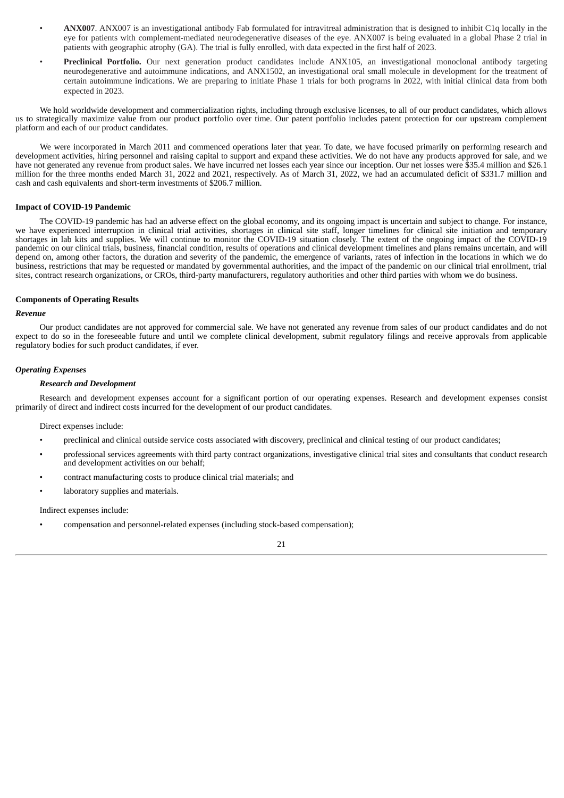- **ANX007**. ANX007 is an investigational antibody Fab formulated for intravitreal administration that is designed to inhibit C1q locally in the eye for patients with complement-mediated neurodegenerative diseases of the eye. ANX007 is being evaluated in a global Phase 2 trial in patients with geographic atrophy (GA). The trial is fully enrolled, with data expected in the first half of 2023.
- **Preclinical Portfolio.** Our next generation product candidates include ANX105, an investigational monoclonal antibody targeting neurodegenerative and autoimmune indications, and ANX1502, an investigational oral small molecule in development for the treatment of certain autoimmune indications. We are preparing to initiate Phase 1 trials for both programs in 2022, with initial clinical data from both expected in 2023.

We hold worldwide development and commercialization rights, including through exclusive licenses, to all of our product candidates, which allows us to strategically maximize value from our product portfolio over time. Our patent portfolio includes patent protection for our upstream complement platform and each of our product candidates.

We were incorporated in March 2011 and commenced operations later that year. To date, we have focused primarily on performing research and development activities, hiring personnel and raising capital to support and expand these activities. We do not have any products approved for sale, and we have not generated any revenue from product sales. We have incurred net losses each year since our inception. Our net losses were \$35.4 million and \$26.1 million for the three months ended March 31, 2022 and 2021, respectively. As of March 31, 2022, we had an accumulated deficit of \$331.7 million and cash and cash equivalents and short-term investments of \$206.7 million.

#### **Impact of COVID-19 Pandemic**

The COVID-19 pandemic has had an adverse effect on the global economy, and its ongoing impact is uncertain and subject to change. For instance, we have experienced interruption in clinical trial activities, shortages in clinical site staff, longer timelines for clinical site initiation and temporary shortages in lab kits and supplies. We will continue to monitor the COVID-19 situation closely. The extent of the ongoing impact of the COVID-19 pandemic on our clinical trials, business, financial condition, results of operations and clinical development timelines and plans remains uncertain, and will depend on, among other factors, the duration and severity of the pandemic, the emergence of variants, rates of infection in the locations in which we do business, restrictions that may be requested or mandated by governmental authorities, and the impact of the pandemic on our clinical trial enrollment, trial sites, contract research organizations, or CROs, third-party manufacturers, regulatory authorities and other third parties with whom we do business.

#### **Components of Operating Results**

# *Revenue*

Our product candidates are not approved for commercial sale. We have not generated any revenue from sales of our product candidates and do not expect to do so in the foreseeable future and until we complete clinical development, submit regulatory filings and receive approvals from applicable regulatory bodies for such product candidates, if ever.

# *Operating Expenses*

#### *Research and Development*

Research and development expenses account for a significant portion of our operating expenses. Research and development expenses consist primarily of direct and indirect costs incurred for the development of our product candidates.

Direct expenses include:

- preclinical and clinical outside service costs associated with discovery, preclinical and clinical testing of our product candidates;
- professional services agreements with third party contract organizations, investigative clinical trial sites and consultants that conduct research and development activities on our behalf;
- contract manufacturing costs to produce clinical trial materials; and
- laboratory supplies and materials.

#### Indirect expenses include:

• compensation and personnel-related expenses (including stock-based compensation);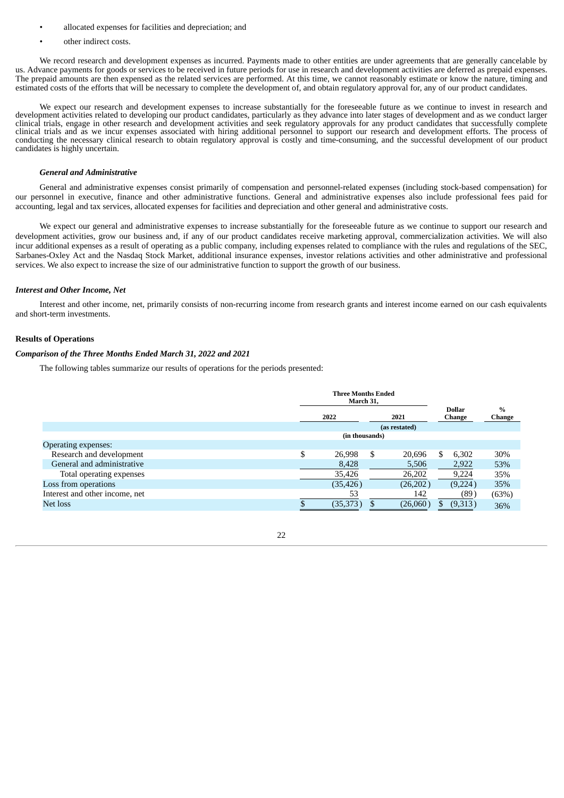- allocated expenses for facilities and depreciation; and
- other indirect costs.

We record research and development expenses as incurred. Payments made to other entities are under agreements that are generally cancelable by us. Advance payments for goods or services to be received in future periods for use in research and development activities are deferred as prepaid expenses. The prepaid amounts are then expensed as the related services are performed. At this time, we cannot reasonably estimate or know the nature, timing and estimated costs of the efforts that will be necessary to complete the development of, and obtain regulatory approval for, any of our product candidates.

We expect our research and development expenses to increase substantially for the foreseeable future as we continue to invest in research and development activities related to developing our product candidates, particularly as they advance into later stages of development and as we conduct larger clinical trials, engage in other research and development activities and seek regulatory approvals for any product candidates that successfully complete clinical trials and as we incur expenses associated with hiring additional personnel to support our research and development efforts. The process of conducting the necessary clinical research to obtain regulatory approval is costly and time-consuming, and the successful development of our product candidates is highly uncertain.

#### *General and Administrative*

General and administrative expenses consist primarily of compensation and personnel-related expenses (including stock-based compensation) for our personnel in executive, finance and other administrative functions. General and administrative expenses also include professional fees paid for accounting, legal and tax services, allocated expenses for facilities and depreciation and other general and administrative costs.

We expect our general and administrative expenses to increase substantially for the foreseeable future as we continue to support our research and development activities, grow our business and, if any of our product candidates receive marketing approval, commercialization activities. We will also incur additional expenses as a result of operating as a public company, including expenses related to compliance with the rules and regulations of the SEC, Sarbanes-Oxley Act and the Nasdaq Stock Market, additional insurance expenses, investor relations activities and other administrative and professional services. We also expect to increase the size of our administrative function to support the growth of our business.

#### *Interest and Other Income, Net*

Interest and other income, net, primarily consists of non-recurring income from research grants and interest income earned on our cash equivalents and short-term investments.

#### **Results of Operations**

#### *Comparison of the Three Months Ended March 31, 2022 and 2021*

The following tables summarize our results of operations for the periods presented:

|                                |    | <b>Three Months Ended</b><br>March 31, |     |               |              |       |  |      |                         |                         |
|--------------------------------|----|----------------------------------------|-----|---------------|--------------|-------|--|------|-------------------------|-------------------------|
|                                |    | 2022                                   |     |               |              |       |  | 2021 | <b>Dollar</b><br>Change | $\frac{9}{6}$<br>Change |
|                                |    |                                        |     | (as restated) |              |       |  |      |                         |                         |
|                                |    | (in thousands)                         |     |               |              |       |  |      |                         |                         |
| Operating expenses:            |    |                                        |     |               |              |       |  |      |                         |                         |
| Research and development       | \$ | 26,998                                 | -\$ | 20,696        | \$.<br>6,302 | 30%   |  |      |                         |                         |
| General and administrative     |    | 8,428                                  |     | 5,506         | 2,922        | 53%   |  |      |                         |                         |
| Total operating expenses       |    | 35,426                                 |     | 26,202        | 9,224        | 35%   |  |      |                         |                         |
| Loss from operations           |    | (35, 426)                              |     | (26, 202)     | (9,224)      | 35%   |  |      |                         |                         |
| Interest and other income, net |    | 53                                     |     | 142           | (89          | (63%) |  |      |                         |                         |
| Net loss                       |    | (35, 373)                              |     | (26,060)      | (9,313)      | 36%   |  |      |                         |                         |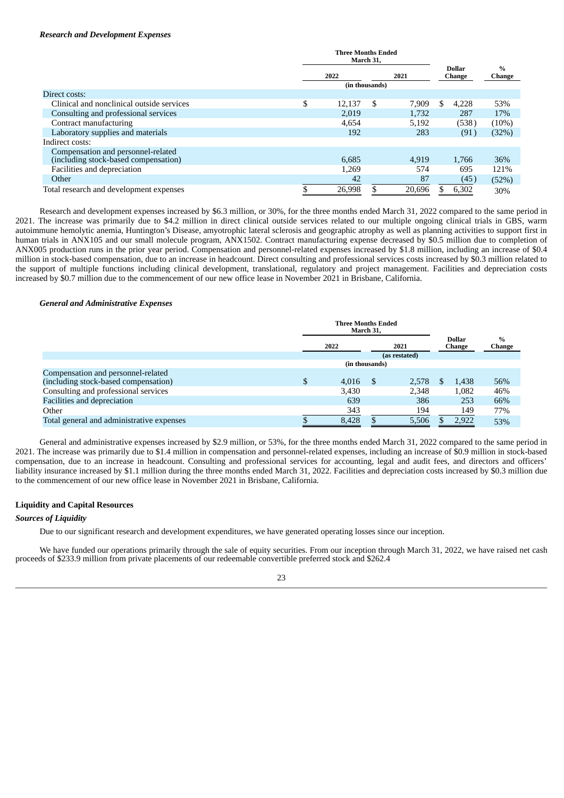## *Research and Development Expenses*

|                                                                            | <b>Three Months Ended</b><br>March 31. |              |    |                |     |                         |                |
|----------------------------------------------------------------------------|----------------------------------------|--------------|----|----------------|-----|-------------------------|----------------|
|                                                                            |                                        | 2022<br>2021 |    | (in thousands) |     | <b>Dollar</b><br>Change | $\%$<br>Change |
| Direct costs:                                                              |                                        |              |    |                |     |                         |                |
| Clinical and nonclinical outside services                                  | \$                                     | 12,137       | \$ | 7,909          | \$. | 4,228                   | 53%            |
| Consulting and professional services                                       |                                        | 2,019        |    | 1,732          |     | 287                     | 17%            |
| Contract manufacturing                                                     |                                        | 4,654        |    | 5,192          |     | (538)                   | (10%)          |
| Laboratory supplies and materials                                          |                                        | 192          |    | 283            |     | (91)                    | (32%)          |
| Indirect costs:                                                            |                                        |              |    |                |     |                         |                |
| Compensation and personnel-related<br>(including stock-based compensation) |                                        | 6.685        |    | 4.919          |     | 1,766                   | 36%            |
| Facilities and depreciation                                                |                                        | 1,269        |    | 574            |     | 695                     | 121%           |
| Other                                                                      |                                        | 42           |    | 87             |     | (45)                    | (52%)          |
| Total research and development expenses                                    |                                        | 26,998       |    | 20,696         |     | 6,302                   | 30%            |

Research and development expenses increased by \$6.3 million, or 30%, for the three months ended March 31, 2022 compared to the same period in 2021. The increase was primarily due to \$4.2 million in direct clinical outside services related to our multiple ongoing clinical trials in GBS, warm autoimmune hemolytic anemia, Huntington's Disease, amyotrophic lateral sclerosis and geographic atrophy as well as planning activities to support first in human trials in ANX105 and our small molecule program, ANX1502. Contract manufacturing expense decreased by \$0.5 million due to completion of ANX005 production runs in the prior year period. Compensation and personnel-related expenses increased by \$1.8 million, including an increase of \$0.4 million in stock-based compensation, due to an increase in headcount. Direct consulting and professional services costs increased by \$0.3 million related to the support of multiple functions including clinical development, translational, regulatory and project management. Facilities and depreciation costs increased by \$0.7 million due to the commencement of our new office lease in November 2021 in Brisbane, California.

#### *General and Administrative Expenses*

|                                                                            | <b>Three Months Ended</b><br>March 31, |       |      |               |                         |       |                       |
|----------------------------------------------------------------------------|----------------------------------------|-------|------|---------------|-------------------------|-------|-----------------------|
|                                                                            | 2022                                   |       | 2021 |               | <b>Dollar</b><br>Change |       | $\%$<br><b>Change</b> |
|                                                                            |                                        |       |      | (as restated) |                         |       |                       |
|                                                                            |                                        |       |      |               |                         |       |                       |
| Compensation and personnel-related<br>(including stock-based compensation) | \$                                     | 4,016 | - \$ | 2,578         | S                       | 1,438 | 56%                   |
| Consulting and professional services                                       |                                        | 3,430 |      | 2,348         |                         | 1,082 | 46%                   |
| Facilities and depreciation                                                |                                        | 639   |      | 386           |                         | 253   | 66%                   |
| Other                                                                      |                                        | 343   |      | 194           |                         | 149   | 77%                   |
| Total general and administrative expenses                                  |                                        | 8,428 |      | 5,506         |                         | 2,922 | 53%                   |

General and administrative expenses increased by \$2.9 million, or 53%, for the three months ended March 31, 2022 compared to the same period in 2021. The increase was primarily due to \$1.4 million in compensation and personnel-related expenses, including an increase of \$0.9 million in stock-based compensation, due to an increase in headcount. Consulting and professional services for accounting, legal and audit fees, and directors and officers' liability insurance increased by \$1.1 million during the three months ended March 31, 2022. Facilities and depreciation costs increased by \$0.3 million due to the commencement of our new office lease in November 2021 in Brisbane, California.

# **Liquidity and Capital Resources**

#### *Sources of Liquidity*

Due to our significant research and development expenditures, we have generated operating losses since our inception.

We have funded our operations primarily through the sale of equity securities. From our inception through March 31, 2022, we have raised net cash proceeds of \$233.9 million from private placements of our redeemable convertible preferred stock and \$262.4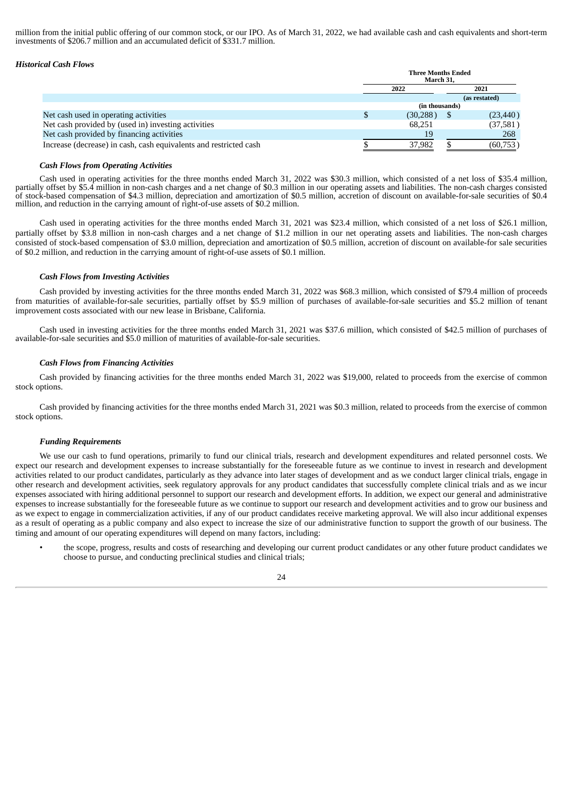million from the initial public offering of our common stock, or our IPO. As of March 31, 2022, we had available cash and cash equivalents and short-term investments of \$206.7 million and an accumulated deficit of \$331.7 million.

## *Historical Cash Flows*

|                                                                   | <b>Three Months Ended</b><br>March 31, |      |               |  |  |
|-------------------------------------------------------------------|----------------------------------------|------|---------------|--|--|
|                                                                   | 2022                                   | 2021 |               |  |  |
|                                                                   |                                        |      | (as restated) |  |  |
|                                                                   | (in thousands)                         |      |               |  |  |
| Net cash used in operating activities                             | (30, 288)                              |      | (23, 440)     |  |  |
| Net cash provided by (used in) investing activities               | 68,251                                 |      | (37,581)      |  |  |
| Net cash provided by financing activities                         | 19                                     |      | 268           |  |  |
| Increase (decrease) in cash, cash equivalents and restricted cash | 37,982                                 |      | (60, 753)     |  |  |

#### *Cash Flows from Operating Activities*

Cash used in operating activities for the three months ended March 31, 2022 was \$30.3 million, which consisted of a net loss of \$35.4 million, partially offset by \$5.4 million in non-cash charges and a net change of \$0.3 million in our operating assets and liabilities. The non-cash charges consisted of stock-based compensation of \$4.3 million, depreciation and amortization of \$0.5 million, accretion of discount on available-for-sale securities of \$0.4 million, and reduction in the carrying amount of right-of-use assets of \$0.2 million.

Cash used in operating activities for the three months ended March 31, 2021 was \$23.4 million, which consisted of a net loss of \$26.1 million, partially offset by \$3.8 million in non-cash charges and a net change of \$1.2 million in our net operating assets and liabilities. The non-cash charges consisted of stock-based compensation of \$3.0 million, depreciation and amortization of \$0.5 million, accretion of discount on available-for sale securities of \$0.2 million, and reduction in the carrying amount of right-of-use assets of \$0.1 million.

# *Cash Flows from Investing Activities*

Cash provided by investing activities for the three months ended March 31, 2022 was \$68.3 million, which consisted of \$79.4 million of proceeds from maturities of available-for-sale securities, partially offset by \$5.9 million of purchases of available-for-sale securities and \$5.2 million of tenant improvement costs associated with our new lease in Brisbane, California.

Cash used in investing activities for the three months ended March 31, 2021 was \$37.6 million, which consisted of \$42.5 million of purchases of available-for-sale securities and \$5.0 million of maturities of available-for-sale securities.

#### *Cash Flows from Financing Activities*

Cash provided by financing activities for the three months ended March 31, 2022 was \$19,000, related to proceeds from the exercise of common stock options.

Cash provided by financing activities for the three months ended March 31, 2021 was \$0.3 million, related to proceeds from the exercise of common stock options.

#### *Funding Requirements*

We use our cash to fund operations, primarily to fund our clinical trials, research and development expenditures and related personnel costs. We expect our research and development expenses to increase substantially for the foreseeable future as we continue to invest in research and development activities related to our product candidates, particularly as they advance into later stages of development and as we conduct larger clinical trials, engage in other research and development activities, seek regulatory approvals for any product candidates that successfully complete clinical trials and as we incur expenses associated with hiring additional personnel to support our research and development efforts. In addition, we expect our general and administrative expenses to increase substantially for the foreseeable future as we continue to support our research and development activities and to grow our business and as we expect to engage in commercialization activities, if any of our product candidates receive marketing approval. We will also incur additional expenses as a result of operating as a public company and also expect to increase the size of our administrative function to support the growth of our business. The timing and amount of our operating expenditures will depend on many factors, including:

• the scope, progress, results and costs of researching and developing our current product candidates or any other future product candidates we choose to pursue, and conducting preclinical studies and clinical trials;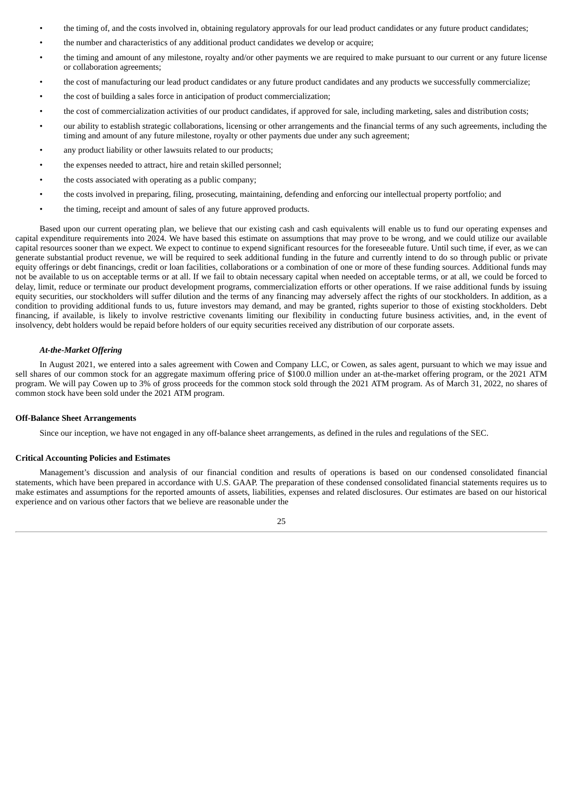- the timing of, and the costs involved in, obtaining regulatory approvals for our lead product candidates or any future product candidates;
- the number and characteristics of any additional product candidates we develop or acquire;
- the timing and amount of any milestone, royalty and/or other payments we are required to make pursuant to our current or any future license or collaboration agreements;
- the cost of manufacturing our lead product candidates or any future product candidates and any products we successfully commercialize;
- the cost of building a sales force in anticipation of product commercialization;
- the cost of commercialization activities of our product candidates, if approved for sale, including marketing, sales and distribution costs;
- our ability to establish strategic collaborations, licensing or other arrangements and the financial terms of any such agreements, including the timing and amount of any future milestone, royalty or other payments due under any such agreement;
- any product liability or other lawsuits related to our products;
- the expenses needed to attract, hire and retain skilled personnel;
- the costs associated with operating as a public company;
- the costs involved in preparing, filing, prosecuting, maintaining, defending and enforcing our intellectual property portfolio; and
- the timing, receipt and amount of sales of any future approved products.

Based upon our current operating plan, we believe that our existing cash and cash equivalents will enable us to fund our operating expenses and capital expenditure requirements into 2024. We have based this estimate on assumptions that may prove to be wrong, and we could utilize our available capital resources sooner than we expect. We expect to continue to expend significant resources for the foreseeable future. Until such time, if ever, as we can generate substantial product revenue, we will be required to seek additional funding in the future and currently intend to do so through public or private equity offerings or debt financings, credit or loan facilities, collaborations or a combination of one or more of these funding sources. Additional funds may not be available to us on acceptable terms or at all. If we fail to obtain necessary capital when needed on acceptable terms, or at all, we could be forced to delay, limit, reduce or terminate our product development programs, commercialization efforts or other operations. If we raise additional funds by issuing equity securities, our stockholders will suffer dilution and the terms of any financing may adversely affect the rights of our stockholders. In addition, as a condition to providing additional funds to us, future investors may demand, and may be granted, rights superior to those of existing stockholders. Debt financing, if available, is likely to involve restrictive covenants limiting our flexibility in conducting future business activities, and, in the event of insolvency, debt holders would be repaid before holders of our equity securities received any distribution of our corporate assets.

# *At-the-Market Offering*

In August 2021, we entered into a sales agreement with Cowen and Company LLC, or Cowen, as sales agent, pursuant to which we may issue and sell shares of our common stock for an aggregate maximum offering price of \$100.0 million under an at-the-market offering program, or the 2021 ATM program. We will pay Cowen up to 3% of gross proceeds for the common stock sold through the 2021 ATM program. As of March 31, 2022, no shares of common stock have been sold under the 2021 ATM program.

# **Off-Balance Sheet Arrangements**

Since our inception, we have not engaged in any off-balance sheet arrangements, as defined in the rules and regulations of the SEC.

#### **Critical Accounting Policies and Estimates**

Management's discussion and analysis of our financial condition and results of operations is based on our condensed consolidated financial statements, which have been prepared in accordance with U.S. GAAP. The preparation of these condensed consolidated financial statements requires us to make estimates and assumptions for the reported amounts of assets, liabilities, expenses and related disclosures. Our estimates are based on our historical experience and on various other factors that we believe are reasonable under the

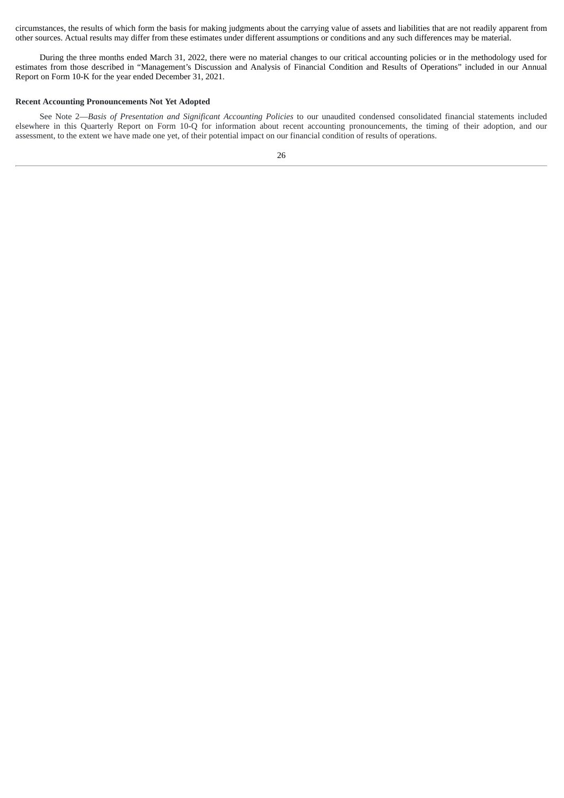circumstances, the results of which form the basis for making judgments about the carrying value of assets and liabilities that are not readily apparent from other sources. Actual results may differ from these estimates under different assumptions or conditions and any such differences may be material.

During the three months ended March 31, 2022, there were no material changes to our critical accounting policies or in the methodology used for estimates from those described in "Management's Discussion and Analysis of Financial Condition and Results of Operations" included in our Annual Report on Form 10-K for the year ended December 31, 2021.

# **Recent Accounting Pronouncements Not Yet Adopted**

See Note 2—*Basis of Presentation and Significant Accounting Policies* to our unaudited condensed consolidated financial statements included elsewhere in this Quarterly Report on Form 10-Q for information about recent accounting pronouncements, the timing of their adoption, and our assessment, to the extent we have made one yet, of their potential impact on our financial condition of results of operations.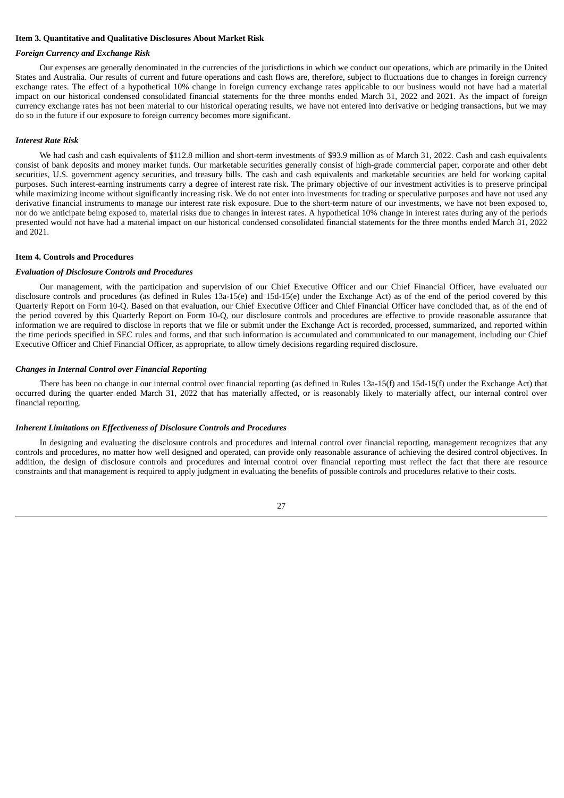#### <span id="page-26-0"></span>**Item 3. Quantitative and Qualitative Disclosures About Market Risk**

#### *Foreign Currency and Exchange Risk*

Our expenses are generally denominated in the currencies of the jurisdictions in which we conduct our operations, which are primarily in the United States and Australia. Our results of current and future operations and cash flows are, therefore, subject to fluctuations due to changes in foreign currency exchange rates. The effect of a hypothetical 10% change in foreign currency exchange rates applicable to our business would not have had a material impact on our historical condensed consolidated financial statements for the three months ended March 31, 2022 and 2021. As the impact of foreign currency exchange rates has not been material to our historical operating results, we have not entered into derivative or hedging transactions, but we may do so in the future if our exposure to foreign currency becomes more significant.

## *Interest Rate Risk*

We had cash and cash equivalents of \$112.8 million and short-term investments of \$93.9 million as of March 31, 2022. Cash and cash equivalents consist of bank deposits and money market funds. Our marketable securities generally consist of high-grade commercial paper, corporate and other debt securities, U.S. government agency securities, and treasury bills. The cash and cash equivalents and marketable securities are held for working capital purposes. Such interest-earning instruments carry a degree of interest rate risk. The primary objective of our investment activities is to preserve principal while maximizing income without significantly increasing risk. We do not enter into investments for trading or speculative purposes and have not used any derivative financial instruments to manage our interest rate risk exposure. Due to the short-term nature of our investments, we have not been exposed to, nor do we anticipate being exposed to, material risks due to changes in interest rates. A hypothetical 10% change in interest rates during any of the periods presented would not have had a material impact on our historical condensed consolidated financial statements for the three months ended March 31, 2022 and 2021.

#### <span id="page-26-1"></span>**Item 4. Controls and Procedures**

#### *Evaluation of Disclosure Controls and Procedures*

Our management, with the participation and supervision of our Chief Executive Officer and our Chief Financial Officer, have evaluated our disclosure controls and procedures (as defined in Rules 13a-15(e) and 15d-15(e) under the Exchange Act) as of the end of the period covered by this Quarterly Report on Form 10-Q. Based on that evaluation, our Chief Executive Officer and Chief Financial Officer have concluded that, as of the end of the period covered by this Quarterly Report on Form 10-Q, our disclosure controls and procedures are effective to provide reasonable assurance that information we are required to disclose in reports that we file or submit under the Exchange Act is recorded, processed, summarized, and reported within the time periods specified in SEC rules and forms, and that such information is accumulated and communicated to our management, including our Chief Executive Officer and Chief Financial Officer, as appropriate, to allow timely decisions regarding required disclosure.

#### *Changes in Internal Control over Financial Reporting*

There has been no change in our internal control over financial reporting (as defined in Rules 13a-15(f) and 15d-15(f) under the Exchange Act) that occurred during the quarter ended March 31, 2022 that has materially affected, or is reasonably likely to materially affect, our internal control over financial reporting.

#### *Inherent Limitations on Effectiveness of Disclosure Controls and Procedures*

In designing and evaluating the disclosure controls and procedures and internal control over financial reporting, management recognizes that any controls and procedures, no matter how well designed and operated, can provide only reasonable assurance of achieving the desired control objectives. In addition, the design of disclosure controls and procedures and internal control over financial reporting must reflect the fact that there are resource constraints and that management is required to apply judgment in evaluating the benefits of possible controls and procedures relative to their costs.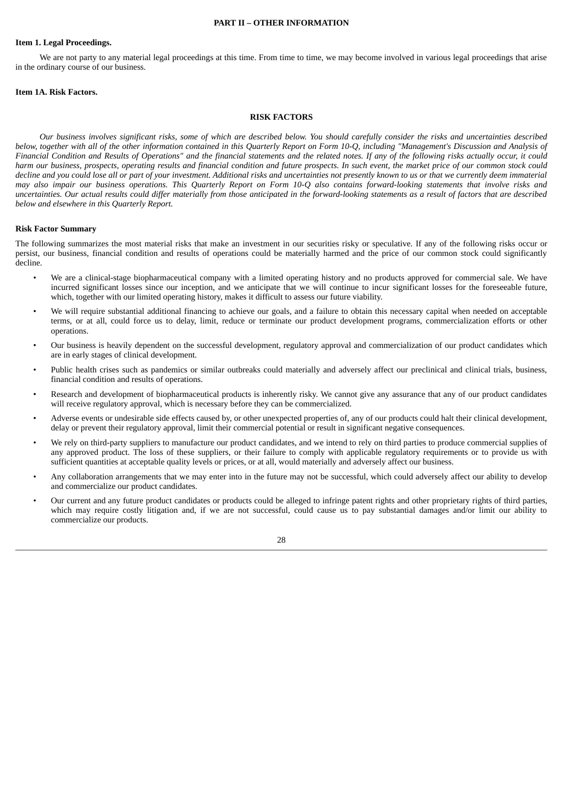#### **PART II – OTHER INFORMATION**

#### <span id="page-27-0"></span>**Item 1. Legal Proceedings.**

We are not party to any material legal proceedings at this time. From time to time, we may become involved in various legal proceedings that arise in the ordinary course of our business.

#### <span id="page-27-1"></span>**Item 1A. Risk Factors.**

#### **RISK FACTORS**

Our business involves significant risks, some of which are described below. You should carefully consider the risks and uncertainties described below, together with all of the other information contained in this Quarterly Report on Form 10-O, including "Management's Discussion and Analysis of Financial Condition and Results of Operations" and the financial statements and the related notes. If any of the following risks actually occur, it could harm our business, prospects, operating results and financial condition and future prospects. In such event, the market price of our common stock could decline and you could lose all or part of your investment. Additional risks and uncertainties not presently known to us or that we currently deem immaterial may also impair our business operations. This Quarterly Report on Form 10-Q also contains forward-looking statements that involve risks and uncertainties. Our actual results could differ materially from those anticipated in the forward-looking statements as a result of factors that are described *below and elsewhere in this Quarterly Report.*

#### **Risk Factor Summary**

The following summarizes the most material risks that make an investment in our securities risky or speculative. If any of the following risks occur or persist, our business, financial condition and results of operations could be materially harmed and the price of our common stock could significantly decline.

- We are a clinical-stage biopharmaceutical company with a limited operating history and no products approved for commercial sale. We have incurred significant losses since our inception, and we anticipate that we will continue to incur significant losses for the foreseeable future, which, together with our limited operating history, makes it difficult to assess our future viability.
- We will require substantial additional financing to achieve our goals, and a failure to obtain this necessary capital when needed on acceptable terms, or at all, could force us to delay, limit, reduce or terminate our product development programs, commercialization efforts or other operations.
- Our business is heavily dependent on the successful development, regulatory approval and commercialization of our product candidates which are in early stages of clinical development.
- Public health crises such as pandemics or similar outbreaks could materially and adversely affect our preclinical and clinical trials, business, financial condition and results of operations.
- Research and development of biopharmaceutical products is inherently risky. We cannot give any assurance that any of our product candidates will receive regulatory approval, which is necessary before they can be commercialized.
- Adverse events or undesirable side effects caused by, or other unexpected properties of, any of our products could halt their clinical development, delay or prevent their regulatory approval, limit their commercial potential or result in significant negative consequences.
- We rely on third-party suppliers to manufacture our product candidates, and we intend to rely on third parties to produce commercial supplies of any approved product. The loss of these suppliers, or their failure to comply with applicable regulatory requirements or to provide us with sufficient quantities at acceptable quality levels or prices, or at all, would materially and adversely affect our business.
- Any collaboration arrangements that we may enter into in the future may not be successful, which could adversely affect our ability to develop and commercialize our product candidates.
- Our current and any future product candidates or products could be alleged to infringe patent rights and other proprietary rights of third parties, which may require costly litigation and, if we are not successful, could cause us to pay substantial damages and/or limit our ability to commercialize our products.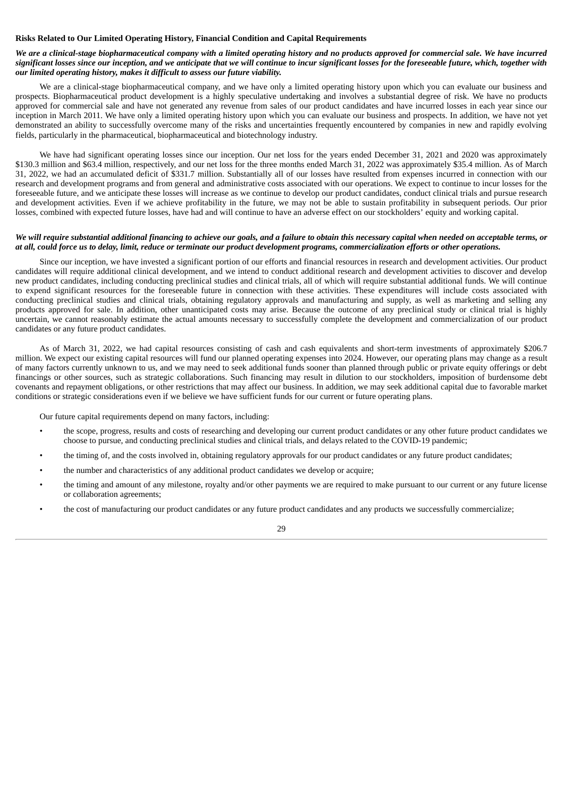## **Risks Related to Our Limited Operating History, Financial Condition and Capital Requirements**

# We are a clinical-stage biopharmaceutical company with a limited operating history and no products approved for commercial sale. We have incurred significant losses since our inception, and we anticipate that we will continue to incur significant losses for the foreseeable future, which, together with *our limited operating history, makes it difficult to assess our future viability.*

We are a clinical-stage biopharmaceutical company, and we have only a limited operating history upon which you can evaluate our business and prospects. Biopharmaceutical product development is a highly speculative undertaking and involves a substantial degree of risk. We have no products approved for commercial sale and have not generated any revenue from sales of our product candidates and have incurred losses in each year since our inception in March 2011. We have only a limited operating history upon which you can evaluate our business and prospects. In addition, we have not yet demonstrated an ability to successfully overcome many of the risks and uncertainties frequently encountered by companies in new and rapidly evolving fields, particularly in the pharmaceutical, biopharmaceutical and biotechnology industry.

We have had significant operating losses since our inception. Our net loss for the years ended December 31, 2021 and 2020 was approximately \$130.3 million and \$63.4 million, respectively, and our net loss for the three months ended March 31, 2022 was approximately \$35.4 million. As of March 31, 2022, we had an accumulated deficit of \$331.7 million. Substantially all of our losses have resulted from expenses incurred in connection with our research and development programs and from general and administrative costs associated with our operations. We expect to continue to incur losses for the foreseeable future, and we anticipate these losses will increase as we continue to develop our product candidates, conduct clinical trials and pursue research and development activities. Even if we achieve profitability in the future, we may not be able to sustain profitability in subsequent periods. Our prior losses, combined with expected future losses, have had and will continue to have an adverse effect on our stockholders' equity and working capital.

#### We will require substantial additional financing to achieve our goals, and a failure to obtain this necessary capital when needed on acceptable terms, or at all, could force us to delay, limit, reduce or terminate our product development programs, commercialization efforts or other operations,

Since our inception, we have invested a significant portion of our efforts and financial resources in research and development activities. Our product candidates will require additional clinical development, and we intend to conduct additional research and development activities to discover and develop new product candidates, including conducting preclinical studies and clinical trials, all of which will require substantial additional funds. We will continue to expend significant resources for the foreseeable future in connection with these activities. These expenditures will include costs associated with conducting preclinical studies and clinical trials, obtaining regulatory approvals and manufacturing and supply, as well as marketing and selling any products approved for sale. In addition, other unanticipated costs may arise. Because the outcome of any preclinical study or clinical trial is highly uncertain, we cannot reasonably estimate the actual amounts necessary to successfully complete the development and commercialization of our product candidates or any future product candidates.

As of March 31, 2022, we had capital resources consisting of cash and cash equivalents and short-term investments of approximately \$206.7 million. We expect our existing capital resources will fund our planned operating expenses into 2024. However, our operating plans may change as a result of many factors currently unknown to us, and we may need to seek additional funds sooner than planned through public or private equity offerings or debt financings or other sources, such as strategic collaborations. Such financing may result in dilution to our stockholders, imposition of burdensome debt covenants and repayment obligations, or other restrictions that may affect our business. In addition, we may seek additional capital due to favorable market conditions or strategic considerations even if we believe we have sufficient funds for our current or future operating plans.

Our future capital requirements depend on many factors, including:

- the scope, progress, results and costs of researching and developing our current product candidates or any other future product candidates we choose to pursue, and conducting preclinical studies and clinical trials, and delays related to the COVID-19 pandemic;
- the timing of, and the costs involved in, obtaining regulatory approvals for our product candidates or any future product candidates;
- the number and characteristics of any additional product candidates we develop or acquire;
- the timing and amount of any milestone, royalty and/or other payments we are required to make pursuant to our current or any future license or collaboration agreements;
- the cost of manufacturing our product candidates or any future product candidates and any products we successfully commercialize;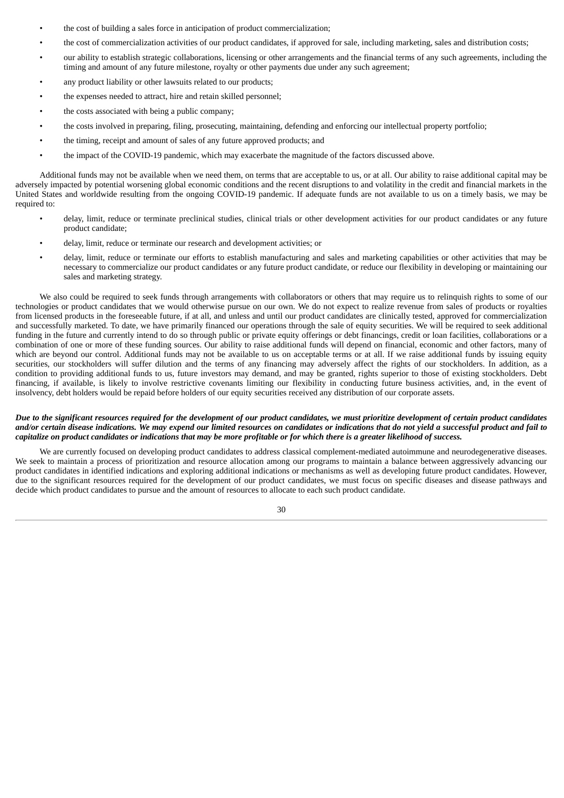- the cost of building a sales force in anticipation of product commercialization;
- the cost of commercialization activities of our product candidates, if approved for sale, including marketing, sales and distribution costs;
- our ability to establish strategic collaborations, licensing or other arrangements and the financial terms of any such agreements, including the timing and amount of any future milestone, royalty or other payments due under any such agreement;
- any product liability or other lawsuits related to our products;
- the expenses needed to attract, hire and retain skilled personnel;
- the costs associated with being a public company;
- the costs involved in preparing, filing, prosecuting, maintaining, defending and enforcing our intellectual property portfolio;
- the timing, receipt and amount of sales of any future approved products; and
- the impact of the COVID-19 pandemic, which may exacerbate the magnitude of the factors discussed above.

Additional funds may not be available when we need them, on terms that are acceptable to us, or at all. Our ability to raise additional capital may be adversely impacted by potential worsening global economic conditions and the recent disruptions to and volatility in the credit and financial markets in the United States and worldwide resulting from the ongoing COVID-19 pandemic. If adequate funds are not available to us on a timely basis, we may be required to:

- delay, limit, reduce or terminate preclinical studies, clinical trials or other development activities for our product candidates or any future product candidate;
- delay, limit, reduce or terminate our research and development activities; or
- delay, limit, reduce or terminate our efforts to establish manufacturing and sales and marketing capabilities or other activities that may be necessary to commercialize our product candidates or any future product candidate, or reduce our flexibility in developing or maintaining our sales and marketing strategy.

We also could be required to seek funds through arrangements with collaborators or others that may require us to relinquish rights to some of our technologies or product candidates that we would otherwise pursue on our own. We do not expect to realize revenue from sales of products or royalties from licensed products in the foreseeable future, if at all, and unless and until our product candidates are clinically tested, approved for commercialization and successfully marketed. To date, we have primarily financed our operations through the sale of equity securities. We will be required to seek additional funding in the future and currently intend to do so through public or private equity offerings or debt financings, credit or loan facilities, collaborations or a combination of one or more of these funding sources. Our ability to raise additional funds will depend on financial, economic and other factors, many of which are beyond our control. Additional funds may not be available to us on acceptable terms or at all. If we raise additional funds by issuing equity securities, our stockholders will suffer dilution and the terms of any financing may adversely affect the rights of our stockholders. In addition, as a condition to providing additional funds to us, future investors may demand, and may be granted, rights superior to those of existing stockholders. Debt financing, if available, is likely to involve restrictive covenants limiting our flexibility in conducting future business activities, and, in the event of insolvency, debt holders would be repaid before holders of our equity securities received any distribution of our corporate assets.

#### Due to the significant resources required for the development of our product candidates, we must prioritize development of certain product candidates and/or certain disease indications. We may expend our limited resources on candidates or indications that do not yield a successful product and fail to capitalize on product candidates or indications that may be more profitable or for which there is a greater likelihood of success.

We are currently focused on developing product candidates to address classical complement-mediated autoimmune and neurodegenerative diseases. We seek to maintain a process of prioritization and resource allocation among our programs to maintain a balance between aggressively advancing our product candidates in identified indications and exploring additional indications or mechanisms as well as developing future product candidates. However, due to the significant resources required for the development of our product candidates, we must focus on specific diseases and disease pathways and decide which product candidates to pursue and the amount of resources to allocate to each such product candidate.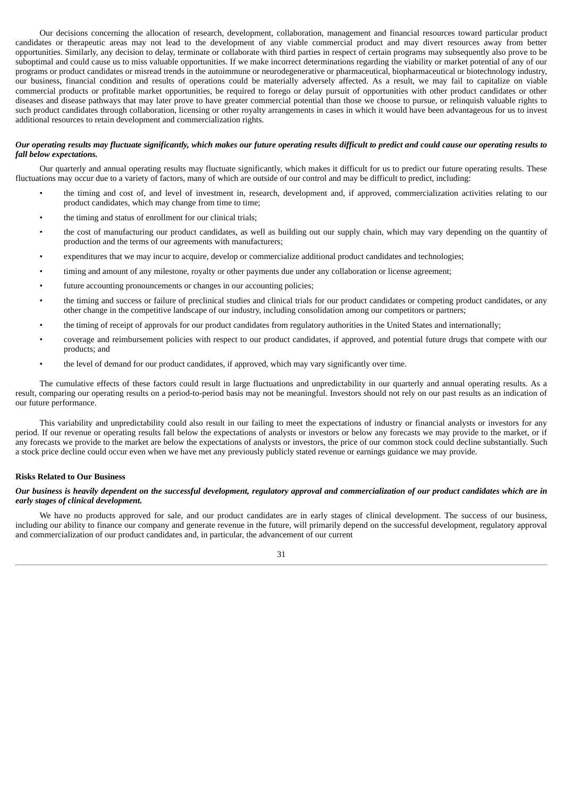Our decisions concerning the allocation of research, development, collaboration, management and financial resources toward particular product candidates or therapeutic areas may not lead to the development of any viable commercial product and may divert resources away from better opportunities. Similarly, any decision to delay, terminate or collaborate with third parties in respect of certain programs may subsequently also prove to be suboptimal and could cause us to miss valuable opportunities. If we make incorrect determinations regarding the viability or market potential of any of our programs or product candidates or misread trends in the autoimmune or neurodegenerative or pharmaceutical, biopharmaceutical or biotechnology industry, our business, financial condition and results of operations could be materially adversely affected. As a result, we may fail to capitalize on viable commercial products or profitable market opportunities, be required to forego or delay pursuit of opportunities with other product candidates or other diseases and disease pathways that may later prove to have greater commercial potential than those we choose to pursue, or relinquish valuable rights to such product candidates through collaboration, licensing or other royalty arrangements in cases in which it would have been advantageous for us to invest additional resources to retain development and commercialization rights.

# Our operating results may fluctuate significantly, which makes our future operating results difficult to predict and could cause our operating results to *fall below expectations.*

Our quarterly and annual operating results may fluctuate significantly, which makes it difficult for us to predict our future operating results. These fluctuations may occur due to a variety of factors, many of which are outside of our control and may be difficult to predict, including:

- the timing and cost of, and level of investment in, research, development and, if approved, commercialization activities relating to our product candidates, which may change from time to time;
- the timing and status of enrollment for our clinical trials;
- the cost of manufacturing our product candidates, as well as building out our supply chain, which may vary depending on the quantity of production and the terms of our agreements with manufacturers;
- expenditures that we may incur to acquire, develop or commercialize additional product candidates and technologies;
- timing and amount of any milestone, royalty or other payments due under any collaboration or license agreement;
- future accounting pronouncements or changes in our accounting policies;
- the timing and success or failure of preclinical studies and clinical trials for our product candidates or competing product candidates, or any other change in the competitive landscape of our industry, including consolidation among our competitors or partners;
- the timing of receipt of approvals for our product candidates from regulatory authorities in the United States and internationally;
- coverage and reimbursement policies with respect to our product candidates, if approved, and potential future drugs that compete with our products; and
- the level of demand for our product candidates, if approved, which may vary significantly over time.

The cumulative effects of these factors could result in large fluctuations and unpredictability in our quarterly and annual operating results. As a result, comparing our operating results on a period-to-period basis may not be meaningful. Investors should not rely on our past results as an indication of our future performance.

This variability and unpredictability could also result in our failing to meet the expectations of industry or financial analysts or investors for any period. If our revenue or operating results fall below the expectations of analysts or investors or below any forecasts we may provide to the market, or if any forecasts we provide to the market are below the expectations of analysts or investors, the price of our common stock could decline substantially. Such a stock price decline could occur even when we have met any previously publicly stated revenue or earnings guidance we may provide.

# **Risks Related to Our Business**

# Our business is heavily dependent on the successful development, regulatory approval and commercialization of our product candidates which are in *early stages of clinical development.*

We have no products approved for sale, and our product candidates are in early stages of clinical development. The success of our business, including our ability to finance our company and generate revenue in the future, will primarily depend on the successful development, regulatory approval and commercialization of our product candidates and, in particular, the advancement of our current

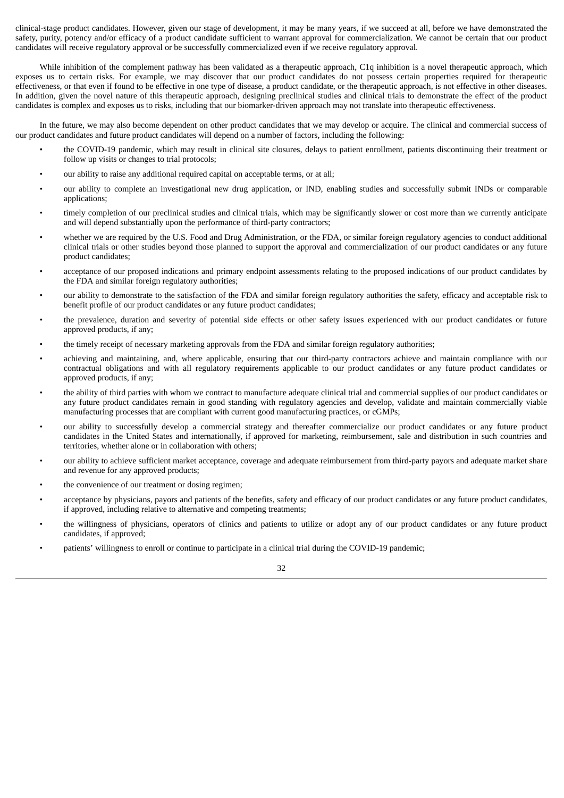clinical-stage product candidates. However, given our stage of development, it may be many years, if we succeed at all, before we have demonstrated the safety, purity, potency and/or efficacy of a product candidate sufficient to warrant approval for commercialization. We cannot be certain that our product candidates will receive regulatory approval or be successfully commercialized even if we receive regulatory approval.

While inhibition of the complement pathway has been validated as a therapeutic approach, C1q inhibition is a novel therapeutic approach, which exposes us to certain risks. For example, we may discover that our product candidates do not possess certain properties required for therapeutic effectiveness, or that even if found to be effective in one type of disease, a product candidate, or the therapeutic approach, is not effective in other diseases. In addition, given the novel nature of this therapeutic approach, designing preclinical studies and clinical trials to demonstrate the effect of the product candidates is complex and exposes us to risks, including that our biomarker-driven approach may not translate into therapeutic effectiveness.

In the future, we may also become dependent on other product candidates that we may develop or acquire. The clinical and commercial success of our product candidates and future product candidates will depend on a number of factors, including the following:

- the COVID-19 pandemic, which may result in clinical site closures, delays to patient enrollment, patients discontinuing their treatment or follow up visits or changes to trial protocols;
- our ability to raise any additional required capital on acceptable terms, or at all;
- our ability to complete an investigational new drug application, or IND, enabling studies and successfully submit INDs or comparable applications;
- timely completion of our preclinical studies and clinical trials, which may be significantly slower or cost more than we currently anticipate and will depend substantially upon the performance of third-party contractors;
- whether we are required by the U.S. Food and Drug Administration, or the FDA, or similar foreign regulatory agencies to conduct additional clinical trials or other studies beyond those planned to support the approval and commercialization of our product candidates or any future product candidates;
- acceptance of our proposed indications and primary endpoint assessments relating to the proposed indications of our product candidates by the FDA and similar foreign regulatory authorities;
- our ability to demonstrate to the satisfaction of the FDA and similar foreign regulatory authorities the safety, efficacy and acceptable risk to benefit profile of our product candidates or any future product candidates;
- the prevalence, duration and severity of potential side effects or other safety issues experienced with our product candidates or future approved products, if any;
- the timely receipt of necessary marketing approvals from the FDA and similar foreign regulatory authorities;
- achieving and maintaining, and, where applicable, ensuring that our third-party contractors achieve and maintain compliance with our contractual obligations and with all regulatory requirements applicable to our product candidates or any future product candidates or approved products, if any;
- the ability of third parties with whom we contract to manufacture adequate clinical trial and commercial supplies of our product candidates or any future product candidates remain in good standing with regulatory agencies and develop, validate and maintain commercially viable manufacturing processes that are compliant with current good manufacturing practices, or cGMPs;
- our ability to successfully develop a commercial strategy and thereafter commercialize our product candidates or any future product candidates in the United States and internationally, if approved for marketing, reimbursement, sale and distribution in such countries and territories, whether alone or in collaboration with others;
- our ability to achieve sufficient market acceptance, coverage and adequate reimbursement from third-party payors and adequate market share and revenue for any approved products;
- the convenience of our treatment or dosing regimen;
- acceptance by physicians, payors and patients of the benefits, safety and efficacy of our product candidates or any future product candidates, if approved, including relative to alternative and competing treatments;
- the willingness of physicians, operators of clinics and patients to utilize or adopt any of our product candidates or any future product candidates, if approved;
- patients' willingness to enroll or continue to participate in a clinical trial during the COVID-19 pandemic;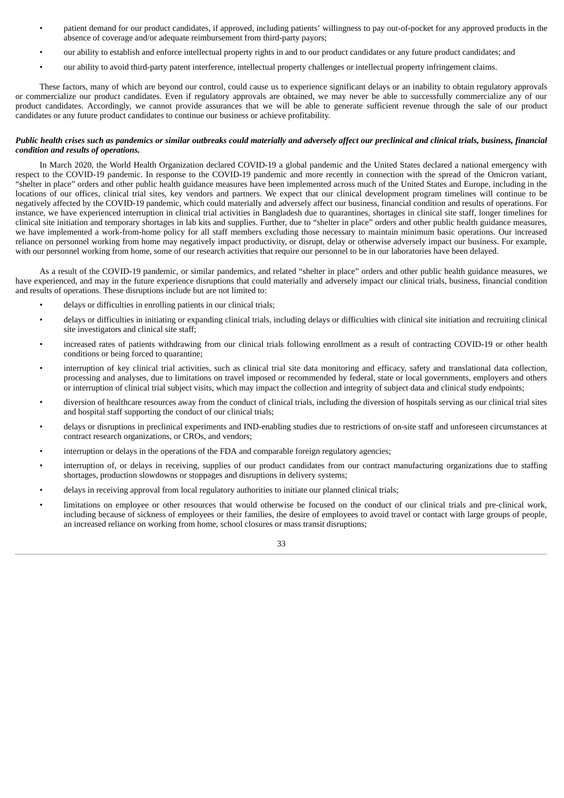- patient demand for our product candidates, if approved, including patients' willingness to pay out-of-pocket for any approved products in the absence of coverage and/or adequate reimbursement from third-party payors;
- our ability to establish and enforce intellectual property rights in and to our product candidates or any future product candidates; and
- our ability to avoid third-party patent interference, intellectual property challenges or intellectual property infringement claims.

These factors, many of which are beyond our control, could cause us to experience significant delays or an inability to obtain regulatory approvals or commercialize our product candidates. Even if regulatory approvals are obtained, we may never be able to successfully commercialize any of our product candidates. Accordingly, we cannot provide assurances that we will be able to generate sufficient revenue through the sale of our product candidates or any future product candidates to continue our business or achieve profitability.

# Public health crises such as pandemics or similar outbreaks could materially and adversely affect our preclinical and clinical trials, business, financial *condition and results of operations.*

In March 2020, the World Health Organization declared COVID-19 a global pandemic and the United States declared a national emergency with respect to the COVID-19 pandemic. In response to the COVID-19 pandemic and more recently in connection with the spread of the Omicron variant, "shelter in place" orders and other public health guidance measures have been implemented across much of the United States and Europe, including in the locations of our offices, clinical trial sites, key vendors and partners. We expect that our clinical development program timelines will continue to be negatively affected by the COVID-19 pandemic, which could materially and adversely affect our business, financial condition and results of operations. For instance, we have experienced interruption in clinical trial activities in Bangladesh due to quarantines, shortages in clinical site staff, longer timelines for clinical site initiation and temporary shortages in lab kits and supplies. Further, due to "shelter in place" orders and other public health guidance measures, we have implemented a work-from-home policy for all staff members excluding those necessary to maintain minimum basic operations. Our increased reliance on personnel working from home may negatively impact productivity, or disrupt, delay or otherwise adversely impact our business. For example, with our personnel working from home, some of our research activities that require our personnel to be in our laboratories have been delayed.

As a result of the COVID-19 pandemic, or similar pandemics, and related "shelter in place" orders and other public health guidance measures, we have experienced, and may in the future experience disruptions that could materially and adversely impact our clinical trials, business, financial condition and results of operations. These disruptions include but are not limited to:

- delays or difficulties in enrolling patients in our clinical trials;
- delays or difficulties in initiating or expanding clinical trials, including delays or difficulties with clinical site initiation and recruiting clinical site investigators and clinical site staff;
- increased rates of patients withdrawing from our clinical trials following enrollment as a result of contracting COVID-19 or other health conditions or being forced to quarantine;
- interruption of key clinical trial activities, such as clinical trial site data monitoring and efficacy, safety and translational data collection, processing and analyses, due to limitations on travel imposed or recommended by federal, state or local governments, employers and others or interruption of clinical trial subject visits, which may impact the collection and integrity of subject data and clinical study endpoints;
- diversion of healthcare resources away from the conduct of clinical trials, including the diversion of hospitals serving as our clinical trial sites and hospital staff supporting the conduct of our clinical trials;
- delays or disruptions in preclinical experiments and IND-enabling studies due to restrictions of on-site staff and unforeseen circumstances at contract research organizations, or CROs, and vendors;
- interruption or delays in the operations of the FDA and comparable foreign regulatory agencies;
- interruption of, or delays in receiving, supplies of our product candidates from our contract manufacturing organizations due to staffing shortages, production slowdowns or stoppages and disruptions in delivery systems;
- delays in receiving approval from local regulatory authorities to initiate our planned clinical trials;
- limitations on employee or other resources that would otherwise be focused on the conduct of our clinical trials and pre-clinical work, including because of sickness of employees or their families, the desire of employees to avoid travel or contact with large groups of people, an increased reliance on working from home, school closures or mass transit disruptions;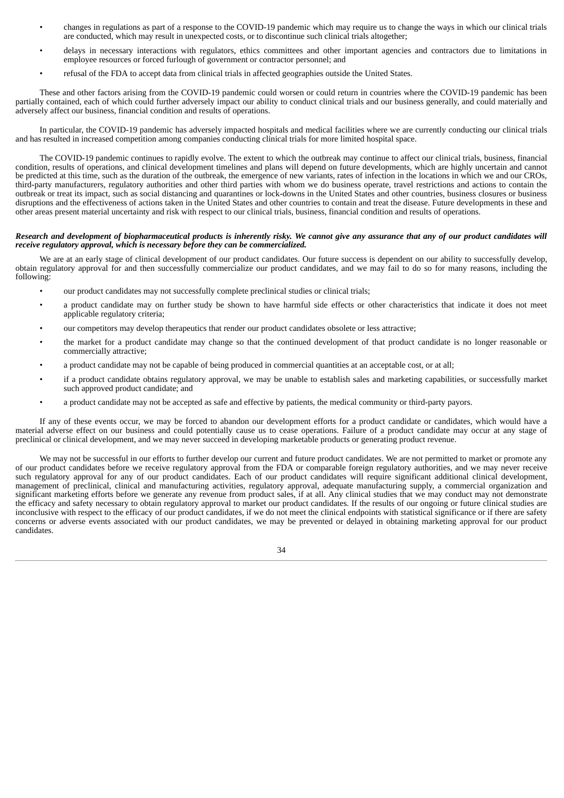- changes in regulations as part of a response to the COVID-19 pandemic which may require us to change the ways in which our clinical trials are conducted, which may result in unexpected costs, or to discontinue such clinical trials altogether;
- delays in necessary interactions with regulators, ethics committees and other important agencies and contractors due to limitations in employee resources or forced furlough of government or contractor personnel; and
- refusal of the FDA to accept data from clinical trials in affected geographies outside the United States.

These and other factors arising from the COVID-19 pandemic could worsen or could return in countries where the COVID-19 pandemic has been partially contained, each of which could further adversely impact our ability to conduct clinical trials and our business generally, and could materially and adversely affect our business, financial condition and results of operations.

In particular, the COVID-19 pandemic has adversely impacted hospitals and medical facilities where we are currently conducting our clinical trials and has resulted in increased competition among companies conducting clinical trials for more limited hospital space.

The COVID-19 pandemic continues to rapidly evolve. The extent to which the outbreak may continue to affect our clinical trials, business, financial condition, results of operations, and clinical development timelines and plans will depend on future developments, which are highly uncertain and cannot be predicted at this time, such as the duration of the outbreak, the emergence of new variants, rates of infection in the locations in which we and our CROs, third-party manufacturers, regulatory authorities and other third parties with whom we do business operate, travel restrictions and actions to contain the outbreak or treat its impact, such as social distancing and quarantines or lock-downs in the United States and other countries, business closures or business disruptions and the effectiveness of actions taken in the United States and other countries to contain and treat the disease. Future developments in these and other areas present material uncertainty and risk with respect to our clinical trials, business, financial condition and results of operations.

# Research and development of biopharmaceutical products is inherently risky. We cannot give any assurance that any of our product candidates will *receive regulatory approval, which is necessary before they can be commercialized.*

We are at an early stage of clinical development of our product candidates. Our future success is dependent on our ability to successfully develop, obtain regulatory approval for and then successfully commercialize our product candidates, and we may fail to do so for many reasons, including the following:

- our product candidates may not successfully complete preclinical studies or clinical trials;
- a product candidate may on further study be shown to have harmful side effects or other characteristics that indicate it does not meet applicable regulatory criteria;
- our competitors may develop therapeutics that render our product candidates obsolete or less attractive;
- the market for a product candidate may change so that the continued development of that product candidate is no longer reasonable or commercially attractive;
- a product candidate may not be capable of being produced in commercial quantities at an acceptable cost, or at all;
- if a product candidate obtains regulatory approval, we may be unable to establish sales and marketing capabilities, or successfully market such approved product candidate; and
- a product candidate may not be accepted as safe and effective by patients, the medical community or third-party payors.

If any of these events occur, we may be forced to abandon our development efforts for a product candidate or candidates, which would have a material adverse effect on our business and could potentially cause us to cease operations. Failure of a product candidate may occur at any stage of preclinical or clinical development, and we may never succeed in developing marketable products or generating product revenue.

We may not be successful in our efforts to further develop our current and future product candidates. We are not permitted to market or promote any of our product candidates before we receive regulatory approval from the FDA or comparable foreign regulatory authorities, and we may never receive such regulatory approval for any of our product candidates. Each of our product candidates will require significant additional clinical development, management of preclinical, clinical and manufacturing activities, regulatory approval, adequate manufacturing supply, a commercial organization and significant marketing efforts before we generate any revenue from product sales, if at all. Any clinical studies that we may conduct may not demonstrate the efficacy and safety necessary to obtain regulatory approval to market our product candidates. If the results of our ongoing or future clinical studies are inconclusive with respect to the efficacy of our product candidates, if we do not meet the clinical endpoints with statistical significance or if there are safety concerns or adverse events associated with our product candidates, we may be prevented or delayed in obtaining marketing approval for our product candidates.

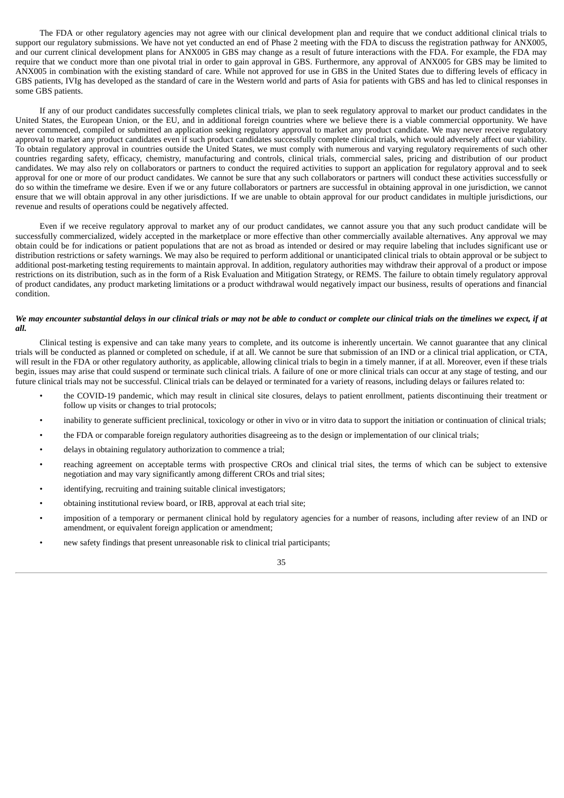The FDA or other regulatory agencies may not agree with our clinical development plan and require that we conduct additional clinical trials to support our regulatory submissions. We have not yet conducted an end of Phase 2 meeting with the FDA to discuss the registration pathway for ANX005, and our current clinical development plans for ANX005 in GBS may change as a result of future interactions with the FDA. For example, the FDA may require that we conduct more than one pivotal trial in order to gain approval in GBS. Furthermore, any approval of ANX005 for GBS may be limited to ANX005 in combination with the existing standard of care. While not approved for use in GBS in the United States due to differing levels of efficacy in GBS patients, IVIg has developed as the standard of care in the Western world and parts of Asia for patients with GBS and has led to clinical responses in some GBS patients.

If any of our product candidates successfully completes clinical trials, we plan to seek regulatory approval to market our product candidates in the United States, the European Union, or the EU, and in additional foreign countries where we believe there is a viable commercial opportunity. We have never commenced, compiled or submitted an application seeking regulatory approval to market any product candidate. We may never receive regulatory approval to market any product candidates even if such product candidates successfully complete clinical trials, which would adversely affect our viability. To obtain regulatory approval in countries outside the United States, we must comply with numerous and varying regulatory requirements of such other countries regarding safety, efficacy, chemistry, manufacturing and controls, clinical trials, commercial sales, pricing and distribution of our product candidates. We may also rely on collaborators or partners to conduct the required activities to support an application for regulatory approval and to seek approval for one or more of our product candidates. We cannot be sure that any such collaborators or partners will conduct these activities successfully or do so within the timeframe we desire. Even if we or any future collaborators or partners are successful in obtaining approval in one jurisdiction, we cannot ensure that we will obtain approval in any other jurisdictions. If we are unable to obtain approval for our product candidates in multiple jurisdictions, our revenue and results of operations could be negatively affected.

Even if we receive regulatory approval to market any of our product candidates, we cannot assure you that any such product candidate will be successfully commercialized, widely accepted in the marketplace or more effective than other commercially available alternatives. Any approval we may obtain could be for indications or patient populations that are not as broad as intended or desired or may require labeling that includes significant use or distribution restrictions or safety warnings. We may also be required to perform additional or unanticipated clinical trials to obtain approval or be subject to additional post-marketing testing requirements to maintain approval. In addition, regulatory authorities may withdraw their approval of a product or impose restrictions on its distribution, such as in the form of a Risk Evaluation and Mitigation Strategy, or REMS. The failure to obtain timely regulatory approval of product candidates, any product marketing limitations or a product withdrawal would negatively impact our business, results of operations and financial condition.

## We may encounter substantial delays in our clinical trials or may not be able to conduct or complete our clinical trials on the timelines we expect, if at *all.*

Clinical testing is expensive and can take many years to complete, and its outcome is inherently uncertain. We cannot guarantee that any clinical trials will be conducted as planned or completed on schedule, if at all. We cannot be sure that submission of an IND or a clinical trial application, or CTA, will result in the FDA or other regulatory authority, as applicable, allowing clinical trials to begin in a timely manner, if at all. Moreover, even if these trials begin, issues may arise that could suspend or terminate such clinical trials. A failure of one or more clinical trials can occur at any stage of testing, and our future clinical trials may not be successful. Clinical trials can be delayed or terminated for a variety of reasons, including delays or failures related to:

- the COVID-19 pandemic, which may result in clinical site closures, delays to patient enrollment, patients discontinuing their treatment or follow up visits or changes to trial protocols;
- inability to generate sufficient preclinical, toxicology or other in vivo or in vitro data to support the initiation or continuation of clinical trials;
- the FDA or comparable foreign regulatory authorities disagreeing as to the design or implementation of our clinical trials;
- delays in obtaining regulatory authorization to commence a trial;
- reaching agreement on acceptable terms with prospective CROs and clinical trial sites, the terms of which can be subject to extensive negotiation and may vary significantly among different CROs and trial sites;
- identifying, recruiting and training suitable clinical investigators;
- obtaining institutional review board, or IRB, approval at each trial site;
- imposition of a temporary or permanent clinical hold by regulatory agencies for a number of reasons, including after review of an IND or amendment, or equivalent foreign application or amendment;
- new safety findings that present unreasonable risk to clinical trial participants;

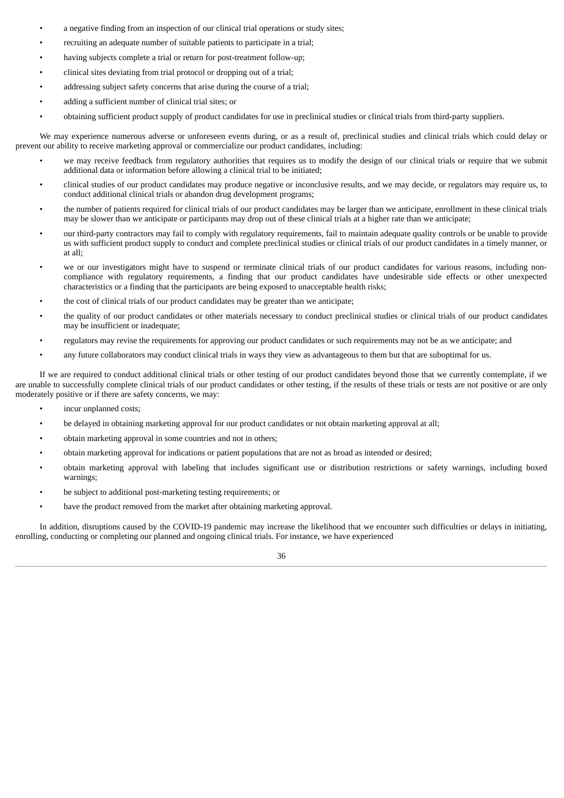- a negative finding from an inspection of our clinical trial operations or study sites;
- recruiting an adequate number of suitable patients to participate in a trial;
- having subjects complete a trial or return for post-treatment follow-up;
- clinical sites deviating from trial protocol or dropping out of a trial;
- addressing subject safety concerns that arise during the course of a trial;
- adding a sufficient number of clinical trial sites; or
- obtaining sufficient product supply of product candidates for use in preclinical studies or clinical trials from third-party suppliers.

We may experience numerous adverse or unforeseen events during, or as a result of, preclinical studies and clinical trials which could delay or prevent our ability to receive marketing approval or commercialize our product candidates, including:

- we may receive feedback from regulatory authorities that requires us to modify the design of our clinical trials or require that we submit additional data or information before allowing a clinical trial to be initiated;
- clinical studies of our product candidates may produce negative or inconclusive results, and we may decide, or regulators may require us, to conduct additional clinical trials or abandon drug development programs;
- the number of patients required for clinical trials of our product candidates may be larger than we anticipate, enrollment in these clinical trials may be slower than we anticipate or participants may drop out of these clinical trials at a higher rate than we anticipate;
- our third-party contractors may fail to comply with regulatory requirements, fail to maintain adequate quality controls or be unable to provide us with sufficient product supply to conduct and complete preclinical studies or clinical trials of our product candidates in a timely manner, or at all;
- we or our investigators might have to suspend or terminate clinical trials of our product candidates for various reasons, including noncompliance with regulatory requirements, a finding that our product candidates have undesirable side effects or other unexpected characteristics or a finding that the participants are being exposed to unacceptable health risks;
- the cost of clinical trials of our product candidates may be greater than we anticipate;
- the quality of our product candidates or other materials necessary to conduct preclinical studies or clinical trials of our product candidates may be insufficient or inadequate;
- regulators may revise the requirements for approving our product candidates or such requirements may not be as we anticipate; and
- any future collaborators may conduct clinical trials in ways they view as advantageous to them but that are suboptimal for us.

If we are required to conduct additional clinical trials or other testing of our product candidates beyond those that we currently contemplate, if we are unable to successfully complete clinical trials of our product candidates or other testing, if the results of these trials or tests are not positive or are only moderately positive or if there are safety concerns, we may:

- incur unplanned costs;
- be delayed in obtaining marketing approval for our product candidates or not obtain marketing approval at all;
- obtain marketing approval in some countries and not in others;
- obtain marketing approval for indications or patient populations that are not as broad as intended or desired;
- obtain marketing approval with labeling that includes significant use or distribution restrictions or safety warnings, including boxed warnings;
- be subject to additional post-marketing testing requirements; or
- have the product removed from the market after obtaining marketing approval.

In addition, disruptions caused by the COVID-19 pandemic may increase the likelihood that we encounter such difficulties or delays in initiating, enrolling, conducting or completing our planned and ongoing clinical trials. For instance, we have experienced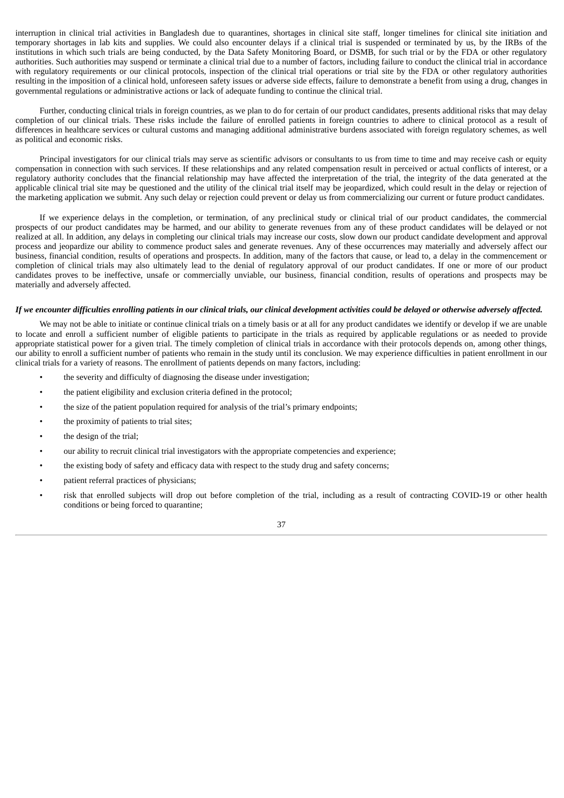interruption in clinical trial activities in Bangladesh due to quarantines, shortages in clinical site staff, longer timelines for clinical site initiation and temporary shortages in lab kits and supplies. We could also encounter delays if a clinical trial is suspended or terminated by us, by the IRBs of the institutions in which such trials are being conducted, by the Data Safety Monitoring Board, or DSMB, for such trial or by the FDA or other regulatory authorities. Such authorities may suspend or terminate a clinical trial due to a number of factors, including failure to conduct the clinical trial in accordance with regulatory requirements or our clinical protocols, inspection of the clinical trial operations or trial site by the FDA or other regulatory authorities resulting in the imposition of a clinical hold, unforeseen safety issues or adverse side effects, failure to demonstrate a benefit from using a drug, changes in governmental regulations or administrative actions or lack of adequate funding to continue the clinical trial.

Further, conducting clinical trials in foreign countries, as we plan to do for certain of our product candidates, presents additional risks that may delay completion of our clinical trials. These risks include the failure of enrolled patients in foreign countries to adhere to clinical protocol as a result of differences in healthcare services or cultural customs and managing additional administrative burdens associated with foreign regulatory schemes, as well as political and economic risks.

Principal investigators for our clinical trials may serve as scientific advisors or consultants to us from time to time and may receive cash or equity compensation in connection with such services. If these relationships and any related compensation result in perceived or actual conflicts of interest, or a regulatory authority concludes that the financial relationship may have affected the interpretation of the trial, the integrity of the data generated at the applicable clinical trial site may be questioned and the utility of the clinical trial itself may be jeopardized, which could result in the delay or rejection of the marketing application we submit. Any such delay or rejection could prevent or delay us from commercializing our current or future product candidates.

If we experience delays in the completion, or termination, of any preclinical study or clinical trial of our product candidates, the commercial prospects of our product candidates may be harmed, and our ability to generate revenues from any of these product candidates will be delayed or not realized at all. In addition, any delays in completing our clinical trials may increase our costs, slow down our product candidate development and approval process and jeopardize our ability to commence product sales and generate revenues. Any of these occurrences may materially and adversely affect our business, financial condition, results of operations and prospects. In addition, many of the factors that cause, or lead to, a delay in the commencement or completion of clinical trials may also ultimately lead to the denial of regulatory approval of our product candidates. If one or more of our product candidates proves to be ineffective, unsafe or commercially unviable, our business, financial condition, results of operations and prospects may be materially and adversely affected.

#### If we encounter difficulties enrolling patients in our clinical trials, our clinical development activities could be delayed or otherwise adversely affected.

We may not be able to initiate or continue clinical trials on a timely basis or at all for any product candidates we identify or develop if we are unable to locate and enroll a sufficient number of eligible patients to participate in the trials as required by applicable regulations or as needed to provide appropriate statistical power for a given trial. The timely completion of clinical trials in accordance with their protocols depends on, among other things, our ability to enroll a sufficient number of patients who remain in the study until its conclusion. We may experience difficulties in patient enrollment in our clinical trials for a variety of reasons. The enrollment of patients depends on many factors, including:

- the severity and difficulty of diagnosing the disease under investigation;
- the patient eligibility and exclusion criteria defined in the protocol;
- the size of the patient population required for analysis of the trial's primary endpoints;
- the proximity of patients to trial sites;
- the design of the trial;
- our ability to recruit clinical trial investigators with the appropriate competencies and experience;
- the existing body of safety and efficacy data with respect to the study drug and safety concerns;
- patient referral practices of physicians;
- risk that enrolled subjects will drop out before completion of the trial, including as a result of contracting COVID-19 or other health conditions or being forced to quarantine;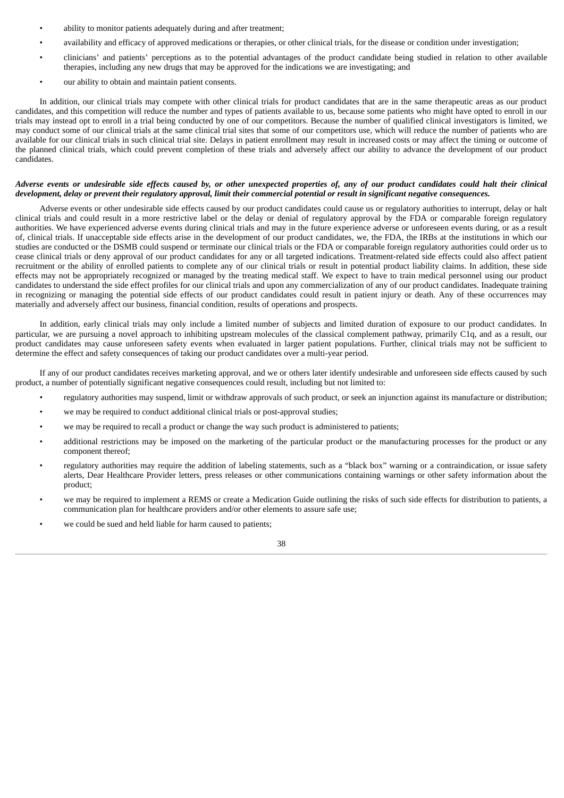- ability to monitor patients adequately during and after treatment;
- availability and efficacy of approved medications or therapies, or other clinical trials, for the disease or condition under investigation;
- clinicians' and patients' perceptions as to the potential advantages of the product candidate being studied in relation to other available therapies, including any new drugs that may be approved for the indications we are investigating; and
- our ability to obtain and maintain patient consents.

In addition, our clinical trials may compete with other clinical trials for product candidates that are in the same therapeutic areas as our product candidates, and this competition will reduce the number and types of patients available to us, because some patients who might have opted to enroll in our trials may instead opt to enroll in a trial being conducted by one of our competitors. Because the number of qualified clinical investigators is limited, we may conduct some of our clinical trials at the same clinical trial sites that some of our competitors use, which will reduce the number of patients who are available for our clinical trials in such clinical trial site. Delays in patient enrollment may result in increased costs or may affect the timing or outcome of the planned clinical trials, which could prevent completion of these trials and adversely affect our ability to advance the development of our product candidates.

# Adverse events or undesirable side effects caused by, or other unexpected properties of, any of our product candidates could halt their clinical development, delay or prevent their regulatory approval, limit their commercial potential or result in significant negative consequences.

Adverse events or other undesirable side effects caused by our product candidates could cause us or regulatory authorities to interrupt, delay or halt clinical trials and could result in a more restrictive label or the delay or denial of regulatory approval by the FDA or comparable foreign regulatory authorities. We have experienced adverse events during clinical trials and may in the future experience adverse or unforeseen events during, or as a result of, clinical trials. If unacceptable side effects arise in the development of our product candidates, we, the FDA, the IRBs at the institutions in which our studies are conducted or the DSMB could suspend or terminate our clinical trials or the FDA or comparable foreign regulatory authorities could order us to cease clinical trials or deny approval of our product candidates for any or all targeted indications. Treatment-related side effects could also affect patient recruitment or the ability of enrolled patients to complete any of our clinical trials or result in potential product liability claims. In addition, these side effects may not be appropriately recognized or managed by the treating medical staff. We expect to have to train medical personnel using our product candidates to understand the side effect profiles for our clinical trials and upon any commercialization of any of our product candidates. Inadequate training in recognizing or managing the potential side effects of our product candidates could result in patient injury or death. Any of these occurrences may materially and adversely affect our business, financial condition, results of operations and prospects.

In addition, early clinical trials may only include a limited number of subjects and limited duration of exposure to our product candidates. In particular, we are pursuing a novel approach to inhibiting upstream molecules of the classical complement pathway, primarily C1q, and as a result, our product candidates may cause unforeseen safety events when evaluated in larger patient populations. Further, clinical trials may not be sufficient to determine the effect and safety consequences of taking our product candidates over a multi-year period.

If any of our product candidates receives marketing approval, and we or others later identify undesirable and unforeseen side effects caused by such product, a number of potentially significant negative consequences could result, including but not limited to:

- regulatory authorities may suspend, limit or withdraw approvals of such product, or seek an injunction against its manufacture or distribution;
- we may be required to conduct additional clinical trials or post-approval studies;
- we may be required to recall a product or change the way such product is administered to patients;
- additional restrictions may be imposed on the marketing of the particular product or the manufacturing processes for the product or any component thereof;
- regulatory authorities may require the addition of labeling statements, such as a "black box" warning or a contraindication, or issue safety alerts, Dear Healthcare Provider letters, press releases or other communications containing warnings or other safety information about the product;
- we may be required to implement a REMS or create a Medication Guide outlining the risks of such side effects for distribution to patients, a communication plan for healthcare providers and/or other elements to assure safe use;
- we could be sued and held liable for harm caused to patients;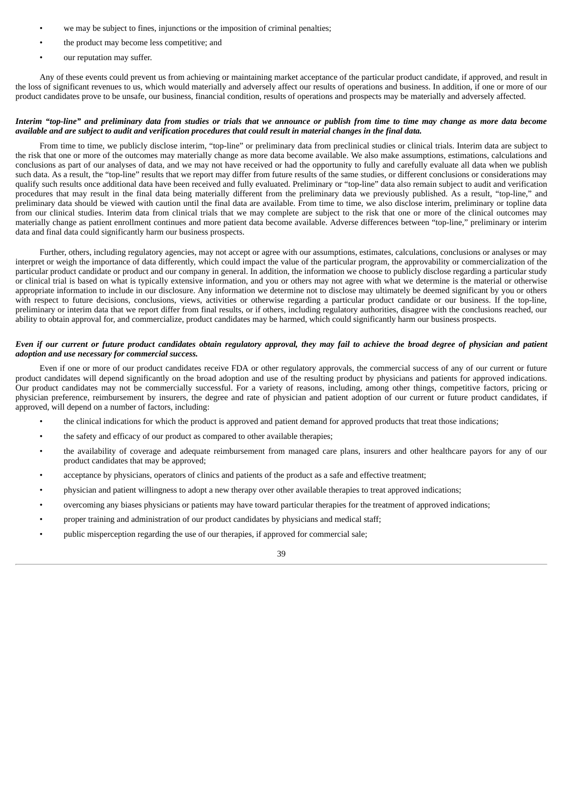- we may be subject to fines, injunctions or the imposition of criminal penalties;
- the product may become less competitive; and
- our reputation may suffer.

Any of these events could prevent us from achieving or maintaining market acceptance of the particular product candidate, if approved, and result in the loss of significant revenues to us, which would materially and adversely affect our results of operations and business. In addition, if one or more of our product candidates prove to be unsafe, our business, financial condition, results of operations and prospects may be materially and adversely affected.

### Interim "top-line" and preliminary data from studies or trials that we announce or publish from time to time may change as more data become available and are subject to audit and verification procedures that could result in material changes in the final data.

From time to time, we publicly disclose interim, "top-line" or preliminary data from preclinical studies or clinical trials. Interim data are subject to the risk that one or more of the outcomes may materially change as more data become available. We also make assumptions, estimations, calculations and conclusions as part of our analyses of data, and we may not have received or had the opportunity to fully and carefully evaluate all data when we publish such data. As a result, the "top-line" results that we report may differ from future results of the same studies, or different conclusions or considerations may qualify such results once additional data have been received and fully evaluated. Preliminary or "top-line" data also remain subject to audit and verification procedures that may result in the final data being materially different from the preliminary data we previously published. As a result, "top-line," and preliminary data should be viewed with caution until the final data are available. From time to time, we also disclose interim, preliminary or topline data from our clinical studies. Interim data from clinical trials that we may complete are subject to the risk that one or more of the clinical outcomes may materially change as patient enrollment continues and more patient data become available. Adverse differences between "top-line," preliminary or interim data and final data could significantly harm our business prospects.

Further, others, including regulatory agencies, may not accept or agree with our assumptions, estimates, calculations, conclusions or analyses or may interpret or weigh the importance of data differently, which could impact the value of the particular program, the approvability or commercialization of the particular product candidate or product and our company in general. In addition, the information we choose to publicly disclose regarding a particular study or clinical trial is based on what is typically extensive information, and you or others may not agree with what we determine is the material or otherwise appropriate information to include in our disclosure. Any information we determine not to disclose may ultimately be deemed significant by you or others with respect to future decisions, conclusions, views, activities or otherwise regarding a particular product candidate or our business. If the top-line, preliminary or interim data that we report differ from final results, or if others, including regulatory authorities, disagree with the conclusions reached, our ability to obtain approval for, and commercialize, product candidates may be harmed, which could significantly harm our business prospects.

### Even if our current or future product candidates obtain regulatory approval, they may fail to achieve the broad degree of physician and patient *adoption and use necessary for commercial success.*

Even if one or more of our product candidates receive FDA or other regulatory approvals, the commercial success of any of our current or future product candidates will depend significantly on the broad adoption and use of the resulting product by physicians and patients for approved indications. Our product candidates may not be commercially successful. For a variety of reasons, including, among other things, competitive factors, pricing or physician preference, reimbursement by insurers, the degree and rate of physician and patient adoption of our current or future product candidates, if approved, will depend on a number of factors, including:

- the clinical indications for which the product is approved and patient demand for approved products that treat those indications;
- the safety and efficacy of our product as compared to other available therapies;
- the availability of coverage and adequate reimbursement from managed care plans, insurers and other healthcare payors for any of our product candidates that may be approved;
- acceptance by physicians, operators of clinics and patients of the product as a safe and effective treatment;
- physician and patient willingness to adopt a new therapy over other available therapies to treat approved indications;
- overcoming any biases physicians or patients may have toward particular therapies for the treatment of approved indications;
- proper training and administration of our product candidates by physicians and medical staff;
- public misperception regarding the use of our therapies, if approved for commercial sale;

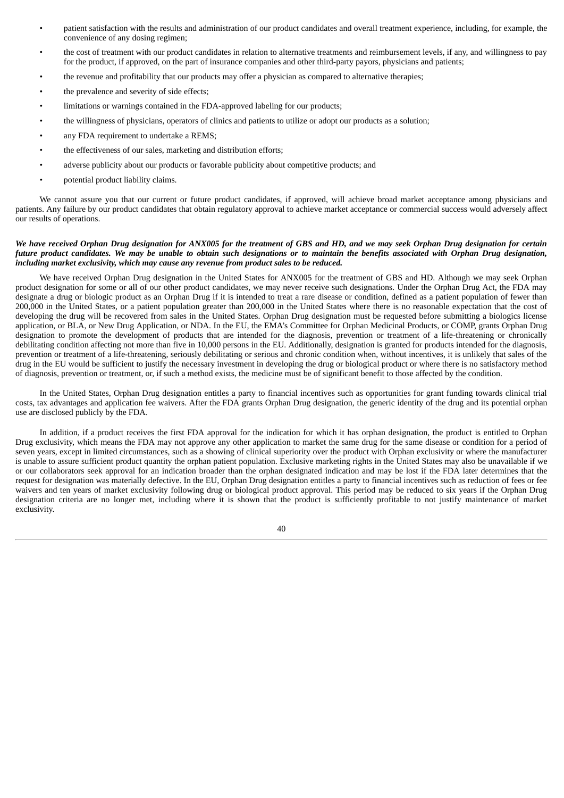- patient satisfaction with the results and administration of our product candidates and overall treatment experience, including, for example, the convenience of any dosing regimen;
- the cost of treatment with our product candidates in relation to alternative treatments and reimbursement levels, if any, and willingness to pay for the product, if approved, on the part of insurance companies and other third-party payors, physicians and patients;
- the revenue and profitability that our products may offer a physician as compared to alternative therapies;
- the prevalence and severity of side effects;
- limitations or warnings contained in the FDA-approved labeling for our products;
- the willingness of physicians, operators of clinics and patients to utilize or adopt our products as a solution;
- any FDA requirement to undertake a REMS;
- the effectiveness of our sales, marketing and distribution efforts;
- adverse publicity about our products or favorable publicity about competitive products; and
- potential product liability claims.

We cannot assure you that our current or future product candidates, if approved, will achieve broad market acceptance among physicians and patients. Any failure by our product candidates that obtain regulatory approval to achieve market acceptance or commercial success would adversely affect our results of operations.

### We have received Orphan Drug designation for ANX005 for the treatment of GBS and HD, and we may seek Orphan Drug designation for certain future product candidates. We may be unable to obtain such designations or to maintain the benefits associated with Orphan Drug designation, *including market exclusivity, which may cause any revenue from product sales to be reduced.*

We have received Orphan Drug designation in the United States for ANX005 for the treatment of GBS and HD. Although we may seek Orphan product designation for some or all of our other product candidates, we may never receive such designations. Under the Orphan Drug Act, the FDA may designate a drug or biologic product as an Orphan Drug if it is intended to treat a rare disease or condition, defined as a patient population of fewer than 200,000 in the United States, or a patient population greater than 200,000 in the United States where there is no reasonable expectation that the cost of developing the drug will be recovered from sales in the United States. Orphan Drug designation must be requested before submitting a biologics license application, or BLA, or New Drug Application, or NDA. In the EU, the EMA's Committee for Orphan Medicinal Products, or COMP, grants Orphan Drug designation to promote the development of products that are intended for the diagnosis, prevention or treatment of a life-threatening or chronically debilitating condition affecting not more than five in 10,000 persons in the EU. Additionally, designation is granted for products intended for the diagnosis, prevention or treatment of a life-threatening, seriously debilitating or serious and chronic condition when, without incentives, it is unlikely that sales of the drug in the EU would be sufficient to justify the necessary investment in developing the drug or biological product or where there is no satisfactory method of diagnosis, prevention or treatment, or, if such a method exists, the medicine must be of significant benefit to those affected by the condition.

In the United States, Orphan Drug designation entitles a party to financial incentives such as opportunities for grant funding towards clinical trial costs, tax advantages and application fee waivers. After the FDA grants Orphan Drug designation, the generic identity of the drug and its potential orphan use are disclosed publicly by the FDA.

In addition, if a product receives the first FDA approval for the indication for which it has orphan designation, the product is entitled to Orphan Drug exclusivity, which means the FDA may not approve any other application to market the same drug for the same disease or condition for a period of seven years, except in limited circumstances, such as a showing of clinical superiority over the product with Orphan exclusivity or where the manufacturer is unable to assure sufficient product quantity the orphan patient population. Exclusive marketing rights in the United States may also be unavailable if we or our collaborators seek approval for an indication broader than the orphan designated indication and may be lost if the FDA later determines that the request for designation was materially defective. In the EU, Orphan Drug designation entitles a party to financial incentives such as reduction of fees or fee waivers and ten years of market exclusivity following drug or biological product approval. This period may be reduced to six years if the Orphan Drug designation criteria are no longer met, including where it is shown that the product is sufficiently profitable to not justify maintenance of market exclusivity.

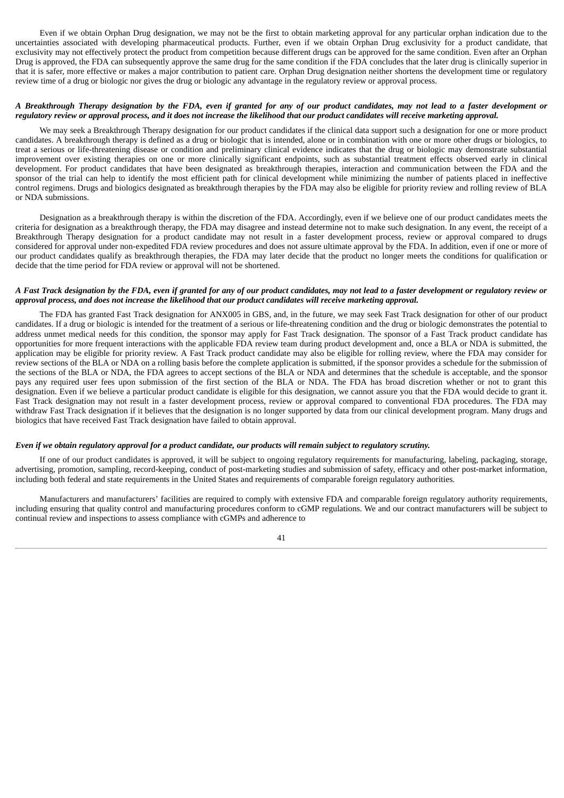Even if we obtain Orphan Drug designation, we may not be the first to obtain marketing approval for any particular orphan indication due to the uncertainties associated with developing pharmaceutical products. Further, even if we obtain Orphan Drug exclusivity for a product candidate, that exclusivity may not effectively protect the product from competition because different drugs can be approved for the same condition. Even after an Orphan Drug is approved, the FDA can subsequently approve the same drug for the same condition if the FDA concludes that the later drug is clinically superior in that it is safer, more effective or makes a major contribution to patient care. Orphan Drug designation neither shortens the development time or regulatory review time of a drug or biologic nor gives the drug or biologic any advantage in the regulatory review or approval process.

#### A Breakthrough Therapy designation by the FDA, even if granted for any of our product candidates, may not lead to a faster development or regulatory review or approval process, and it does not increase the likelihood that our product candidates will receive marketing approval.

We may seek a Breakthrough Therapy designation for our product candidates if the clinical data support such a designation for one or more product candidates. A breakthrough therapy is defined as a drug or biologic that is intended, alone or in combination with one or more other drugs or biologics, to treat a serious or life-threatening disease or condition and preliminary clinical evidence indicates that the drug or biologic may demonstrate substantial improvement over existing therapies on one or more clinically significant endpoints, such as substantial treatment effects observed early in clinical development. For product candidates that have been designated as breakthrough therapies, interaction and communication between the FDA and the sponsor of the trial can help to identify the most efficient path for clinical development while minimizing the number of patients placed in ineffective control regimens. Drugs and biologics designated as breakthrough therapies by the FDA may also be eligible for priority review and rolling review of BLA or NDA submissions.

Designation as a breakthrough therapy is within the discretion of the FDA. Accordingly, even if we believe one of our product candidates meets the criteria for designation as a breakthrough therapy, the FDA may disagree and instead determine not to make such designation. In any event, the receipt of a Breakthrough Therapy designation for a product candidate may not result in a faster development process, review or approval compared to drugs considered for approval under non-expedited FDA review procedures and does not assure ultimate approval by the FDA. In addition, even if one or more of our product candidates qualify as breakthrough therapies, the FDA may later decide that the product no longer meets the conditions for qualification or decide that the time period for FDA review or approval will not be shortened.

#### A Fast Track designation by the FDA, even if granted for any of our product candidates, may not lead to a faster development or regulatory review or approval process, and does not increase the likelihood that our product candidates will receive marketing approval.

The FDA has granted Fast Track designation for ANX005 in GBS, and, in the future, we may seek Fast Track designation for other of our product candidates. If a drug or biologic is intended for the treatment of a serious or life-threatening condition and the drug or biologic demonstrates the potential to address unmet medical needs for this condition, the sponsor may apply for Fast Track designation. The sponsor of a Fast Track product candidate has opportunities for more frequent interactions with the applicable FDA review team during product development and, once a BLA or NDA is submitted, the application may be eligible for priority review. A Fast Track product candidate may also be eligible for rolling review, where the FDA may consider for review sections of the BLA or NDA on a rolling basis before the complete application is submitted, if the sponsor provides a schedule for the submission of the sections of the BLA or NDA, the FDA agrees to accept sections of the BLA or NDA and determines that the schedule is acceptable, and the sponsor pays any required user fees upon submission of the first section of the BLA or NDA. The FDA has broad discretion whether or not to grant this designation. Even if we believe a particular product candidate is eligible for this designation, we cannot assure you that the FDA would decide to grant it. Fast Track designation may not result in a faster development process, review or approval compared to conventional FDA procedures. The FDA may withdraw Fast Track designation if it believes that the designation is no longer supported by data from our clinical development program. Many drugs and biologics that have received Fast Track designation have failed to obtain approval.

#### Even if we obtain regulatory approval for a product candidate, our products will remain subject to regulatory scrutiny.

If one of our product candidates is approved, it will be subject to ongoing regulatory requirements for manufacturing, labeling, packaging, storage, advertising, promotion, sampling, record-keeping, conduct of post-marketing studies and submission of safety, efficacy and other post-market information, including both federal and state requirements in the United States and requirements of comparable foreign regulatory authorities.

Manufacturers and manufacturers' facilities are required to comply with extensive FDA and comparable foreign regulatory authority requirements, including ensuring that quality control and manufacturing procedures conform to cGMP regulations. We and our contract manufacturers will be subject to continual review and inspections to assess compliance with cGMPs and adherence to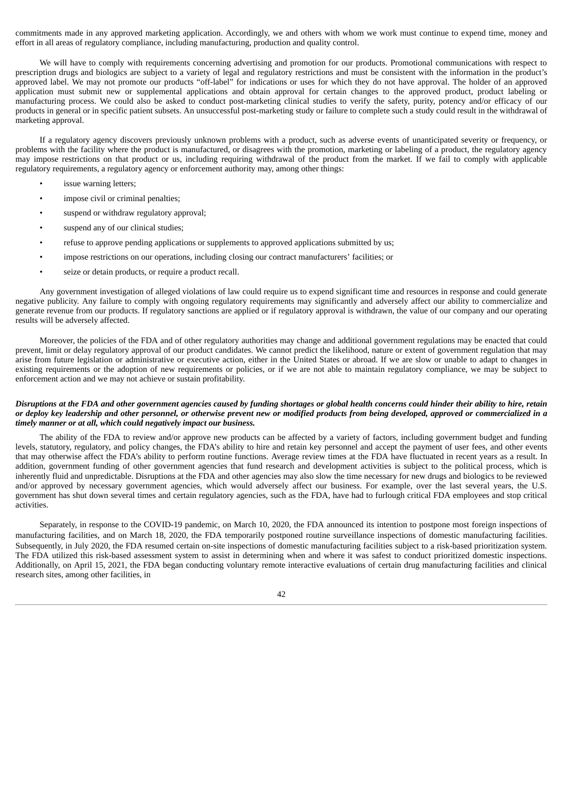commitments made in any approved marketing application. Accordingly, we and others with whom we work must continue to expend time, money and effort in all areas of regulatory compliance, including manufacturing, production and quality control.

We will have to comply with requirements concerning advertising and promotion for our products. Promotional communications with respect to prescription drugs and biologics are subject to a variety of legal and regulatory restrictions and must be consistent with the information in the product's approved label. We may not promote our products "off-label" for indications or uses for which they do not have approval. The holder of an approved application must submit new or supplemental applications and obtain approval for certain changes to the approved product, product labeling or manufacturing process. We could also be asked to conduct post-marketing clinical studies to verify the safety, purity, potency and/or efficacy of our products in general or in specific patient subsets. An unsuccessful post-marketing study or failure to complete such a study could result in the withdrawal of marketing approval.

If a regulatory agency discovers previously unknown problems with a product, such as adverse events of unanticipated severity or frequency, or problems with the facility where the product is manufactured, or disagrees with the promotion, marketing or labeling of a product, the regulatory agency may impose restrictions on that product or us, including requiring withdrawal of the product from the market. If we fail to comply with applicable regulatory requirements, a regulatory agency or enforcement authority may, among other things:

- issue warning letters;
- impose civil or criminal penalties;
- suspend or withdraw regulatory approval;
- suspend any of our clinical studies:
- refuse to approve pending applications or supplements to approved applications submitted by us;
- impose restrictions on our operations, including closing our contract manufacturers' facilities; or
- seize or detain products, or require a product recall.

Any government investigation of alleged violations of law could require us to expend significant time and resources in response and could generate negative publicity. Any failure to comply with ongoing regulatory requirements may significantly and adversely affect our ability to commercialize and generate revenue from our products. If regulatory sanctions are applied or if regulatory approval is withdrawn, the value of our company and our operating results will be adversely affected.

Moreover, the policies of the FDA and of other regulatory authorities may change and additional government regulations may be enacted that could prevent, limit or delay regulatory approval of our product candidates. We cannot predict the likelihood, nature or extent of government regulation that may arise from future legislation or administrative or executive action, either in the United States or abroad. If we are slow or unable to adapt to changes in existing requirements or the adoption of new requirements or policies, or if we are not able to maintain regulatory compliance, we may be subject to enforcement action and we may not achieve or sustain profitability.

### Disruptions at the FDA and other government agencies caused by funding shortages or global health concerns could hinder their ability to hire, retain or deploy key leadership and other personnel, or otherwise prevent new or modified products from being developed, approved or commercialized in a *timely manner or at all, which could negatively impact our business.*

The ability of the FDA to review and/or approve new products can be affected by a variety of factors, including government budget and funding levels, statutory, regulatory, and policy changes, the FDA's ability to hire and retain key personnel and accept the payment of user fees, and other events that may otherwise affect the FDA's ability to perform routine functions. Average review times at the FDA have fluctuated in recent years as a result. In addition, government funding of other government agencies that fund research and development activities is subject to the political process, which is inherently fluid and unpredictable. Disruptions at the FDA and other agencies may also slow the time necessary for new drugs and biologics to be reviewed and/or approved by necessary government agencies, which would adversely affect our business. For example, over the last several years, the U.S. government has shut down several times and certain regulatory agencies, such as the FDA, have had to furlough critical FDA employees and stop critical activities.

Separately, in response to the COVID-19 pandemic, on March 10, 2020, the FDA announced its intention to postpone most foreign inspections of manufacturing facilities, and on March 18, 2020, the FDA temporarily postponed routine surveillance inspections of domestic manufacturing facilities. Subsequently, in July 2020, the FDA resumed certain on-site inspections of domestic manufacturing facilities subject to a risk-based prioritization system. The FDA utilized this risk-based assessment system to assist in determining when and where it was safest to conduct prioritized domestic inspections. Additionally, on April 15, 2021, the FDA began conducting voluntary remote interactive evaluations of certain drug manufacturing facilities and clinical research sites, among other facilities, in

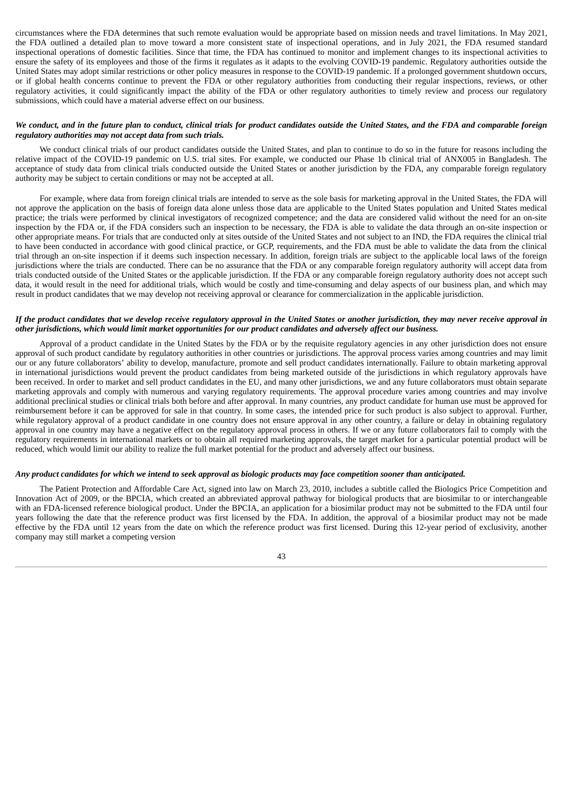circumstances where the FDA determines that such remote evaluation would be appropriate based on mission needs and travel limitations. In May 2021, the FDA outlined a detailed plan to move toward a more consistent state of inspectional operations, and in July 2021, the FDA resumed standard inspectional operations of domestic facilities. Since that time, the FDA has continued to monitor and implement changes to its inspectional activities to ensure the safety of its employees and those of the firms it regulates as it adapts to the evolving COVID-19 pandemic. Regulatory authorities outside the United States may adopt similar restrictions or other policy measures in response to the COVID-19 pandemic. If a prolonged government shutdown occurs, or if global health concerns continue to prevent the FDA or other regulatory authorities from conducting their regular inspections, reviews, or other regulatory activities, it could significantly impact the ability of the FDA or other regulatory authorities to timely review and process our regulatory submissions, which could have a material adverse effect on our business.

#### We conduct, and in the future plan to conduct, clinical trials for product candidates outside the United States, and the FDA and comparable foreian *regulatory authorities may not accept data from such trials.*

We conduct clinical trials of our product candidates outside the United States, and plan to continue to do so in the future for reasons including the relative impact of the COVID-19 pandemic on U.S. trial sites. For example, we conducted our Phase 1b clinical trial of ANX005 in Bangladesh. The acceptance of study data from clinical trials conducted outside the United States or another jurisdiction by the FDA, any comparable foreign regulatory authority may be subject to certain conditions or may not be accepted at all.

For example, where data from foreign clinical trials are intended to serve as the sole basis for marketing approval in the United States, the FDA will not approve the application on the basis of foreign data alone unless those data are applicable to the United States population and United States medical practice; the trials were performed by clinical investigators of recognized competence; and the data are considered valid without the need for an on-site inspection by the FDA or, if the FDA considers such an inspection to be necessary, the FDA is able to validate the data through an on-site inspection or other appropriate means. For trials that are conducted only at sites outside of the United States and not subject to an IND, the FDA requires the clinical trial to have been conducted in accordance with good clinical practice, or GCP, requirements, and the FDA must be able to validate the data from the clinical trial through an on-site inspection if it deems such inspection necessary. In addition, foreign trials are subject to the applicable local laws of the foreign jurisdictions where the trials are conducted. There can be no assurance that the FDA or any comparable foreign regulatory authority will accept data from trials conducted outside of the United States or the applicable jurisdiction. If the FDA or any comparable foreign regulatory authority does not accept such data, it would result in the need for additional trials, which would be costly and time-consuming and delay aspects of our business plan, and which may result in product candidates that we may develop not receiving approval or clearance for commercialization in the applicable jurisdiction.

### If the product candidates that we develop receive regulatory approval in the United States or another jurisdiction, they may never receive approval in other jurisdictions, which would limit market opportunities for our product candidates and adversely affect our business.

Approval of a product candidate in the United States by the FDA or by the requisite regulatory agencies in any other jurisdiction does not ensure approval of such product candidate by regulatory authorities in other countries or jurisdictions. The approval process varies among countries and may limit our or any future collaborators' ability to develop, manufacture, promote and sell product candidates internationally. Failure to obtain marketing approval in international jurisdictions would prevent the product candidates from being marketed outside of the jurisdictions in which regulatory approvals have been received. In order to market and sell product candidates in the EU, and many other jurisdictions, we and any future collaborators must obtain separate marketing approvals and comply with numerous and varying regulatory requirements. The approval procedure varies among countries and may involve additional preclinical studies or clinical trials both before and after approval. In many countries, any product candidate for human use must be approved for reimbursement before it can be approved for sale in that country. In some cases, the intended price for such product is also subject to approval. Further, while regulatory approval of a product candidate in one country does not ensure approval in any other country, a failure or delay in obtaining regulatory approval in one country may have a negative effect on the regulatory approval process in others. If we or any future collaborators fail to comply with the regulatory requirements in international markets or to obtain all required marketing approvals, the target market for a particular potential product will be reduced, which would limit our ability to realize the full market potential for the product and adversely affect our business.

#### Any product candidates for which we intend to seek approval as biologic products may face competition sooner than anticipated.

The Patient Protection and Affordable Care Act, signed into law on March 23, 2010, includes a subtitle called the Biologics Price Competition and Innovation Act of 2009, or the BPCIA, which created an abbreviated approval pathway for biological products that are biosimilar to or interchangeable with an FDA-licensed reference biological product. Under the BPCIA, an application for a biosimilar product may not be submitted to the FDA until four years following the date that the reference product was first licensed by the FDA. In addition, the approval of a biosimilar product may not be made effective by the FDA until 12 years from the date on which the reference product was first licensed. During this 12-year period of exclusivity, another company may still market a competing version

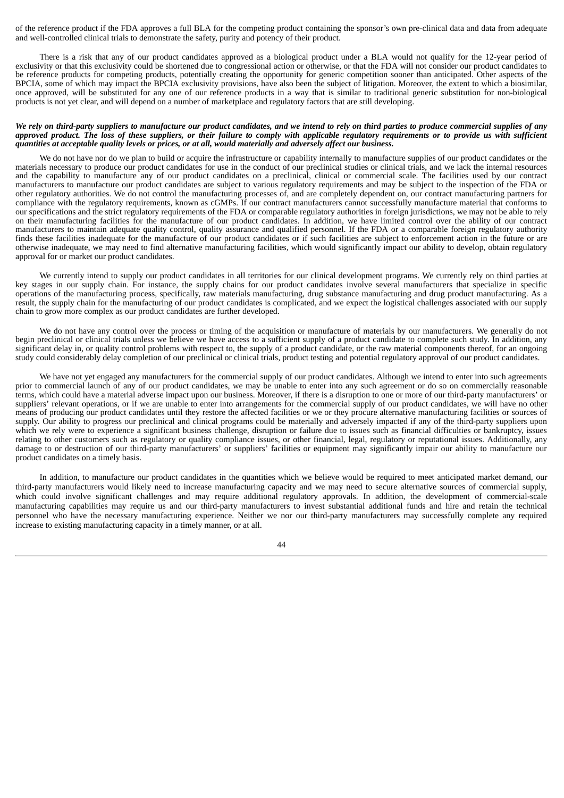of the reference product if the FDA approves a full BLA for the competing product containing the sponsor's own pre-clinical data and data from adequate and well-controlled clinical trials to demonstrate the safety, purity and potency of their product.

There is a risk that any of our product candidates approved as a biological product under a BLA would not qualify for the 12-year period of exclusivity or that this exclusivity could be shortened due to congressional action or otherwise, or that the FDA will not consider our product candidates to be reference products for competing products, potentially creating the opportunity for generic competition sooner than anticipated. Other aspects of the BPCIA, some of which may impact the BPCIA exclusivity provisions, have also been the subject of litigation. Moreover, the extent to which a biosimilar, once approved, will be substituted for any one of our reference products in a way that is similar to traditional generic substitution for non-biological products is not yet clear, and will depend on a number of marketplace and regulatory factors that are still developing.

#### We rely on third-party suppliers to manufacture our product candidates, and we intend to rely on third parties to produce commercial supplies of any approved product. The loss of these suppliers, or their failure to comply with applicable regulatory requirements or to provide us with sufficient quantities at acceptable quality levels or prices, or at all, would materially and adversely affect our business.

We do not have nor do we plan to build or acquire the infrastructure or capability internally to manufacture supplies of our product candidates or the materials necessary to produce our product candidates for use in the conduct of our preclinical studies or clinical trials, and we lack the internal resources and the capability to manufacture any of our product candidates on a preclinical, clinical or commercial scale. The facilities used by our contract manufacturers to manufacture our product candidates are subject to various regulatory requirements and may be subject to the inspection of the FDA or other regulatory authorities. We do not control the manufacturing processes of, and are completely dependent on, our contract manufacturing partners for compliance with the regulatory requirements, known as cGMPs. If our contract manufacturers cannot successfully manufacture material that conforms to our specifications and the strict regulatory requirements of the FDA or comparable regulatory authorities in foreign jurisdictions, we may not be able to rely on their manufacturing facilities for the manufacture of our product candidates. In addition, we have limited control over the ability of our contract manufacturers to maintain adequate quality control, quality assurance and qualified personnel. If the FDA or a comparable foreign regulatory authority finds these facilities inadequate for the manufacture of our product candidates or if such facilities are subject to enforcement action in the future or are otherwise inadequate, we may need to find alternative manufacturing facilities, which would significantly impact our ability to develop, obtain regulatory approval for or market our product candidates.

We currently intend to supply our product candidates in all territories for our clinical development programs. We currently rely on third parties at key stages in our supply chain. For instance, the supply chains for our product candidates involve several manufacturers that specialize in specific operations of the manufacturing process, specifically, raw materials manufacturing, drug substance manufacturing and drug product manufacturing. As a result, the supply chain for the manufacturing of our product candidates is complicated, and we expect the logistical challenges associated with our supply chain to grow more complex as our product candidates are further developed.

We do not have any control over the process or timing of the acquisition or manufacture of materials by our manufacturers. We generally do not begin preclinical or clinical trials unless we believe we have access to a sufficient supply of a product candidate to complete such study. In addition, any significant delay in, or quality control problems with respect to, the supply of a product candidate, or the raw material components thereof, for an ongoing study could considerably delay completion of our preclinical or clinical trials, product testing and potential regulatory approval of our product candidates.

We have not yet engaged any manufacturers for the commercial supply of our product candidates. Although we intend to enter into such agreements prior to commercial launch of any of our product candidates, we may be unable to enter into any such agreement or do so on commercially reasonable terms, which could have a material adverse impact upon our business. Moreover, if there is a disruption to one or more of our third-party manufacturers' or suppliers' relevant operations, or if we are unable to enter into arrangements for the commercial supply of our product candidates, we will have no other means of producing our product candidates until they restore the affected facilities or we or they procure alternative manufacturing facilities or sources of supply. Our ability to progress our preclinical and clinical programs could be materially and adversely impacted if any of the third-party suppliers upon which we rely were to experience a significant business challenge, disruption or failure due to issues such as financial difficulties or bankruptcy, issues relating to other customers such as regulatory or quality compliance issues, or other financial, legal, regulatory or reputational issues. Additionally, any damage to or destruction of our third-party manufacturers' or suppliers' facilities or equipment may significantly impair our ability to manufacture our product candidates on a timely basis.

In addition, to manufacture our product candidates in the quantities which we believe would be required to meet anticipated market demand, our third-party manufacturers would likely need to increase manufacturing capacity and we may need to secure alternative sources of commercial supply, which could involve significant challenges and may require additional regulatory approvals. In addition, the development of commercial-scale manufacturing capabilities may require us and our third-party manufacturers to invest substantial additional funds and hire and retain the technical personnel who have the necessary manufacturing experience. Neither we nor our third-party manufacturers may successfully complete any required increase to existing manufacturing capacity in a timely manner, or at all.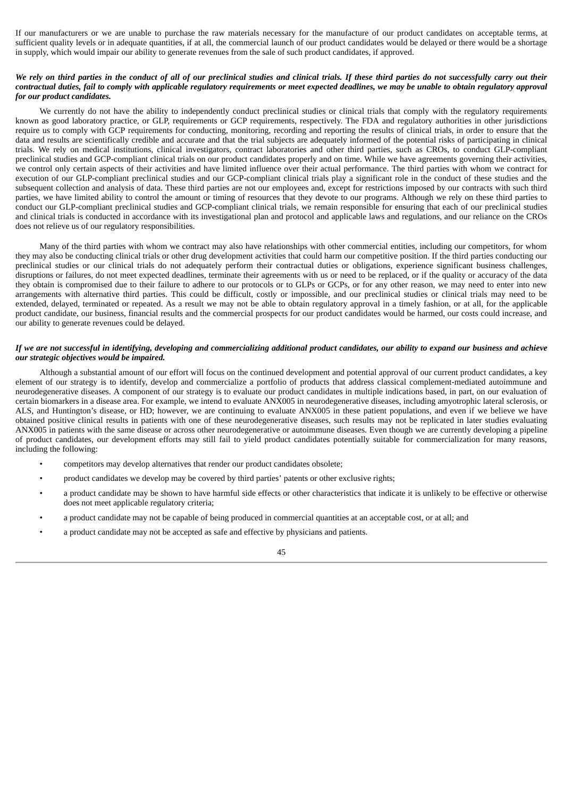If our manufacturers or we are unable to purchase the raw materials necessary for the manufacture of our product candidates on acceptable terms, at sufficient quality levels or in adequate quantities, if at all, the commercial launch of our product candidates would be delayed or there would be a shortage in supply, which would impair our ability to generate revenues from the sale of such product candidates, if approved.

### We rely on third parties in the conduct of all of our preclinical studies and clinical trials. If these third parties do not successfully carry out their contractual duties, fail to comply with applicable regulatory requirements or meet expected deadlines, we may be unable to obtain regulatory approval *for our product candidates.*

We currently do not have the ability to independently conduct preclinical studies or clinical trials that comply with the regulatory requirements known as good laboratory practice, or GLP, requirements or GCP requirements, respectively. The FDA and regulatory authorities in other jurisdictions require us to comply with GCP requirements for conducting, monitoring, recording and reporting the results of clinical trials, in order to ensure that the data and results are scientifically credible and accurate and that the trial subjects are adequately informed of the potential risks of participating in clinical trials. We rely on medical institutions, clinical investigators, contract laboratories and other third parties, such as CROs, to conduct GLP-compliant preclinical studies and GCP-compliant clinical trials on our product candidates properly and on time. While we have agreements governing their activities, we control only certain aspects of their activities and have limited influence over their actual performance. The third parties with whom we contract for execution of our GLP-compliant preclinical studies and our GCP-compliant clinical trials play a significant role in the conduct of these studies and the subsequent collection and analysis of data. These third parties are not our employees and, except for restrictions imposed by our contracts with such third parties, we have limited ability to control the amount or timing of resources that they devote to our programs. Although we rely on these third parties to conduct our GLP-compliant preclinical studies and GCP-compliant clinical trials, we remain responsible for ensuring that each of our preclinical studies and clinical trials is conducted in accordance with its investigational plan and protocol and applicable laws and regulations, and our reliance on the CROs does not relieve us of our regulatory responsibilities.

Many of the third parties with whom we contract may also have relationships with other commercial entities, including our competitors, for whom they may also be conducting clinical trials or other drug development activities that could harm our competitive position. If the third parties conducting our preclinical studies or our clinical trials do not adequately perform their contractual duties or obligations, experience significant business challenges, disruptions or failures, do not meet expected deadlines, terminate their agreements with us or need to be replaced, or if the quality or accuracy of the data they obtain is compromised due to their failure to adhere to our protocols or to GLPs or GCPs, or for any other reason, we may need to enter into new arrangements with alternative third parties. This could be difficult, costly or impossible, and our preclinical studies or clinical trials may need to be extended, delayed, terminated or repeated. As a result we may not be able to obtain regulatory approval in a timely fashion, or at all, for the applicable product candidate, our business, financial results and the commercial prospects for our product candidates would be harmed, our costs could increase, and our ability to generate revenues could be delayed.

### If we are not successful in identifying, developing and commercializing additional product candidates, our ability to expand our business and achieve *our strategic objectives would be impaired.*

Although a substantial amount of our effort will focus on the continued development and potential approval of our current product candidates, a key element of our strategy is to identify, develop and commercialize a portfolio of products that address classical complement-mediated autoimmune and neurodegenerative diseases. A component of our strategy is to evaluate our product candidates in multiple indications based, in part, on our evaluation of certain biomarkers in a disease area. For example, we intend to evaluate ANX005 in neurodegenerative diseases, including amyotrophic lateral sclerosis, or ALS, and Huntington's disease, or HD; however, we are continuing to evaluate ANX005 in these patient populations, and even if we believe we have obtained positive clinical results in patients with one of these neurodegenerative diseases, such results may not be replicated in later studies evaluating ANX005 in patients with the same disease or across other neurodegenerative or autoimmune diseases. Even though we are currently developing a pipeline of product candidates, our development efforts may still fail to yield product candidates potentially suitable for commercialization for many reasons, including the following:

- competitors may develop alternatives that render our product candidates obsolete;
- product candidates we develop may be covered by third parties' patents or other exclusive rights;
- a product candidate may be shown to have harmful side effects or other characteristics that indicate it is unlikely to be effective or otherwise does not meet applicable regulatory criteria;
- a product candidate may not be capable of being produced in commercial quantities at an acceptable cost, or at all; and
- a product candidate may not be accepted as safe and effective by physicians and patients.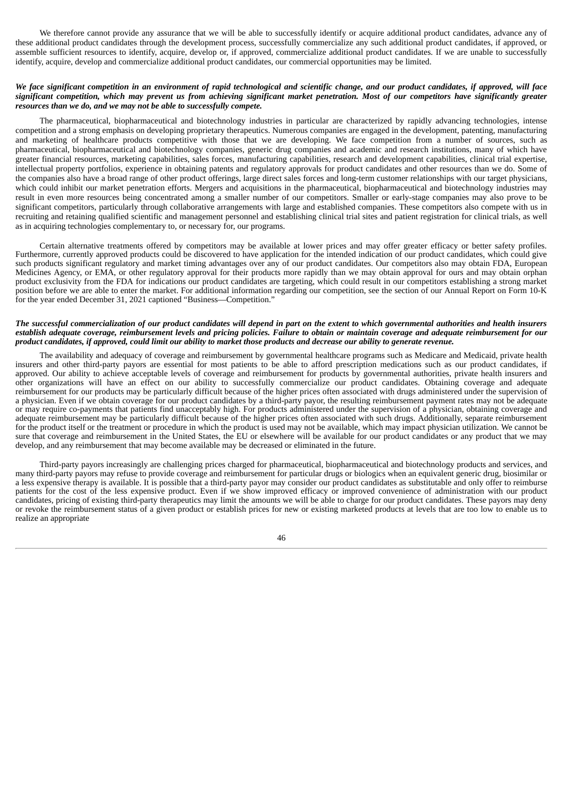We therefore cannot provide any assurance that we will be able to successfully identify or acquire additional product candidates, advance any of these additional product candidates through the development process, successfully commercialize any such additional product candidates, if approved, or assemble sufficient resources to identify, acquire, develop or, if approved, commercialize additional product candidates. If we are unable to successfully identify, acquire, develop and commercialize additional product candidates, our commercial opportunities may be limited.

### We face significant competition in an environment of rapid technological and scientific change, and our product candidates, if approved, will face significant competition, which may prevent us from achieving significant market penetration. Most of our competitors have significantly greater *resources than we do, and we may not be able to successfully compete.*

The pharmaceutical, biopharmaceutical and biotechnology industries in particular are characterized by rapidly advancing technologies, intense competition and a strong emphasis on developing proprietary therapeutics. Numerous companies are engaged in the development, patenting, manufacturing and marketing of healthcare products competitive with those that we are developing. We face competition from a number of sources, such as pharmaceutical, biopharmaceutical and biotechnology companies, generic drug companies and academic and research institutions, many of which have greater financial resources, marketing capabilities, sales forces, manufacturing capabilities, research and development capabilities, clinical trial expertise, intellectual property portfolios, experience in obtaining patents and regulatory approvals for product candidates and other resources than we do. Some of the companies also have a broad range of other product offerings, large direct sales forces and long-term customer relationships with our target physicians, which could inhibit our market penetration efforts. Mergers and acquisitions in the pharmaceutical, biopharmaceutical and biotechnology industries may result in even more resources being concentrated among a smaller number of our competitors. Smaller or early-stage companies may also prove to be significant competitors, particularly through collaborative arrangements with large and established companies. These competitors also compete with us in recruiting and retaining qualified scientific and management personnel and establishing clinical trial sites and patient registration for clinical trials, as well as in acquiring technologies complementary to, or necessary for, our programs.

Certain alternative treatments offered by competitors may be available at lower prices and may offer greater efficacy or better safety profiles. Furthermore, currently approved products could be discovered to have application for the intended indication of our product candidates, which could give such products significant regulatory and market timing advantages over any of our product candidates. Our competitors also may obtain FDA, European Medicines Agency, or EMA, or other regulatory approval for their products more rapidly than we may obtain approval for ours and may obtain orphan product exclusivity from the FDA for indications our product candidates are targeting, which could result in our competitors establishing a strong market position before we are able to enter the market. For additional information regarding our competition, see the section of our Annual Report on Form 10-K for the year ended December 31, 2021 captioned "Business—Competition."

#### The successful commercialization of our product candidates will depend in part on the extent to which governmental authorities and health insurers establish adequate coverage, reimbursement levels and pricing policies. Failure to obtain or maintain coverage and adequate reimbursement for our product candidates, if approved, could limit our ability to market those products and decrease our ability to generate revenue.

The availability and adequacy of coverage and reimbursement by governmental healthcare programs such as Medicare and Medicaid, private health insurers and other third-party payors are essential for most patients to be able to afford prescription medications such as our product candidates, if approved. Our ability to achieve acceptable levels of coverage and reimbursement for products by governmental authorities, private health insurers and other organizations will have an effect on our ability to successfully commercialize our product candidates. Obtaining coverage and adequate reimbursement for our products may be particularly difficult because of the higher prices often associated with drugs administered under the supervision of a physician. Even if we obtain coverage for our product candidates by a third-party payor, the resulting reimbursement payment rates may not be adequate or may require co-payments that patients find unacceptably high. For products administered under the supervision of a physician, obtaining coverage and adequate reimbursement may be particularly difficult because of the higher prices often associated with such drugs. Additionally, separate reimbursement for the product itself or the treatment or procedure in which the product is used may not be available, which may impact physician utilization. We cannot be sure that coverage and reimbursement in the United States, the EU or elsewhere will be available for our product candidates or any product that we may develop, and any reimbursement that may become available may be decreased or eliminated in the future.

Third-party payors increasingly are challenging prices charged for pharmaceutical, biopharmaceutical and biotechnology products and services, and many third-party payors may refuse to provide coverage and reimbursement for particular drugs or biologics when an equivalent generic drug, biosimilar or a less expensive therapy is available. It is possible that a third-party payor may consider our product candidates as substitutable and only offer to reimburse patients for the cost of the less expensive product. Even if we show improved efficacy or improved convenience of administration with our product candidates, pricing of existing third-party therapeutics may limit the amounts we will be able to charge for our product candidates. These payors may deny or revoke the reimbursement status of a given product or establish prices for new or existing marketed products at levels that are too low to enable us to realize an appropriate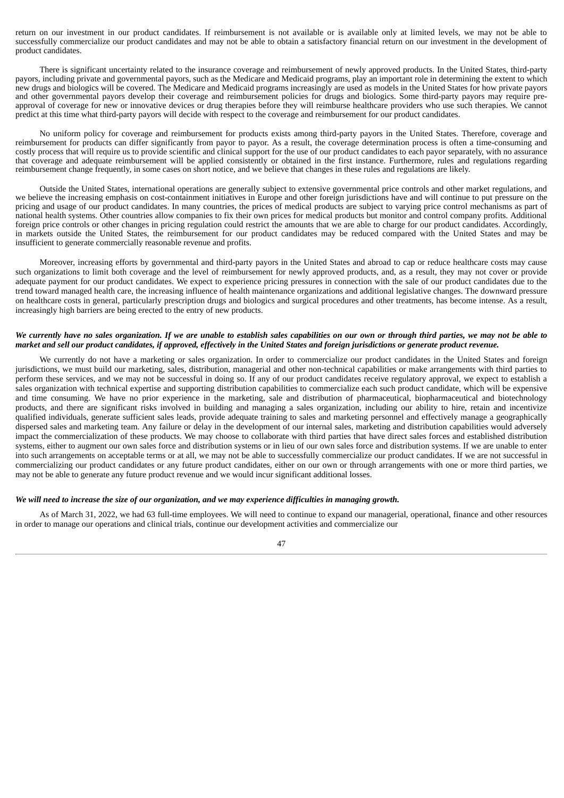return on our investment in our product candidates. If reimbursement is not available or is available only at limited levels, we may not be able to successfully commercialize our product candidates and may not be able to obtain a satisfactory financial return on our investment in the development of product candidates.

There is significant uncertainty related to the insurance coverage and reimbursement of newly approved products. In the United States, third-party payors, including private and governmental payors, such as the Medicare and Medicaid programs, play an important role in determining the extent to which new drugs and biologics will be covered. The Medicare and Medicaid programs increasingly are used as models in the United States for how private payors and other governmental payors develop their coverage and reimbursement policies for drugs and biologics. Some third-party payors may require preapproval of coverage for new or innovative devices or drug therapies before they will reimburse healthcare providers who use such therapies. We cannot predict at this time what third-party payors will decide with respect to the coverage and reimbursement for our product candidates.

No uniform policy for coverage and reimbursement for products exists among third-party payors in the United States. Therefore, coverage and reimbursement for products can differ significantly from payor to payor. As a result, the coverage determination process is often a time-consuming and costly process that will require us to provide scientific and clinical support for the use of our product candidates to each payor separately, with no assurance that coverage and adequate reimbursement will be applied consistently or obtained in the first instance. Furthermore, rules and regulations regarding reimbursement change frequently, in some cases on short notice, and we believe that changes in these rules and regulations are likely.

Outside the United States, international operations are generally subject to extensive governmental price controls and other market regulations, and we believe the increasing emphasis on cost-containment initiatives in Europe and other foreign jurisdictions have and will continue to put pressure on the pricing and usage of our product candidates. In many countries, the prices of medical products are subject to varying price control mechanisms as part of national health systems. Other countries allow companies to fix their own prices for medical products but monitor and control company profits. Additional foreign price controls or other changes in pricing regulation could restrict the amounts that we are able to charge for our product candidates. Accordingly, in markets outside the United States, the reimbursement for our product candidates may be reduced compared with the United States and may be insufficient to generate commercially reasonable revenue and profits.

Moreover, increasing efforts by governmental and third-party payors in the United States and abroad to cap or reduce healthcare costs may cause such organizations to limit both coverage and the level of reimbursement for newly approved products, and, as a result, they may not cover or provide adequate payment for our product candidates. We expect to experience pricing pressures in connection with the sale of our product candidates due to the trend toward managed health care, the increasing influence of health maintenance organizations and additional legislative changes. The downward pressure on healthcare costs in general, particularly prescription drugs and biologics and surgical procedures and other treatments, has become intense. As a result, increasingly high barriers are being erected to the entry of new products.

### We currently have no sales organization. If we are unable to establish sales capabilities on our own or through third parties, we may not be able to market and sell our product candidates, if approved, effectively in the United States and foreign jurisdictions or generate product revenue.

We currently do not have a marketing or sales organization. In order to commercialize our product candidates in the United States and foreign jurisdictions, we must build our marketing, sales, distribution, managerial and other non-technical capabilities or make arrangements with third parties to perform these services, and we may not be successful in doing so. If any of our product candidates receive regulatory approval, we expect to establish a sales organization with technical expertise and supporting distribution capabilities to commercialize each such product candidate, which will be expensive and time consuming. We have no prior experience in the marketing, sale and distribution of pharmaceutical, biopharmaceutical and biotechnology products, and there are significant risks involved in building and managing a sales organization, including our ability to hire, retain and incentivize qualified individuals, generate sufficient sales leads, provide adequate training to sales and marketing personnel and effectively manage a geographically dispersed sales and marketing team. Any failure or delay in the development of our internal sales, marketing and distribution capabilities would adversely impact the commercialization of these products. We may choose to collaborate with third parties that have direct sales forces and established distribution systems, either to augment our own sales force and distribution systems or in lieu of our own sales force and distribution systems. If we are unable to enter into such arrangements on acceptable terms or at all, we may not be able to successfully commercialize our product candidates. If we are not successful in commercializing our product candidates or any future product candidates, either on our own or through arrangements with one or more third parties, we may not be able to generate any future product revenue and we would incur significant additional losses.

#### We will need to increase the size of our organization, and we may experience difficulties in managing growth.

As of March 31, 2022, we had 63 full-time employees. We will need to continue to expand our managerial, operational, finance and other resources in order to manage our operations and clinical trials, continue our development activities and commercialize our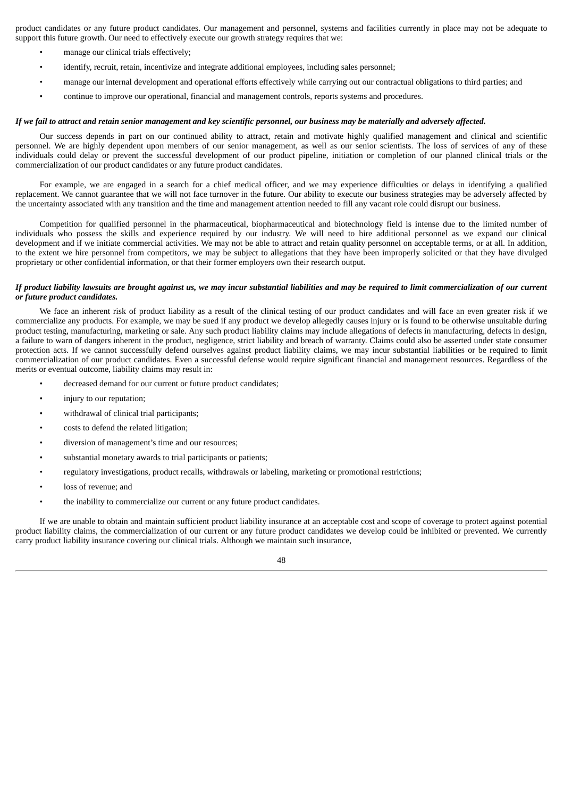product candidates or any future product candidates. Our management and personnel, systems and facilities currently in place may not be adequate to support this future growth. Our need to effectively execute our growth strategy requires that we:

- manage our clinical trials effectively;
- identify, recruit, retain, incentivize and integrate additional employees, including sales personnel;
- manage our internal development and operational efforts effectively while carrying out our contractual obligations to third parties; and
- continue to improve our operational, financial and management controls, reports systems and procedures.

#### If we fail to attract and retain senior management and key scientific personnel, our business may be materially and adversely affected.

Our success depends in part on our continued ability to attract, retain and motivate highly qualified management and clinical and scientific personnel. We are highly dependent upon members of our senior management, as well as our senior scientists. The loss of services of any of these individuals could delay or prevent the successful development of our product pipeline, initiation or completion of our planned clinical trials or the commercialization of our product candidates or any future product candidates.

For example, we are engaged in a search for a chief medical officer, and we may experience difficulties or delays in identifying a qualified replacement. We cannot guarantee that we will not face turnover in the future. Our ability to execute our business strategies may be adversely affected by the uncertainty associated with any transition and the time and management attention needed to fill any vacant role could disrupt our business.

Competition for qualified personnel in the pharmaceutical, biopharmaceutical and biotechnology field is intense due to the limited number of individuals who possess the skills and experience required by our industry. We will need to hire additional personnel as we expand our clinical development and if we initiate commercial activities. We may not be able to attract and retain quality personnel on acceptable terms, or at all. In addition, to the extent we hire personnel from competitors, we may be subject to allegations that they have been improperly solicited or that they have divulged proprietary or other confidential information, or that their former employers own their research output.

### If product liability lawsuits are brought against us, we may incur substantial liabilities and may be required to limit commercialization of our current *or future product candidates.*

We face an inherent risk of product liability as a result of the clinical testing of our product candidates and will face an even greater risk if we commercialize any products. For example, we may be sued if any product we develop allegedly causes injury or is found to be otherwise unsuitable during product testing, manufacturing, marketing or sale. Any such product liability claims may include allegations of defects in manufacturing, defects in design, a failure to warn of dangers inherent in the product, negligence, strict liability and breach of warranty. Claims could also be asserted under state consumer protection acts. If we cannot successfully defend ourselves against product liability claims, we may incur substantial liabilities or be required to limit commercialization of our product candidates. Even a successful defense would require significant financial and management resources. Regardless of the merits or eventual outcome, liability claims may result in:

- decreased demand for our current or future product candidates;
- injury to our reputation;
- withdrawal of clinical trial participants;
- costs to defend the related litigation;
- diversion of management's time and our resources;
- substantial monetary awards to trial participants or patients;
- regulatory investigations, product recalls, withdrawals or labeling, marketing or promotional restrictions;
- loss of revenue; and
- the inability to commercialize our current or any future product candidates.

If we are unable to obtain and maintain sufficient product liability insurance at an acceptable cost and scope of coverage to protect against potential product liability claims, the commercialization of our current or any future product candidates we develop could be inhibited or prevented. We currently carry product liability insurance covering our clinical trials. Although we maintain such insurance,

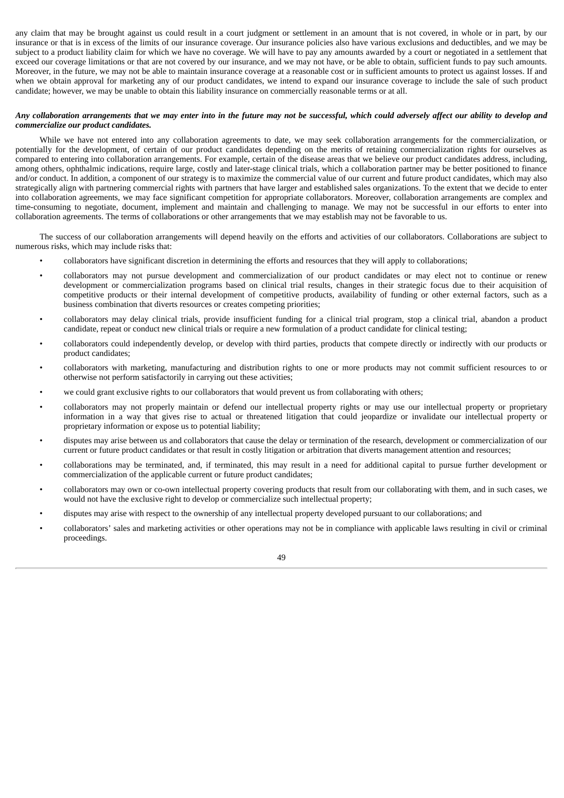any claim that may be brought against us could result in a court judgment or settlement in an amount that is not covered, in whole or in part, by our insurance or that is in excess of the limits of our insurance coverage. Our insurance policies also have various exclusions and deductibles, and we may be subject to a product liability claim for which we have no coverage. We will have to pay any amounts awarded by a court or negotiated in a settlement that exceed our coverage limitations or that are not covered by our insurance, and we may not have, or be able to obtain, sufficient funds to pay such amounts. Moreover, in the future, we may not be able to maintain insurance coverage at a reasonable cost or in sufficient amounts to protect us against losses. If and when we obtain approval for marketing any of our product candidates, we intend to expand our insurance coverage to include the sale of such product candidate; however, we may be unable to obtain this liability insurance on commercially reasonable terms or at all.

#### Any collaboration arrangements that we may enter into in the future may not be successful, which could adversely affect our ability to develop and *commercialize our product candidates.*

While we have not entered into any collaboration agreements to date, we may seek collaboration arrangements for the commercialization, or potentially for the development, of certain of our product candidates depending on the merits of retaining commercialization rights for ourselves as compared to entering into collaboration arrangements. For example, certain of the disease areas that we believe our product candidates address, including, among others, ophthalmic indications, require large, costly and later-stage clinical trials, which a collaboration partner may be better positioned to finance and/or conduct. In addition, a component of our strategy is to maximize the commercial value of our current and future product candidates, which may also strategically align with partnering commercial rights with partners that have larger and established sales organizations. To the extent that we decide to enter into collaboration agreements, we may face significant competition for appropriate collaborators. Moreover, collaboration arrangements are complex and time-consuming to negotiate, document, implement and maintain and challenging to manage. We may not be successful in our efforts to enter into collaboration agreements. The terms of collaborations or other arrangements that we may establish may not be favorable to us.

The success of our collaboration arrangements will depend heavily on the efforts and activities of our collaborators. Collaborations are subject to numerous risks, which may include risks that:

- collaborators have significant discretion in determining the efforts and resources that they will apply to collaborations;
- collaborators may not pursue development and commercialization of our product candidates or may elect not to continue or renew development or commercialization programs based on clinical trial results, changes in their strategic focus due to their acquisition of competitive products or their internal development of competitive products, availability of funding or other external factors, such as a business combination that diverts resources or creates competing priorities;
- collaborators may delay clinical trials, provide insufficient funding for a clinical trial program, stop a clinical trial, abandon a product candidate, repeat or conduct new clinical trials or require a new formulation of a product candidate for clinical testing;
- collaborators could independently develop, or develop with third parties, products that compete directly or indirectly with our products or product candidates;
- collaborators with marketing, manufacturing and distribution rights to one or more products may not commit sufficient resources to or otherwise not perform satisfactorily in carrying out these activities;
- we could grant exclusive rights to our collaborators that would prevent us from collaborating with others;
- collaborators may not properly maintain or defend our intellectual property rights or may use our intellectual property or proprietary information in a way that gives rise to actual or threatened litigation that could jeopardize or invalidate our intellectual property or proprietary information or expose us to potential liability;
- disputes may arise between us and collaborators that cause the delay or termination of the research, development or commercialization of our current or future product candidates or that result in costly litigation or arbitration that diverts management attention and resources;
- collaborations may be terminated, and, if terminated, this may result in a need for additional capital to pursue further development or commercialization of the applicable current or future product candidates;
- collaborators may own or co-own intellectual property covering products that result from our collaborating with them, and in such cases, we would not have the exclusive right to develop or commercialize such intellectual property;
- disputes may arise with respect to the ownership of any intellectual property developed pursuant to our collaborations; and
- collaborators' sales and marketing activities or other operations may not be in compliance with applicable laws resulting in civil or criminal proceedings.

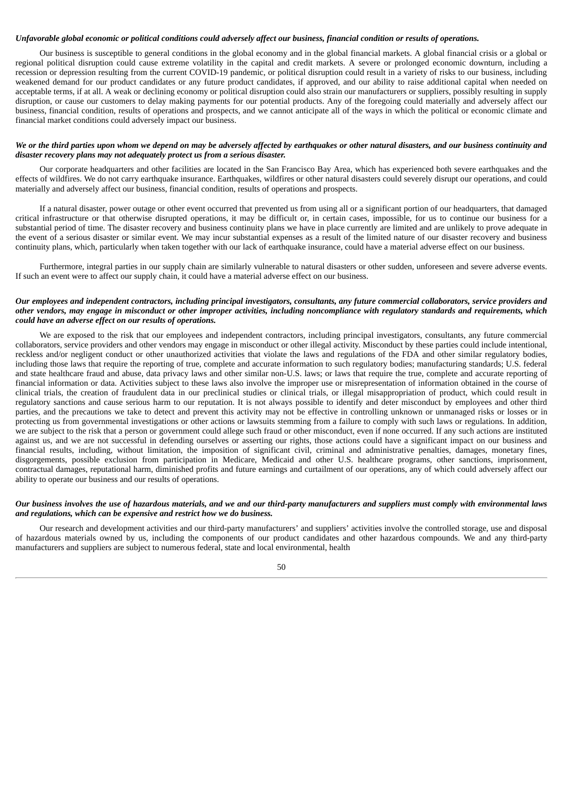### Unfavorable global economic or political conditions could adversely affect our business, financial condition or results of operations.

Our business is susceptible to general conditions in the global economy and in the global financial markets. A global financial crisis or a global or regional political disruption could cause extreme volatility in the capital and credit markets. A severe or prolonged economic downturn, including a recession or depression resulting from the current COVID-19 pandemic, or political disruption could result in a variety of risks to our business, including weakened demand for our product candidates or any future product candidates, if approved, and our ability to raise additional capital when needed on acceptable terms, if at all. A weak or declining economy or political disruption could also strain our manufacturers or suppliers, possibly resulting in supply disruption, or cause our customers to delay making payments for our potential products. Any of the foregoing could materially and adversely affect our business, financial condition, results of operations and prospects, and we cannot anticipate all of the ways in which the political or economic climate and financial market conditions could adversely impact our business.

#### We or the third parties upon whom we depend on may be adversely affected by earthquakes or other natural disasters, and our business continuity and *disaster recovery plans may not adequately protect us from a serious disaster.*

Our corporate headquarters and other facilities are located in the San Francisco Bay Area, which has experienced both severe earthquakes and the effects of wildfires. We do not carry earthquake insurance. Earthquakes, wildfires or other natural disasters could severely disrupt our operations, and could materially and adversely affect our business, financial condition, results of operations and prospects.

If a natural disaster, power outage or other event occurred that prevented us from using all or a significant portion of our headquarters, that damaged critical infrastructure or that otherwise disrupted operations, it may be difficult or, in certain cases, impossible, for us to continue our business for a substantial period of time. The disaster recovery and business continuity plans we have in place currently are limited and are unlikely to prove adequate in the event of a serious disaster or similar event. We may incur substantial expenses as a result of the limited nature of our disaster recovery and business continuity plans, which, particularly when taken together with our lack of earthquake insurance, could have a material adverse effect on our business.

Furthermore, integral parties in our supply chain are similarly vulnerable to natural disasters or other sudden, unforeseen and severe adverse events. If such an event were to affect our supply chain, it could have a material adverse effect on our business.

## Our employees and independent contractors, including principal investigators, consultants, any future commercial collaborators, service providers and other vendors, may engage in misconduct or other improper activities, including noncompliance with regulatory standards and requirements, which *could have an adverse effect on our results of operations.*

We are exposed to the risk that our employees and independent contractors, including principal investigators, consultants, any future commercial collaborators, service providers and other vendors may engage in misconduct or other illegal activity. Misconduct by these parties could include intentional, reckless and/or negligent conduct or other unauthorized activities that violate the laws and regulations of the FDA and other similar regulatory bodies, including those laws that require the reporting of true, complete and accurate information to such regulatory bodies; manufacturing standards; U.S. federal and state healthcare fraud and abuse, data privacy laws and other similar non-U.S. laws; or laws that require the true, complete and accurate reporting of financial information or data. Activities subject to these laws also involve the improper use or misrepresentation of information obtained in the course of clinical trials, the creation of fraudulent data in our preclinical studies or clinical trials, or illegal misappropriation of product, which could result in regulatory sanctions and cause serious harm to our reputation. It is not always possible to identify and deter misconduct by employees and other third parties, and the precautions we take to detect and prevent this activity may not be effective in controlling unknown or unmanaged risks or losses or in protecting us from governmental investigations or other actions or lawsuits stemming from a failure to comply with such laws or regulations. In addition, we are subject to the risk that a person or government could allege such fraud or other misconduct, even if none occurred. If any such actions are instituted against us, and we are not successful in defending ourselves or asserting our rights, those actions could have a significant impact on our business and financial results, including, without limitation, the imposition of significant civil, criminal and administrative penalties, damages, monetary fines, disgorgements, possible exclusion from participation in Medicare, Medicaid and other U.S. healthcare programs, other sanctions, imprisonment, contractual damages, reputational harm, diminished profits and future earnings and curtailment of our operations, any of which could adversely affect our ability to operate our business and our results of operations.

# Our business involves the use of hazardous materials, and we and our third-party manufacturers and suppliers must comply with environmental laws *and regulations, which can be expensive and restrict how we do business.*

Our research and development activities and our third-party manufacturers' and suppliers' activities involve the controlled storage, use and disposal of hazardous materials owned by us, including the components of our product candidates and other hazardous compounds. We and any third-party manufacturers and suppliers are subject to numerous federal, state and local environmental, health

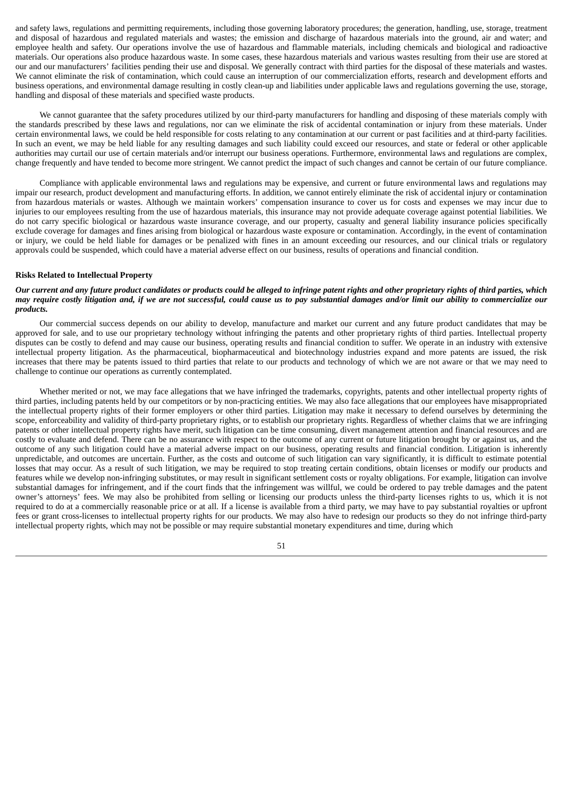and safety laws, regulations and permitting requirements, including those governing laboratory procedures; the generation, handling, use, storage, treatment and disposal of hazardous and regulated materials and wastes; the emission and discharge of hazardous materials into the ground, air and water; and employee health and safety. Our operations involve the use of hazardous and flammable materials, including chemicals and biological and radioactive materials. Our operations also produce hazardous waste. In some cases, these hazardous materials and various wastes resulting from their use are stored at our and our manufacturers' facilities pending their use and disposal. We generally contract with third parties for the disposal of these materials and wastes. We cannot eliminate the risk of contamination, which could cause an interruption of our commercialization efforts, research and development efforts and business operations, and environmental damage resulting in costly clean-up and liabilities under applicable laws and regulations governing the use, storage, handling and disposal of these materials and specified waste products.

We cannot guarantee that the safety procedures utilized by our third-party manufacturers for handling and disposing of these materials comply with the standards prescribed by these laws and regulations, nor can we eliminate the risk of accidental contamination or injury from these materials. Under certain environmental laws, we could be held responsible for costs relating to any contamination at our current or past facilities and at third-party facilities. In such an event, we may be held liable for any resulting damages and such liability could exceed our resources, and state or federal or other applicable authorities may curtail our use of certain materials and/or interrupt our business operations. Furthermore, environmental laws and regulations are complex, change frequently and have tended to become more stringent. We cannot predict the impact of such changes and cannot be certain of our future compliance.

Compliance with applicable environmental laws and regulations may be expensive, and current or future environmental laws and regulations may impair our research, product development and manufacturing efforts. In addition, we cannot entirely eliminate the risk of accidental injury or contamination from hazardous materials or wastes. Although we maintain workers' compensation insurance to cover us for costs and expenses we may incur due to injuries to our employees resulting from the use of hazardous materials, this insurance may not provide adequate coverage against potential liabilities. We do not carry specific biological or hazardous waste insurance coverage, and our property, casualty and general liability insurance policies specifically exclude coverage for damages and fines arising from biological or hazardous waste exposure or contamination. Accordingly, in the event of contamination or injury, we could be held liable for damages or be penalized with fines in an amount exceeding our resources, and our clinical trials or regulatory approvals could be suspended, which could have a material adverse effect on our business, results of operations and financial condition.

### **Risks Related to Intellectual Property**

### Our current and any future product candidates or products could be alleged to infringe patent rights and other proprietary rights of third parties, which may require costly litigation and, if we are not successful, could cause us to pay substantial damages and/or limit our ability to commercialize our *products.*

Our commercial success depends on our ability to develop, manufacture and market our current and any future product candidates that may be approved for sale, and to use our proprietary technology without infringing the patents and other proprietary rights of third parties. Intellectual property disputes can be costly to defend and may cause our business, operating results and financial condition to suffer. We operate in an industry with extensive intellectual property litigation. As the pharmaceutical, biopharmaceutical and biotechnology industries expand and more patents are issued, the risk increases that there may be patents issued to third parties that relate to our products and technology of which we are not aware or that we may need to challenge to continue our operations as currently contemplated.

Whether merited or not, we may face allegations that we have infringed the trademarks, copyrights, patents and other intellectual property rights of third parties, including patents held by our competitors or by non-practicing entities. We may also face allegations that our employees have misappropriated the intellectual property rights of their former employers or other third parties. Litigation may make it necessary to defend ourselves by determining the scope, enforceability and validity of third-party proprietary rights, or to establish our proprietary rights. Regardless of whether claims that we are infringing patents or other intellectual property rights have merit, such litigation can be time consuming, divert management attention and financial resources and are costly to evaluate and defend. There can be no assurance with respect to the outcome of any current or future litigation brought by or against us, and the outcome of any such litigation could have a material adverse impact on our business, operating results and financial condition. Litigation is inherently unpredictable, and outcomes are uncertain. Further, as the costs and outcome of such litigation can vary significantly, it is difficult to estimate potential losses that may occur. As a result of such litigation, we may be required to stop treating certain conditions, obtain licenses or modify our products and features while we develop non-infringing substitutes, or may result in significant settlement costs or royalty obligations. For example, litigation can involve substantial damages for infringement, and if the court finds that the infringement was willful, we could be ordered to pay treble damages and the patent owner's attorneys' fees. We may also be prohibited from selling or licensing our products unless the third-party licenses rights to us, which it is not required to do at a commercially reasonable price or at all. If a license is available from a third party, we may have to pay substantial royalties or upfront fees or grant cross-licenses to intellectual property rights for our products. We may also have to redesign our products so they do not infringe third-party intellectual property rights, which may not be possible or may require substantial monetary expenditures and time, during which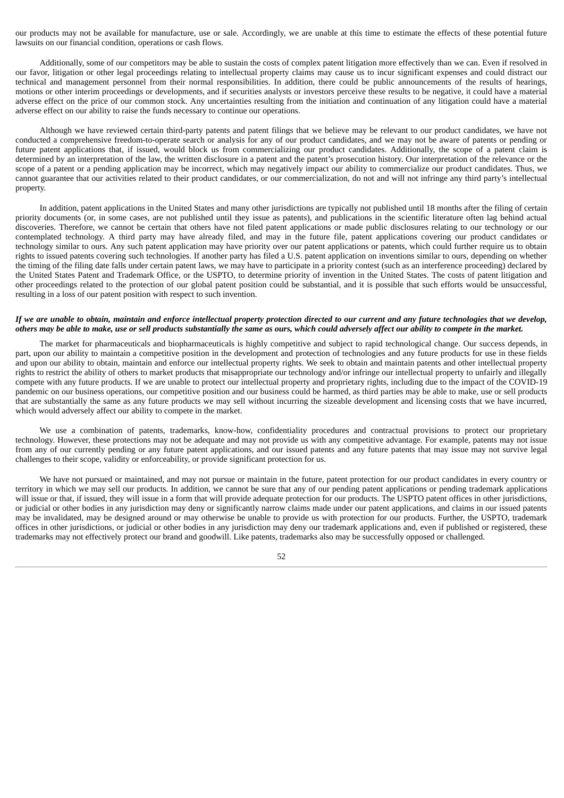our products may not be available for manufacture, use or sale. Accordingly, we are unable at this time to estimate the effects of these potential future lawsuits on our financial condition, operations or cash flows.

Additionally, some of our competitors may be able to sustain the costs of complex patent litigation more effectively than we can. Even if resolved in our favor, litigation or other legal proceedings relating to intellectual property claims may cause us to incur significant expenses and could distract our technical and management personnel from their normal responsibilities. In addition, there could be public announcements of the results of hearings, motions or other interim proceedings or developments, and if securities analysts or investors perceive these results to be negative, it could have a material adverse effect on the price of our common stock. Any uncertainties resulting from the initiation and continuation of any litigation could have a material adverse effect on our ability to raise the funds necessary to continue our operations.

Although we have reviewed certain third-party patents and patent filings that we believe may be relevant to our product candidates, we have not conducted a comprehensive freedom-to-operate search or analysis for any of our product candidates, and we may not be aware of patents or pending or future patent applications that, if issued, would block us from commercializing our product candidates. Additionally, the scope of a patent claim is determined by an interpretation of the law, the written disclosure in a patent and the patent's prosecution history. Our interpretation of the relevance or the scope of a patent or a pending application may be incorrect, which may negatively impact our ability to commercialize our product candidates. Thus, we cannot guarantee that our activities related to their product candidates, or our commercialization, do not and will not infringe any third party's intellectual property.

In addition, patent applications in the United States and many other jurisdictions are typically not published until 18 months after the filing of certain priority documents (or, in some cases, are not published until they issue as patents), and publications in the scientific literature often lag behind actual discoveries. Therefore, we cannot be certain that others have not filed patent applications or made public disclosures relating to our technology or our contemplated technology. A third party may have already filed, and may in the future file, patent applications covering our product candidates or technology similar to ours. Any such patent application may have priority over our patent applications or patents, which could further require us to obtain rights to issued patents covering such technologies. If another party has filed a U.S. patent application on inventions similar to ours, depending on whether the timing of the filing date falls under certain patent laws, we may have to participate in a priority contest (such as an interference proceeding) declared by the United States Patent and Trademark Office, or the USPTO, to determine priority of invention in the United States. The costs of patent litigation and other proceedings related to the protection of our global patent position could be substantial, and it is possible that such efforts would be unsuccessful, resulting in a loss of our patent position with respect to such invention.

# If we are unable to obtain, maintain and enforce intellectual property protection directed to our current and any future technologies that we develop, others may be able to make, use or sell products substantially the same as ours, which could adversely affect our ability to compete in the market.

The market for pharmaceuticals and biopharmaceuticals is highly competitive and subject to rapid technological change. Our success depends, in part, upon our ability to maintain a competitive position in the development and protection of technologies and any future products for use in these fields and upon our ability to obtain, maintain and enforce our intellectual property rights. We seek to obtain and maintain patents and other intellectual property rights to restrict the ability of others to market products that misappropriate our technology and/or infringe our intellectual property to unfairly and illegally compete with any future products. If we are unable to protect our intellectual property and proprietary rights, including due to the impact of the COVID-19 pandemic on our business operations, our competitive position and our business could be harmed, as third parties may be able to make, use or sell products that are substantially the same as any future products we may sell without incurring the sizeable development and licensing costs that we have incurred, which would adversely affect our ability to compete in the market.

We use a combination of patents, trademarks, know-how, confidentiality procedures and contractual provisions to protect our proprietary technology. However, these protections may not be adequate and may not provide us with any competitive advantage. For example, patents may not issue from any of our currently pending or any future patent applications, and our issued patents and any future patents that may issue may not survive legal challenges to their scope, validity or enforceability, or provide significant protection for us.

We have not pursued or maintained, and may not pursue or maintain in the future, patent protection for our product candidates in every country or territory in which we may sell our products. In addition, we cannot be sure that any of our pending patent applications or pending trademark applications will issue or that, if issued, they will issue in a form that will provide adequate protection for our products. The USPTO patent offices in other jurisdictions, or judicial or other bodies in any jurisdiction may deny or significantly narrow claims made under our patent applications, and claims in our issued patents may be invalidated, may be designed around or may otherwise be unable to provide us with protection for our products. Further, the USPTO, trademark offices in other jurisdictions, or judicial or other bodies in any jurisdiction may deny our trademark applications and, even if published or registered, these trademarks may not effectively protect our brand and goodwill. Like patents, trademarks also may be successfully opposed or challenged.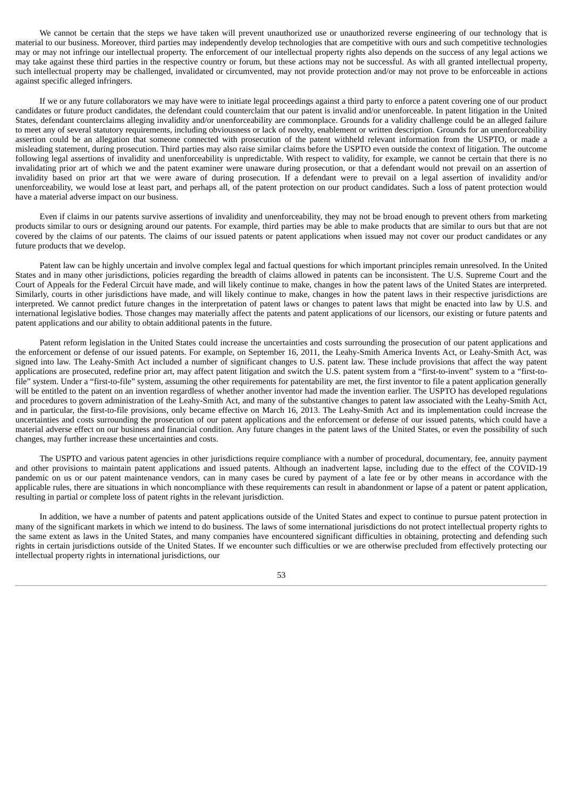We cannot be certain that the steps we have taken will prevent unauthorized use or unauthorized reverse engineering of our technology that is material to our business. Moreover, third parties may independently develop technologies that are competitive with ours and such competitive technologies may or may not infringe our intellectual property. The enforcement of our intellectual property rights also depends on the success of any legal actions we may take against these third parties in the respective country or forum, but these actions may not be successful. As with all granted intellectual property, such intellectual property may be challenged, invalidated or circumvented, may not provide protection and/or may not prove to be enforceable in actions against specific alleged infringers.

If we or any future collaborators we may have were to initiate legal proceedings against a third party to enforce a patent covering one of our product candidates or future product candidates, the defendant could counterclaim that our patent is invalid and/or unenforceable. In patent litigation in the United States, defendant counterclaims alleging invalidity and/or unenforceability are commonplace. Grounds for a validity challenge could be an alleged failure to meet any of several statutory requirements, including obviousness or lack of novelty, enablement or written description. Grounds for an unenforceability assertion could be an allegation that someone connected with prosecution of the patent withheld relevant information from the USPTO, or made a misleading statement, during prosecution. Third parties may also raise similar claims before the USPTO even outside the context of litigation. The outcome following legal assertions of invalidity and unenforceability is unpredictable. With respect to validity, for example, we cannot be certain that there is no invalidating prior art of which we and the patent examiner were unaware during prosecution, or that a defendant would not prevail on an assertion of invalidity based on prior art that we were aware of during prosecution. If a defendant were to prevail on a legal assertion of invalidity and/or unenforceability, we would lose at least part, and perhaps all, of the patent protection on our product candidates. Such a loss of patent protection would have a material adverse impact on our business.

Even if claims in our patents survive assertions of invalidity and unenforceability, they may not be broad enough to prevent others from marketing products similar to ours or designing around our patents. For example, third parties may be able to make products that are similar to ours but that are not covered by the claims of our patents. The claims of our issued patents or patent applications when issued may not cover our product candidates or any future products that we develop.

Patent law can be highly uncertain and involve complex legal and factual questions for which important principles remain unresolved. In the United States and in many other jurisdictions, policies regarding the breadth of claims allowed in patents can be inconsistent. The U.S. Supreme Court and the Court of Appeals for the Federal Circuit have made, and will likely continue to make, changes in how the patent laws of the United States are interpreted. Similarly, courts in other jurisdictions have made, and will likely continue to make, changes in how the patent laws in their respective jurisdictions are interpreted. We cannot predict future changes in the interpretation of patent laws or changes to patent laws that might be enacted into law by U.S. and international legislative bodies. Those changes may materially affect the patents and patent applications of our licensors, our existing or future patents and patent applications and our ability to obtain additional patents in the future.

Patent reform legislation in the United States could increase the uncertainties and costs surrounding the prosecution of our patent applications and the enforcement or defense of our issued patents. For example, on September 16, 2011, the Leahy-Smith America Invents Act, or Leahy-Smith Act, was signed into law. The Leahy-Smith Act included a number of significant changes to U.S. patent law. These include provisions that affect the way patent applications are prosecuted, redefine prior art, may affect patent litigation and switch the U.S. patent system from a "first-to-invent" system to a "first-tofile" system. Under a "first-to-file" system, assuming the other requirements for patentability are met, the first inventor to file a patent application generally will be entitled to the patent on an invention regardless of whether another inventor had made the invention earlier. The USPTO has developed regulations and procedures to govern administration of the Leahy-Smith Act, and many of the substantive changes to patent law associated with the Leahy-Smith Act, and in particular, the first-to-file provisions, only became effective on March 16, 2013. The Leahy-Smith Act and its implementation could increase the uncertainties and costs surrounding the prosecution of our patent applications and the enforcement or defense of our issued patents, which could have a material adverse effect on our business and financial condition. Any future changes in the patent laws of the United States, or even the possibility of such changes, may further increase these uncertainties and costs.

The USPTO and various patent agencies in other jurisdictions require compliance with a number of procedural, documentary, fee, annuity payment and other provisions to maintain patent applications and issued patents. Although an inadvertent lapse, including due to the effect of the COVID-19 pandemic on us or our patent maintenance vendors, can in many cases be cured by payment of a late fee or by other means in accordance with the applicable rules, there are situations in which noncompliance with these requirements can result in abandonment or lapse of a patent or patent application, resulting in partial or complete loss of patent rights in the relevant jurisdiction.

In addition, we have a number of patents and patent applications outside of the United States and expect to continue to pursue patent protection in many of the significant markets in which we intend to do business. The laws of some international jurisdictions do not protect intellectual property rights to the same extent as laws in the United States, and many companies have encountered significant difficulties in obtaining, protecting and defending such rights in certain jurisdictions outside of the United States. If we encounter such difficulties or we are otherwise precluded from effectively protecting our intellectual property rights in international jurisdictions, our

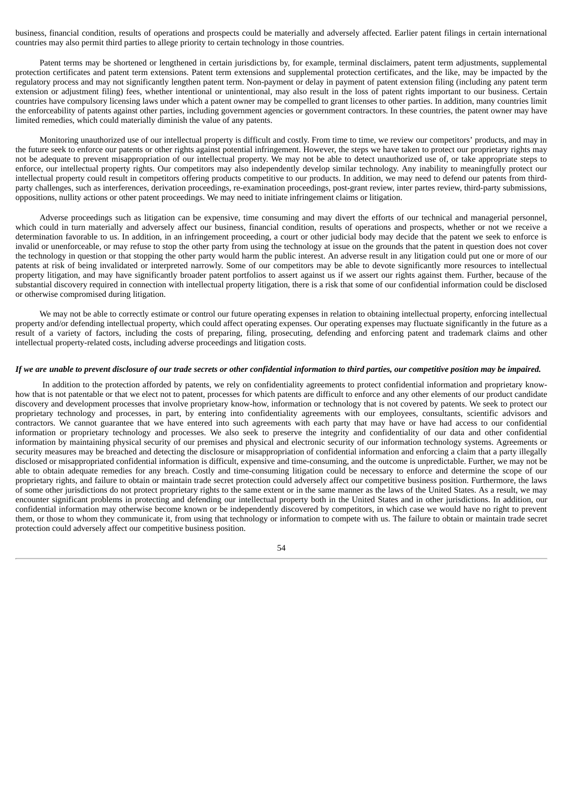business, financial condition, results of operations and prospects could be materially and adversely affected. Earlier patent filings in certain international countries may also permit third parties to allege priority to certain technology in those countries.

Patent terms may be shortened or lengthened in certain jurisdictions by, for example, terminal disclaimers, patent term adjustments, supplemental protection certificates and patent term extensions. Patent term extensions and supplemental protection certificates, and the like, may be impacted by the regulatory process and may not significantly lengthen patent term. Non-payment or delay in payment of patent extension filing (including any patent term extension or adjustment filing) fees, whether intentional or unintentional, may also result in the loss of patent rights important to our business. Certain countries have compulsory licensing laws under which a patent owner may be compelled to grant licenses to other parties. In addition, many countries limit the enforceability of patents against other parties, including government agencies or government contractors. In these countries, the patent owner may have limited remedies, which could materially diminish the value of any patents.

Monitoring unauthorized use of our intellectual property is difficult and costly. From time to time, we review our competitors' products, and may in the future seek to enforce our patents or other rights against potential infringement. However, the steps we have taken to protect our proprietary rights may not be adequate to prevent misappropriation of our intellectual property. We may not be able to detect unauthorized use of, or take appropriate steps to enforce, our intellectual property rights. Our competitors may also independently develop similar technology. Any inability to meaningfully protect our intellectual property could result in competitors offering products competitive to our products. In addition, we may need to defend our patents from thirdparty challenges, such as interferences, derivation proceedings, re-examination proceedings, post-grant review, inter partes review, third-party submissions, oppositions, nullity actions or other patent proceedings. We may need to initiate infringement claims or litigation.

Adverse proceedings such as litigation can be expensive, time consuming and may divert the efforts of our technical and managerial personnel, which could in turn materially and adversely affect our business, financial condition, results of operations and prospects, whether or not we receive a determination favorable to us. In addition, in an infringement proceeding, a court or other judicial body may decide that the patent we seek to enforce is invalid or unenforceable, or may refuse to stop the other party from using the technology at issue on the grounds that the patent in question does not cover the technology in question or that stopping the other party would harm the public interest. An adverse result in any litigation could put one or more of our patents at risk of being invalidated or interpreted narrowly. Some of our competitors may be able to devote significantly more resources to intellectual property litigation, and may have significantly broader patent portfolios to assert against us if we assert our rights against them. Further, because of the substantial discovery required in connection with intellectual property litigation, there is a risk that some of our confidential information could be disclosed or otherwise compromised during litigation.

We may not be able to correctly estimate or control our future operating expenses in relation to obtaining intellectual property, enforcing intellectual property and/or defending intellectual property, which could affect operating expenses. Our operating expenses may fluctuate significantly in the future as a result of a variety of factors, including the costs of preparing, filing, prosecuting, defending and enforcing patent and trademark claims and other intellectual property-related costs, including adverse proceedings and litigation costs.

#### If we are unable to prevent disclosure of our trade secrets or other confidential information to third parties, our competitive position may be impaired.

In addition to the protection afforded by patents, we rely on confidentiality agreements to protect confidential information and proprietary knowhow that is not patentable or that we elect not to patent, processes for which patents are difficult to enforce and any other elements of our product candidate discovery and development processes that involve proprietary know-how, information or technology that is not covered by patents. We seek to protect our proprietary technology and processes, in part, by entering into confidentiality agreements with our employees, consultants, scientific advisors and contractors. We cannot guarantee that we have entered into such agreements with each party that may have or have had access to our confidential information or proprietary technology and processes. We also seek to preserve the integrity and confidentiality of our data and other confidential information by maintaining physical security of our premises and physical and electronic security of our information technology systems. Agreements or security measures may be breached and detecting the disclosure or misappropriation of confidential information and enforcing a claim that a party illegally disclosed or misappropriated confidential information is difficult, expensive and time-consuming, and the outcome is unpredictable. Further, we may not be able to obtain adequate remedies for any breach. Costly and time-consuming litigation could be necessary to enforce and determine the scope of our proprietary rights, and failure to obtain or maintain trade secret protection could adversely affect our competitive business position. Furthermore, the laws of some other jurisdictions do not protect proprietary rights to the same extent or in the same manner as the laws of the United States. As a result, we may encounter significant problems in protecting and defending our intellectual property both in the United States and in other jurisdictions. In addition, our confidential information may otherwise become known or be independently discovered by competitors, in which case we would have no right to prevent them, or those to whom they communicate it, from using that technology or information to compete with us. The failure to obtain or maintain trade secret protection could adversely affect our competitive business position.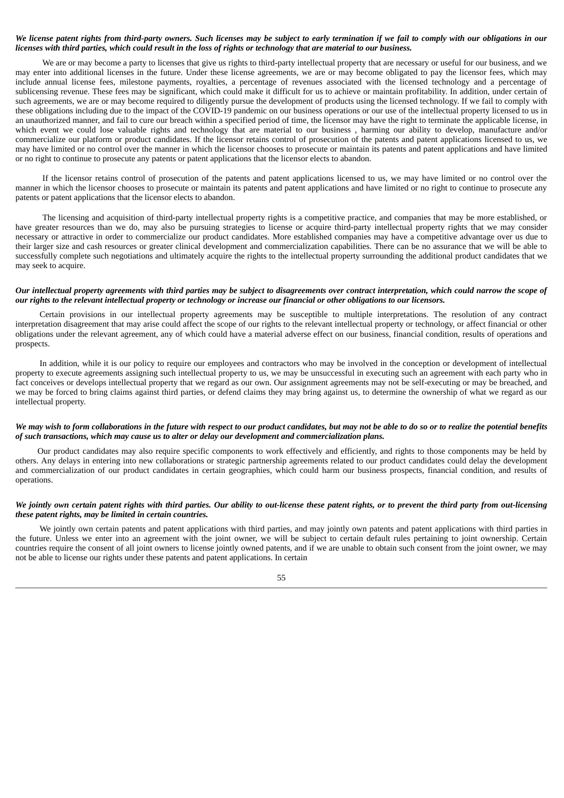### We license patent rights from third-party owners. Such licenses may be subject to early termination if we fail to comply with our obligations in our licenses with third parties, which could result in the loss of rights or technology that are material to our business.

We are or may become a party to licenses that give us rights to third-party intellectual property that are necessary or useful for our business, and we may enter into additional licenses in the future. Under these license agreements, we are or may become obligated to pay the licensor fees, which may include annual license fees, milestone payments, royalties, a percentage of revenues associated with the licensed technology and a percentage of sublicensing revenue. These fees may be significant, which could make it difficult for us to achieve or maintain profitability. In addition, under certain of such agreements, we are or may become required to diligently pursue the development of products using the licensed technology. If we fail to comply with these obligations including due to the impact of the COVID-19 pandemic on our business operations or our use of the intellectual property licensed to us in an unauthorized manner, and fail to cure our breach within a specified period of time, the licensor may have the right to terminate the applicable license, in which event we could lose valuable rights and technology that are material to our business , harming our ability to develop, manufacture and/or commercialize our platform or product candidates. If the licensor retains control of prosecution of the patents and patent applications licensed to us, we may have limited or no control over the manner in which the licensor chooses to prosecute or maintain its patents and patent applications and have limited or no right to continue to prosecute any patents or patent applications that the licensor elects to abandon.

If the licensor retains control of prosecution of the patents and patent applications licensed to us, we may have limited or no control over the manner in which the licensor chooses to prosecute or maintain its patents and patent applications and have limited or no right to continue to prosecute any patents or patent applications that the licensor elects to abandon.

The licensing and acquisition of third-party intellectual property rights is a competitive practice, and companies that may be more established, or have greater resources than we do, may also be pursuing strategies to license or acquire third-party intellectual property rights that we may consider necessary or attractive in order to commercialize our product candidates. More established companies may have a competitive advantage over us due to their larger size and cash resources or greater clinical development and commercialization capabilities. There can be no assurance that we will be able to successfully complete such negotiations and ultimately acquire the rights to the intellectual property surrounding the additional product candidates that we may seek to acquire.

#### Our intellectual property agreements with third parties may be subject to disagreements over contract interpretation, which could narrow the scope of our rights to the relevant intellectual property or technology or increase our financial or other obligations to our licensors.

Certain provisions in our intellectual property agreements may be susceptible to multiple interpretations. The resolution of any contract interpretation disagreement that may arise could affect the scope of our rights to the relevant intellectual property or technology, or affect financial or other obligations under the relevant agreement, any of which could have a material adverse effect on our business, financial condition, results of operations and prospects.

In addition, while it is our policy to require our employees and contractors who may be involved in the conception or development of intellectual property to execute agreements assigning such intellectual property to us, we may be unsuccessful in executing such an agreement with each party who in fact conceives or develops intellectual property that we regard as our own. Our assignment agreements may not be self-executing or may be breached, and we may be forced to bring claims against third parties, or defend claims they may bring against us, to determine the ownership of what we regard as our intellectual property.

#### We may wish to form collaborations in the future with respect to our product candidates, but may not be able to do so or to realize the potential benefits *of such transactions, which may cause us to alter or delay our development and commercialization plans.*

Our product candidates may also require specific components to work effectively and efficiently, and rights to those components may be held by others. Any delays in entering into new collaborations or strategic partnership agreements related to our product candidates could delay the development and commercialization of our product candidates in certain geographies, which could harm our business prospects, financial condition, and results of operations.

# We jointly own certain patent rights with third parties. Our ability to out-license these patent rights, or to prevent the third party from out-licensing *these patent rights, may be limited in certain countries.*

We jointly own certain patents and patent applications with third parties, and may jointly own patents and patent applications with third parties in the future. Unless we enter into an agreement with the joint owner, we will be subject to certain default rules pertaining to joint ownership. Certain countries require the consent of all joint owners to license jointly owned patents, and if we are unable to obtain such consent from the joint owner, we may not be able to license our rights under these patents and patent applications. In certain

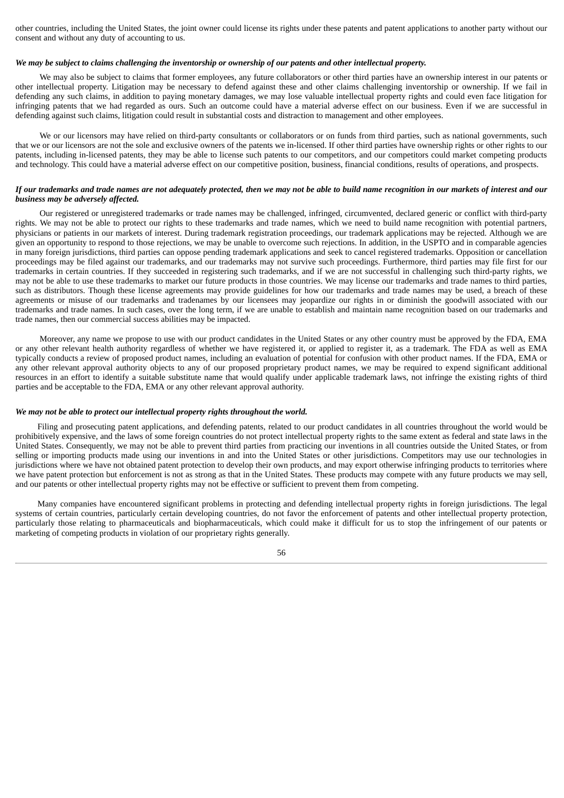other countries, including the United States, the joint owner could license its rights under these patents and patent applications to another party without our consent and without any duty of accounting to us.

#### We may be subject to claims challenging the inventorship or ownership of our patents and other intellectual property.

We may also be subject to claims that former employees, any future collaborators or other third parties have an ownership interest in our patents or other intellectual property. Litigation may be necessary to defend against these and other claims challenging inventorship or ownership. If we fail in defending any such claims, in addition to paying monetary damages, we may lose valuable intellectual property rights and could even face litigation for infringing patents that we had regarded as ours. Such an outcome could have a material adverse effect on our business. Even if we are successful in defending against such claims, litigation could result in substantial costs and distraction to management and other employees.

We or our licensors may have relied on third-party consultants or collaborators or on funds from third parties, such as national governments, such that we or our licensors are not the sole and exclusive owners of the patents we in-licensed. If other third parties have ownership rights or other rights to our patents, including in-licensed patents, they may be able to license such patents to our competitors, and our competitors could market competing products and technology. This could have a material adverse effect on our competitive position, business, financial conditions, results of operations, and prospects.

### If our trademarks and trade names are not adequately protected, then we may not be able to build name recognition in our markets of interest and our *business may be adversely affected.*

Our registered or unregistered trademarks or trade names may be challenged, infringed, circumvented, declared generic or conflict with third-party rights. We may not be able to protect our rights to these trademarks and trade names, which we need to build name recognition with potential partners, physicians or patients in our markets of interest. During trademark registration proceedings, our trademark applications may be rejected. Although we are given an opportunity to respond to those rejections, we may be unable to overcome such rejections. In addition, in the USPTO and in comparable agencies in many foreign jurisdictions, third parties can oppose pending trademark applications and seek to cancel registered trademarks. Opposition or cancellation proceedings may be filed against our trademarks, and our trademarks may not survive such proceedings. Furthermore, third parties may file first for our trademarks in certain countries. If they succeeded in registering such trademarks, and if we are not successful in challenging such third-party rights, we may not be able to use these trademarks to market our future products in those countries. We may license our trademarks and trade names to third parties, such as distributors. Though these license agreements may provide guidelines for how our trademarks and trade names may be used, a breach of these agreements or misuse of our trademarks and tradenames by our licensees may jeopardize our rights in or diminish the goodwill associated with our trademarks and trade names. In such cases, over the long term, if we are unable to establish and maintain name recognition based on our trademarks and trade names, then our commercial success abilities may be impacted.

Moreover, any name we propose to use with our product candidates in the United States or any other country must be approved by the FDA, EMA or any other relevant health authority regardless of whether we have registered it, or applied to register it, as a trademark. The FDA as well as EMA typically conducts a review of proposed product names, including an evaluation of potential for confusion with other product names. If the FDA, EMA or any other relevant approval authority objects to any of our proposed proprietary product names, we may be required to expend significant additional resources in an effort to identify a suitable substitute name that would qualify under applicable trademark laws, not infringe the existing rights of third parties and be acceptable to the FDA, EMA or any other relevant approval authority.

#### *We may not be able to protect our intellectual property rights throughout the world.*

Filing and prosecuting patent applications, and defending patents, related to our product candidates in all countries throughout the world would be prohibitively expensive, and the laws of some foreign countries do not protect intellectual property rights to the same extent as federal and state laws in the United States. Consequently, we may not be able to prevent third parties from practicing our inventions in all countries outside the United States, or from selling or importing products made using our inventions in and into the United States or other jurisdictions. Competitors may use our technologies in jurisdictions where we have not obtained patent protection to develop their own products, and may export otherwise infringing products to territories where we have patent protection but enforcement is not as strong as that in the United States. These products may compete with any future products we may sell, and our patents or other intellectual property rights may not be effective or sufficient to prevent them from competing.

Many companies have encountered significant problems in protecting and defending intellectual property rights in foreign jurisdictions. The legal systems of certain countries, particularly certain developing countries, do not favor the enforcement of patents and other intellectual property protection, particularly those relating to pharmaceuticals and biopharmaceuticals, which could make it difficult for us to stop the infringement of our patents or marketing of competing products in violation of our proprietary rights generally.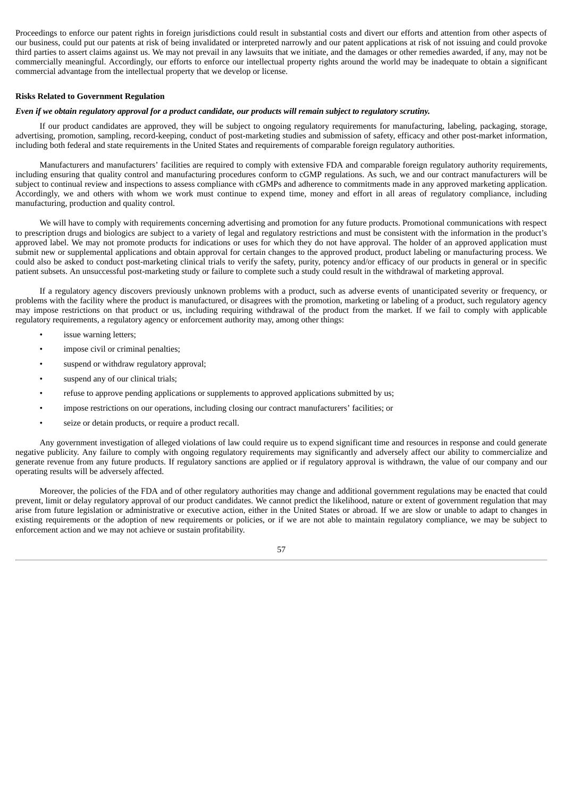Proceedings to enforce our patent rights in foreign jurisdictions could result in substantial costs and divert our efforts and attention from other aspects of our business, could put our patents at risk of being invalidated or interpreted narrowly and our patent applications at risk of not issuing and could provoke third parties to assert claims against us. We may not prevail in any lawsuits that we initiate, and the damages or other remedies awarded, if any, may not be commercially meaningful. Accordingly, our efforts to enforce our intellectual property rights around the world may be inadequate to obtain a significant commercial advantage from the intellectual property that we develop or license.

### **Risks Related to Government Regulation**

## Even if we obtain requlatory approval for a product candidate, our products will remain subject to requlatory scrutiny.

If our product candidates are approved, they will be subject to ongoing regulatory requirements for manufacturing, labeling, packaging, storage, advertising, promotion, sampling, record-keeping, conduct of post-marketing studies and submission of safety, efficacy and other post-market information, including both federal and state requirements in the United States and requirements of comparable foreign regulatory authorities.

Manufacturers and manufacturers' facilities are required to comply with extensive FDA and comparable foreign regulatory authority requirements, including ensuring that quality control and manufacturing procedures conform to cGMP regulations. As such, we and our contract manufacturers will be subject to continual review and inspections to assess compliance with cGMPs and adherence to commitments made in any approved marketing application. Accordingly, we and others with whom we work must continue to expend time, money and effort in all areas of regulatory compliance, including manufacturing, production and quality control.

We will have to comply with requirements concerning advertising and promotion for any future products. Promotional communications with respect to prescription drugs and biologics are subject to a variety of legal and regulatory restrictions and must be consistent with the information in the product's approved label. We may not promote products for indications or uses for which they do not have approval. The holder of an approved application must submit new or supplemental applications and obtain approval for certain changes to the approved product, product labeling or manufacturing process. We could also be asked to conduct post-marketing clinical trials to verify the safety, purity, potency and/or efficacy of our products in general or in specific patient subsets. An unsuccessful post-marketing study or failure to complete such a study could result in the withdrawal of marketing approval.

If a regulatory agency discovers previously unknown problems with a product, such as adverse events of unanticipated severity or frequency, or problems with the facility where the product is manufactured, or disagrees with the promotion, marketing or labeling of a product, such regulatory agency may impose restrictions on that product or us, including requiring withdrawal of the product from the market. If we fail to comply with applicable regulatory requirements, a regulatory agency or enforcement authority may, among other things:

- issue warning letters;
- impose civil or criminal penalties;
- suspend or withdraw regulatory approval;
- suspend any of our clinical trials;
- refuse to approve pending applications or supplements to approved applications submitted by us;
- impose restrictions on our operations, including closing our contract manufacturers' facilities; or
- seize or detain products, or require a product recall.

Any government investigation of alleged violations of law could require us to expend significant time and resources in response and could generate negative publicity. Any failure to comply with ongoing regulatory requirements may significantly and adversely affect our ability to commercialize and generate revenue from any future products. If regulatory sanctions are applied or if regulatory approval is withdrawn, the value of our company and our operating results will be adversely affected.

Moreover, the policies of the FDA and of other regulatory authorities may change and additional government regulations may be enacted that could prevent, limit or delay regulatory approval of our product candidates. We cannot predict the likelihood, nature or extent of government regulation that may arise from future legislation or administrative or executive action, either in the United States or abroad. If we are slow or unable to adapt to changes in existing requirements or the adoption of new requirements or policies, or if we are not able to maintain regulatory compliance, we may be subject to enforcement action and we may not achieve or sustain profitability.

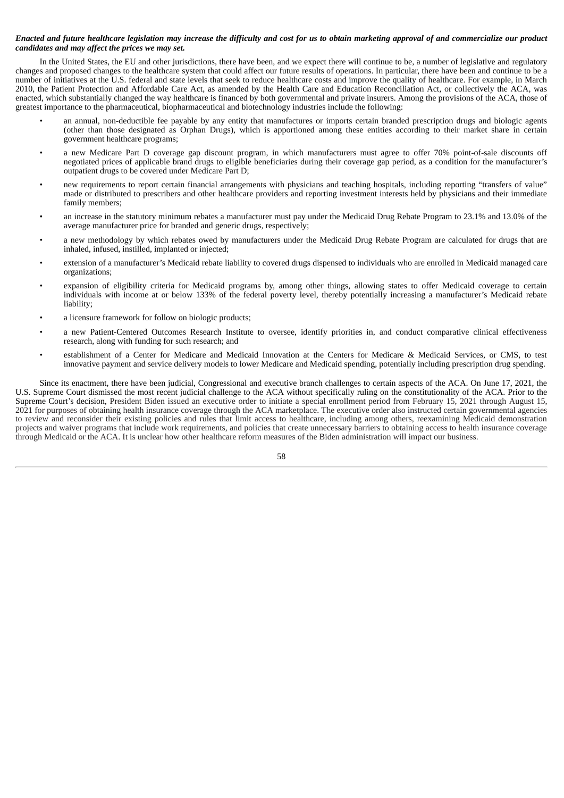### Enacted and future healthcare legislation may increase the difficulty and cost for us to obtain marketing approval of and commercialize our product *candidates and may affect the prices we may set.*

In the United States, the EU and other jurisdictions, there have been, and we expect there will continue to be, a number of legislative and regulatory changes and proposed changes to the healthcare system that could affect our future results of operations. In particular, there have been and continue to be a number of initiatives at the U.S. federal and state levels that seek to reduce healthcare costs and improve the quality of healthcare. For example, in March 2010, the Patient Protection and Affordable Care Act, as amended by the Health Care and Education Reconciliation Act, or collectively the ACA, was enacted, which substantially changed the way healthcare is financed by both governmental and private insurers. Among the provisions of the ACA, those of greatest importance to the pharmaceutical, biopharmaceutical and biotechnology industries include the following:

- an annual, non-deductible fee payable by any entity that manufactures or imports certain branded prescription drugs and biologic agents (other than those designated as Orphan Drugs), which is apportioned among these entities according to their market share in certain government healthcare programs;
- a new Medicare Part D coverage gap discount program, in which manufacturers must agree to offer 70% point-of-sale discounts off negotiated prices of applicable brand drugs to eligible beneficiaries during their coverage gap period, as a condition for the manufacturer's outpatient drugs to be covered under Medicare Part D;
- new requirements to report certain financial arrangements with physicians and teaching hospitals, including reporting "transfers of value" made or distributed to prescribers and other healthcare providers and reporting investment interests held by physicians and their immediate family members;
- an increase in the statutory minimum rebates a manufacturer must pay under the Medicaid Drug Rebate Program to 23.1% and 13.0% of the average manufacturer price for branded and generic drugs, respectively;
- a new methodology by which rebates owed by manufacturers under the Medicaid Drug Rebate Program are calculated for drugs that are inhaled, infused, instilled, implanted or injected;
- extension of a manufacturer's Medicaid rebate liability to covered drugs dispensed to individuals who are enrolled in Medicaid managed care organizations;
- expansion of eligibility criteria for Medicaid programs by, among other things, allowing states to offer Medicaid coverage to certain individuals with income at or below 133% of the federal poverty level, thereby potentially increasing a manufacturer's Medicaid rebate liability;
- a licensure framework for follow on biologic products;
- a new Patient-Centered Outcomes Research Institute to oversee, identify priorities in, and conduct comparative clinical effectiveness research, along with funding for such research; and
- establishment of a Center for Medicare and Medicaid Innovation at the Centers for Medicare & Medicaid Services, or CMS, to test innovative payment and service delivery models to lower Medicare and Medicaid spending, potentially including prescription drug spending.

Since its enactment, there have been judicial, Congressional and executive branch challenges to certain aspects of the ACA. On June 17, 2021, the U.S. Supreme Court dismissed the most recent judicial challenge to the ACA without specifically ruling on the constitutionality of the ACA. Prior to the Supreme Court's decision, President Biden issued an executive order to initiate a special enrollment period from February 15, 2021 through August 15, 2021 for purposes of obtaining health insurance coverage through the ACA marketplace. The executive order also instructed certain governmental agencies to review and reconsider their existing policies and rules that limit access to healthcare, including among others, reexamining Medicaid demonstration projects and waiver programs that include work requirements, and policies that create unnecessary barriers to obtaining access to health insurance coverage through Medicaid or the ACA. It is unclear how other healthcare reform measures of the Biden administration will impact our business.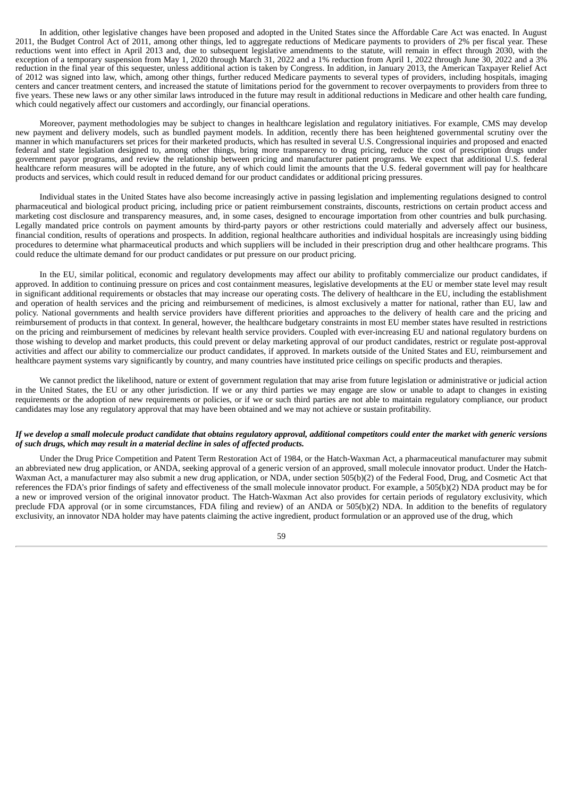In addition, other legislative changes have been proposed and adopted in the United States since the Affordable Care Act was enacted. In August 2011, the Budget Control Act of 2011, among other things, led to aggregate reductions of Medicare payments to providers of 2% per fiscal year. These reductions went into effect in April 2013 and, due to subsequent legislative amendments to the statute, will remain in effect through 2030, with the exception of a temporary suspension from May 1, 2020 through March 31, 2022 and a 1% reduction from April 1, 2022 through June 30, 2022 and a 3% reduction in the final year of this sequester, unless additional action is taken by Congress. In addition, in January 2013, the American Taxpayer Relief Act of 2012 was signed into law, which, among other things, further reduced Medicare payments to several types of providers, including hospitals, imaging centers and cancer treatment centers, and increased the statute of limitations period for the government to recover overpayments to providers from three to five years. These new laws or any other similar laws introduced in the future may result in additional reductions in Medicare and other health care funding, which could negatively affect our customers and accordingly, our financial operations.

Moreover, payment methodologies may be subject to changes in healthcare legislation and regulatory initiatives. For example, CMS may develop new payment and delivery models, such as bundled payment models. In addition, recently there has been heightened governmental scrutiny over the manner in which manufacturers set prices for their marketed products, which has resulted in several U.S. Congressional inquiries and proposed and enacted federal and state legislation designed to, among other things, bring more transparency to drug pricing, reduce the cost of prescription drugs under government payor programs, and review the relationship between pricing and manufacturer patient programs. We expect that additional U.S. federal healthcare reform measures will be adopted in the future, any of which could limit the amounts that the U.S. federal government will pay for healthcare products and services, which could result in reduced demand for our product candidates or additional pricing pressures.

Individual states in the United States have also become increasingly active in passing legislation and implementing regulations designed to control pharmaceutical and biological product pricing, including price or patient reimbursement constraints, discounts, restrictions on certain product access and marketing cost disclosure and transparency measures, and, in some cases, designed to encourage importation from other countries and bulk purchasing. Legally mandated price controls on payment amounts by third-party payors or other restrictions could materially and adversely affect our business, financial condition, results of operations and prospects. In addition, regional healthcare authorities and individual hospitals are increasingly using bidding procedures to determine what pharmaceutical products and which suppliers will be included in their prescription drug and other healthcare programs. This could reduce the ultimate demand for our product candidates or put pressure on our product pricing.

In the EU, similar political, economic and regulatory developments may affect our ability to profitably commercialize our product candidates, if approved. In addition to continuing pressure on prices and cost containment measures, legislative developments at the EU or member state level may result in significant additional requirements or obstacles that may increase our operating costs. The delivery of healthcare in the EU, including the establishment and operation of health services and the pricing and reimbursement of medicines, is almost exclusively a matter for national, rather than EU, law and policy. National governments and health service providers have different priorities and approaches to the delivery of health care and the pricing and reimbursement of products in that context. In general, however, the healthcare budgetary constraints in most EU member states have resulted in restrictions on the pricing and reimbursement of medicines by relevant health service providers. Coupled with ever-increasing EU and national regulatory burdens on those wishing to develop and market products, this could prevent or delay marketing approval of our product candidates, restrict or regulate post-approval activities and affect our ability to commercialize our product candidates, if approved. In markets outside of the United States and EU, reimbursement and healthcare payment systems vary significantly by country, and many countries have instituted price ceilings on specific products and therapies.

We cannot predict the likelihood, nature or extent of government regulation that may arise from future legislation or administrative or judicial action in the United States, the EU or any other jurisdiction. If we or any third parties we may engage are slow or unable to adapt to changes in existing requirements or the adoption of new requirements or policies, or if we or such third parties are not able to maintain regulatory compliance, our product candidates may lose any regulatory approval that may have been obtained and we may not achieve or sustain profitability.

# If we develop a small molecule product candidate that obtains regulatory approval, additional competitors could enter the market with generic versions *of such drugs, which may result in a material decline in sales of affected products.*

Under the Drug Price Competition and Patent Term Restoration Act of 1984, or the Hatch-Waxman Act, a pharmaceutical manufacturer may submit an abbreviated new drug application, or ANDA, seeking approval of a generic version of an approved, small molecule innovator product. Under the Hatch-Waxman Act, a manufacturer may also submit a new drug application, or NDA, under section 505(b)(2) of the Federal Food, Drug, and Cosmetic Act that references the FDA's prior findings of safety and effectiveness of the small molecule innovator product. For example, a 505(b)(2) NDA product may be for a new or improved version of the original innovator product. The Hatch-Waxman Act also provides for certain periods of regulatory exclusivity, which preclude FDA approval (or in some circumstances, FDA filing and review) of an ANDA or 505(b)(2) NDA. In addition to the benefits of regulatory exclusivity, an innovator NDA holder may have patents claiming the active ingredient, product formulation or an approved use of the drug, which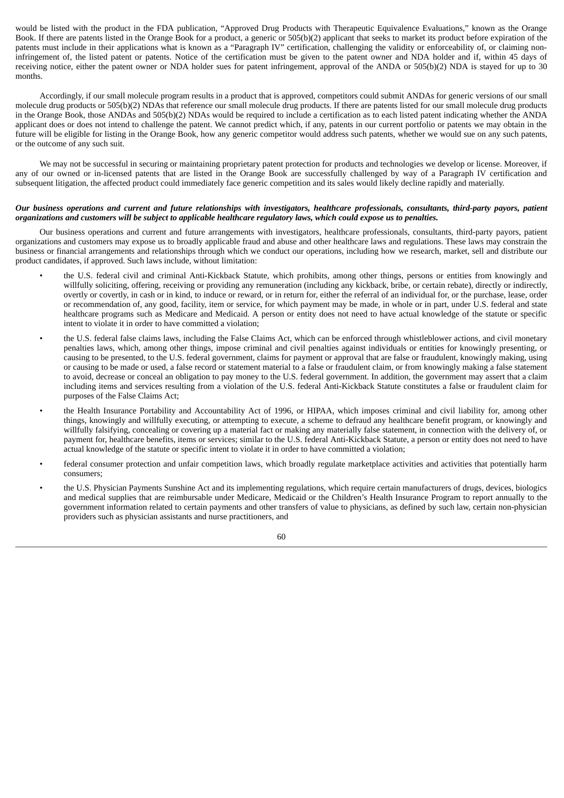would be listed with the product in the FDA publication, "Approved Drug Products with Therapeutic Equivalence Evaluations," known as the Orange Book. If there are patents listed in the Orange Book for a product, a generic or 505(b)(2) applicant that seeks to market its product before expiration of the patents must include in their applications what is known as a "Paragraph IV" certification, challenging the validity or enforceability of, or claiming noninfringement of, the listed patent or patents. Notice of the certification must be given to the patent owner and NDA holder and if, within 45 days of receiving notice, either the patent owner or NDA holder sues for patent infringement, approval of the ANDA or 505(b)(2) NDA is stayed for up to 30 months.

Accordingly, if our small molecule program results in a product that is approved, competitors could submit ANDAs for generic versions of our small molecule drug products or 505(b)(2) NDAs that reference our small molecule drug products. If there are patents listed for our small molecule drug products in the Orange Book, those ANDAs and 505(b)(2) NDAs would be required to include a certification as to each listed patent indicating whether the ANDA applicant does or does not intend to challenge the patent. We cannot predict which, if any, patents in our current portfolio or patents we may obtain in the future will be eligible for listing in the Orange Book, how any generic competitor would address such patents, whether we would sue on any such patents, or the outcome of any such suit.

We may not be successful in securing or maintaining proprietary patent protection for products and technologies we develop or license. Moreover, if any of our owned or in-licensed patents that are listed in the Orange Book are successfully challenged by way of a Paragraph IV certification and subsequent litigation, the affected product could immediately face generic competition and its sales would likely decline rapidly and materially.

# Our business operations and current and future relationships with investigators, healthcare professionals, consultants, third-party payors, patient organizations and customers will be subject to applicable healthcare regulatory laws, which could expose us to penalties.

Our business operations and current and future arrangements with investigators, healthcare professionals, consultants, third-party payors, patient organizations and customers may expose us to broadly applicable fraud and abuse and other healthcare laws and regulations. These laws may constrain the business or financial arrangements and relationships through which we conduct our operations, including how we research, market, sell and distribute our product candidates, if approved. Such laws include, without limitation:

- the U.S. federal civil and criminal Anti-Kickback Statute, which prohibits, among other things, persons or entities from knowingly and willfully soliciting, offering, receiving or providing any remuneration (including any kickback, bribe, or certain rebate), directly or indirectly, overtly or covertly, in cash or in kind, to induce or reward, or in return for, either the referral of an individual for, or the purchase, lease, order or recommendation of, any good, facility, item or service, for which payment may be made, in whole or in part, under U.S. federal and state healthcare programs such as Medicare and Medicaid. A person or entity does not need to have actual knowledge of the statute or specific intent to violate it in order to have committed a violation;
- the U.S. federal false claims laws, including the False Claims Act, which can be enforced through whistleblower actions, and civil monetary penalties laws, which, among other things, impose criminal and civil penalties against individuals or entities for knowingly presenting, or causing to be presented, to the U.S. federal government, claims for payment or approval that are false or fraudulent, knowingly making, using or causing to be made or used, a false record or statement material to a false or fraudulent claim, or from knowingly making a false statement to avoid, decrease or conceal an obligation to pay money to the U.S. federal government. In addition, the government may assert that a claim including items and services resulting from a violation of the U.S. federal Anti-Kickback Statute constitutes a false or fraudulent claim for purposes of the False Claims Act;
- the Health Insurance Portability and Accountability Act of 1996, or HIPAA, which imposes criminal and civil liability for, among other things, knowingly and willfully executing, or attempting to execute, a scheme to defraud any healthcare benefit program, or knowingly and willfully falsifying, concealing or covering up a material fact or making any materially false statement, in connection with the delivery of, or payment for, healthcare benefits, items or services; similar to the U.S. federal Anti-Kickback Statute, a person or entity does not need to have actual knowledge of the statute or specific intent to violate it in order to have committed a violation;
- federal consumer protection and unfair competition laws, which broadly regulate marketplace activities and activities that potentially harm consumers;
- the U.S. Physician Payments Sunshine Act and its implementing regulations, which require certain manufacturers of drugs, devices, biologics and medical supplies that are reimbursable under Medicare, Medicaid or the Children's Health Insurance Program to report annually to the government information related to certain payments and other transfers of value to physicians, as defined by such law, certain non-physician providers such as physician assistants and nurse practitioners, and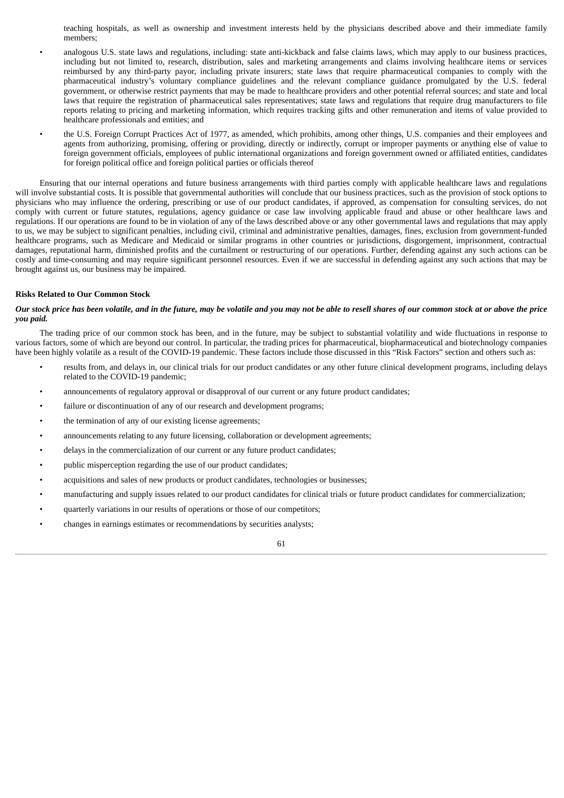teaching hospitals, as well as ownership and investment interests held by the physicians described above and their immediate family members;

- analogous U.S. state laws and regulations, including: state anti-kickback and false claims laws, which may apply to our business practices, including but not limited to, research, distribution, sales and marketing arrangements and claims involving healthcare items or services reimbursed by any third-party payor, including private insurers; state laws that require pharmaceutical companies to comply with the pharmaceutical industry's voluntary compliance guidelines and the relevant compliance guidance promulgated by the U.S. federal government, or otherwise restrict payments that may be made to healthcare providers and other potential referral sources; and state and local laws that require the registration of pharmaceutical sales representatives; state laws and regulations that require drug manufacturers to file reports relating to pricing and marketing information, which requires tracking gifts and other remuneration and items of value provided to healthcare professionals and entities; and
	- the U.S. Foreign Corrupt Practices Act of 1977, as amended, which prohibits, among other things, U.S. companies and their employees and agents from authorizing, promising, offering or providing, directly or indirectly, corrupt or improper payments or anything else of value to foreign government officials, employees of public international organizations and foreign government owned or affiliated entities, candidates for foreign political office and foreign political parties or officials thereof

Ensuring that our internal operations and future business arrangements with third parties comply with applicable healthcare laws and regulations will involve substantial costs. It is possible that governmental authorities will conclude that our business practices, such as the provision of stock options to physicians who may influence the ordering, prescribing or use of our product candidates, if approved, as compensation for consulting services, do not comply with current or future statutes, regulations, agency guidance or case law involving applicable fraud and abuse or other healthcare laws and regulations. If our operations are found to be in violation of any of the laws described above or any other governmental laws and regulations that may apply to us, we may be subject to significant penalties, including civil, criminal and administrative penalties, damages, fines, exclusion from government-funded healthcare programs, such as Medicare and Medicaid or similar programs in other countries or jurisdictions, disgorgement, imprisonment, contractual damages, reputational harm, diminished profits and the curtailment or restructuring of our operations. Further, defending against any such actions can be costly and time-consuming and may require significant personnel resources. Even if we are successful in defending against any such actions that may be brought against us, our business may be impaired.

### **Risks Related to Our Common Stock**

### Our stock price has been volatile, and in the future, may be volatile and you may not be able to resell shares of our common stock at or above the price *you paid.*

The trading price of our common stock has been, and in the future, may be subject to substantial volatility and wide fluctuations in response to various factors, some of which are beyond our control. In particular, the trading prices for pharmaceutical, biopharmaceutical and biotechnology companies have been highly volatile as a result of the COVID-19 pandemic. These factors include those discussed in this "Risk Factors" section and others such as:

- results from, and delays in, our clinical trials for our product candidates or any other future clinical development programs, including delays related to the COVID-19 pandemic;
- announcements of regulatory approval or disapproval of our current or any future product candidates;
- failure or discontinuation of any of our research and development programs;
- the termination of any of our existing license agreements;
- announcements relating to any future licensing, collaboration or development agreements;
- delays in the commercialization of our current or any future product candidates;
- public misperception regarding the use of our product candidates;
- acquisitions and sales of new products or product candidates, technologies or businesses;
- manufacturing and supply issues related to our product candidates for clinical trials or future product candidates for commercialization;
- quarterly variations in our results of operations or those of our competitors;
- changes in earnings estimates or recommendations by securities analysts;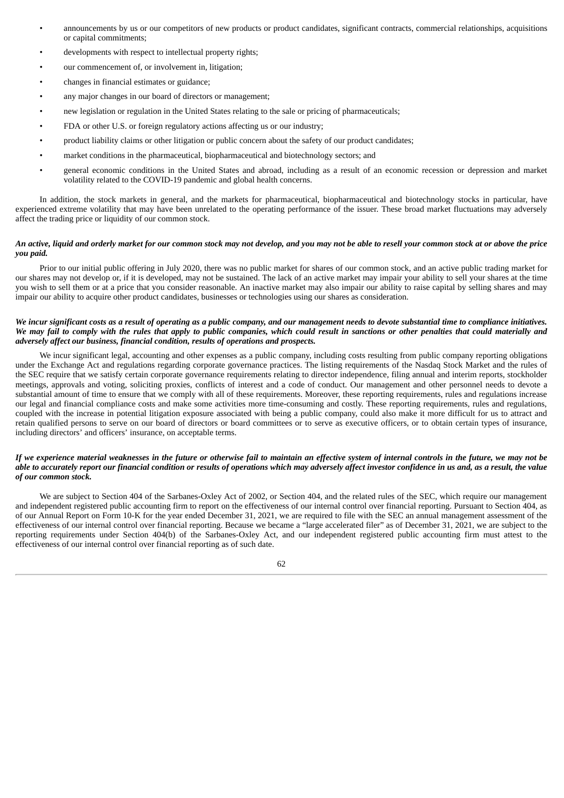- announcements by us or our competitors of new products or product candidates, significant contracts, commercial relationships, acquisitions or capital commitments;
- developments with respect to intellectual property rights;
- our commencement of, or involvement in, litigation;
- changes in financial estimates or guidance;
- any major changes in our board of directors or management;
- new legislation or regulation in the United States relating to the sale or pricing of pharmaceuticals;
- FDA or other U.S. or foreign regulatory actions affecting us or our industry;
- product liability claims or other litigation or public concern about the safety of our product candidates;
- market conditions in the pharmaceutical, biopharmaceutical and biotechnology sectors; and
- general economic conditions in the United States and abroad, including as a result of an economic recession or depression and market volatility related to the COVID-19 pandemic and global health concerns.

In addition, the stock markets in general, and the markets for pharmaceutical, biopharmaceutical and biotechnology stocks in particular, have experienced extreme volatility that may have been unrelated to the operating performance of the issuer. These broad market fluctuations may adversely affect the trading price or liquidity of our common stock.

#### An active, liquid and orderly market for our common stock may not develop, and you may not be able to resell your common stock at or above the price *you paid.*

Prior to our initial public offering in July 2020, there was no public market for shares of our common stock, and an active public trading market for our shares may not develop or, if it is developed, may not be sustained. The lack of an active market may impair your ability to sell your shares at the time you wish to sell them or at a price that you consider reasonable. An inactive market may also impair our ability to raise capital by selling shares and may impair our ability to acquire other product candidates, businesses or technologies using our shares as consideration.

### We incur significant costs as a result of operating as a public company, and our management needs to devote substantial time to compliance initiatives. We may fail to comply with the rules that apply to public companies, which could result in sanctions or other penalties that could materially and *adversely affect our business, financial condition, results of operations and prospects.*

We incur significant legal, accounting and other expenses as a public company, including costs resulting from public company reporting obligations under the Exchange Act and regulations regarding corporate governance practices. The listing requirements of the Nasdaq Stock Market and the rules of the SEC require that we satisfy certain corporate governance requirements relating to director independence, filing annual and interim reports, stockholder meetings, approvals and voting, soliciting proxies, conflicts of interest and a code of conduct. Our management and other personnel needs to devote a substantial amount of time to ensure that we comply with all of these requirements. Moreover, these reporting requirements, rules and regulations increase our legal and financial compliance costs and make some activities more time-consuming and costly. These reporting requirements, rules and regulations, coupled with the increase in potential litigation exposure associated with being a public company, could also make it more difficult for us to attract and retain qualified persons to serve on our board of directors or board committees or to serve as executive officers, or to obtain certain types of insurance, including directors' and officers' insurance, on acceptable terms.

#### If we experience material weaknesses in the future or otherwise fail to maintain an effective system of internal controls in the future, we may not be able to accurately report our financial condition or results of operations which may adversely affect investor confidence in us and, as a result, the value *of our common stock.*

We are subject to Section 404 of the Sarbanes-Oxley Act of 2002, or Section 404, and the related rules of the SEC, which require our management and independent registered public accounting firm to report on the effectiveness of our internal control over financial reporting. Pursuant to Section 404, as of our Annual Report on Form 10-K for the year ended December 31, 2021, we are required to file with the SEC an annual management assessment of the effectiveness of our internal control over financial reporting. Because we became a "large accelerated filer" as of December 31, 2021, we are subject to the reporting requirements under Section 404(b) of the Sarbanes-Oxley Act, and our independent registered public accounting firm must attest to the effectiveness of our internal control over financial reporting as of such date.

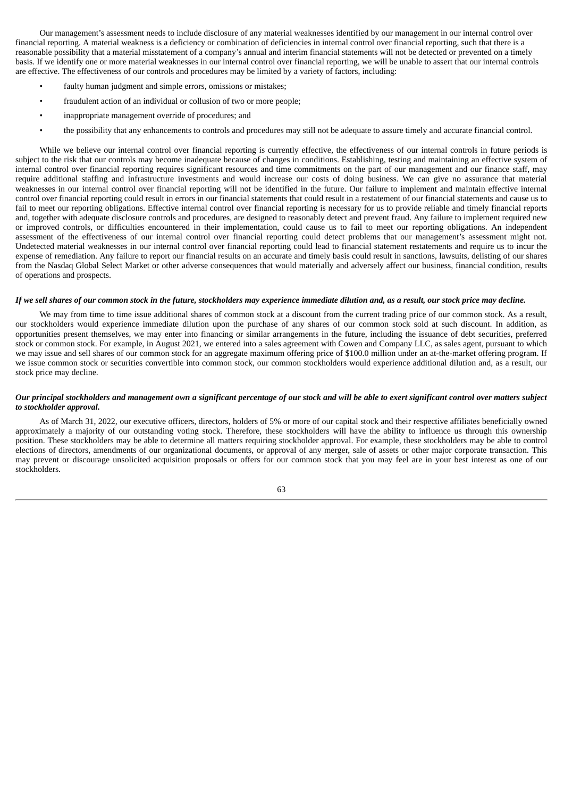Our management's assessment needs to include disclosure of any material weaknesses identified by our management in our internal control over financial reporting. A material weakness is a deficiency or combination of deficiencies in internal control over financial reporting, such that there is a reasonable possibility that a material misstatement of a company's annual and interim financial statements will not be detected or prevented on a timely basis. If we identify one or more material weaknesses in our internal control over financial reporting, we will be unable to assert that our internal controls are effective. The effectiveness of our controls and procedures may be limited by a variety of factors, including:

- faulty human judgment and simple errors, omissions or mistakes;
- fraudulent action of an individual or collusion of two or more people;
- inappropriate management override of procedures; and
- the possibility that any enhancements to controls and procedures may still not be adequate to assure timely and accurate financial control.

While we believe our internal control over financial reporting is currently effective, the effectiveness of our internal controls in future periods is subject to the risk that our controls may become inadequate because of changes in conditions. Establishing, testing and maintaining an effective system of internal control over financial reporting requires significant resources and time commitments on the part of our management and our finance staff, may require additional staffing and infrastructure investments and would increase our costs of doing business. We can give no assurance that material weaknesses in our internal control over financial reporting will not be identified in the future. Our failure to implement and maintain effective internal control over financial reporting could result in errors in our financial statements that could result in a restatement of our financial statements and cause us to fail to meet our reporting obligations. Effective internal control over financial reporting is necessary for us to provide reliable and timely financial reports and, together with adequate disclosure controls and procedures, are designed to reasonably detect and prevent fraud. Any failure to implement required new or improved controls, or difficulties encountered in their implementation, could cause us to fail to meet our reporting obligations. An independent assessment of the effectiveness of our internal control over financial reporting could detect problems that our management's assessment might not. Undetected material weaknesses in our internal control over financial reporting could lead to financial statement restatements and require us to incur the expense of remediation. Any failure to report our financial results on an accurate and timely basis could result in sanctions, lawsuits, delisting of our shares from the Nasdaq Global Select Market or other adverse consequences that would materially and adversely affect our business, financial condition, results of operations and prospects.

#### If we sell shares of our common stock in the future, stockholders may experience immediate dilution and, as a result, our stock price may decline.

We may from time to time issue additional shares of common stock at a discount from the current trading price of our common stock. As a result, our stockholders would experience immediate dilution upon the purchase of any shares of our common stock sold at such discount. In addition, as opportunities present themselves, we may enter into financing or similar arrangements in the future, including the issuance of debt securities, preferred stock or common stock. For example, in August 2021, we entered into a sales agreement with Cowen and Company LLC, as sales agent, pursuant to which we may issue and sell shares of our common stock for an aggregate maximum offering price of \$100.0 million under an at-the-market offering program. If we issue common stock or securities convertible into common stock, our common stockholders would experience additional dilution and, as a result, our stock price may decline.

#### Our principal stockholders and management own a significant percentage of our stock and will be able to exert significant control over matters subject *to stockholder approval.*

As of March 31, 2022, our executive officers, directors, holders of 5% or more of our capital stock and their respective affiliates beneficially owned approximately a majority of our outstanding voting stock. Therefore, these stockholders will have the ability to influence us through this ownership position. These stockholders may be able to determine all matters requiring stockholder approval. For example, these stockholders may be able to control elections of directors, amendments of our organizational documents, or approval of any merger, sale of assets or other major corporate transaction. This may prevent or discourage unsolicited acquisition proposals or offers for our common stock that you may feel are in your best interest as one of our stockholders.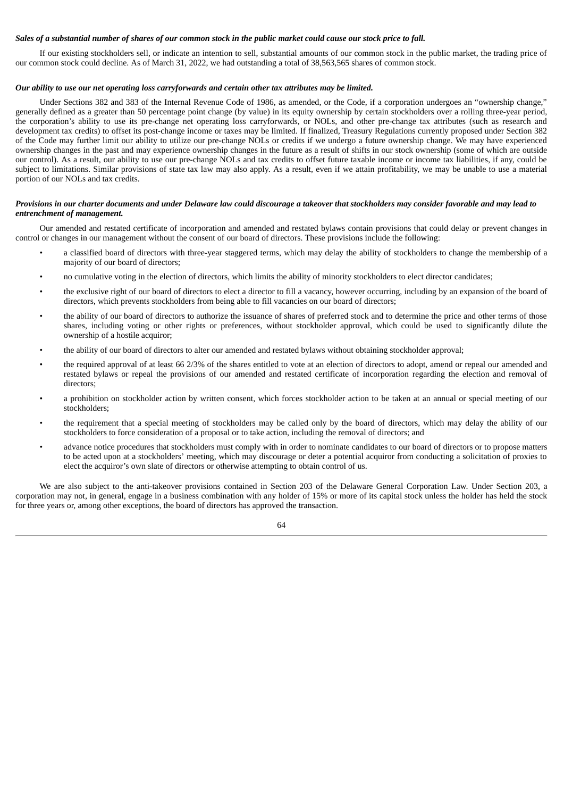#### Sales of a substantial number of shares of our common stock in the public market could cause our stock price to fall.

If our existing stockholders sell, or indicate an intention to sell, substantial amounts of our common stock in the public market, the trading price of our common stock could decline. As of March 31, 2022, we had outstanding a total of 38,563,565 shares of common stock.

## *Our ability to use our net operating loss carryforwards and certain other tax attributes may be limited.*

Under Sections 382 and 383 of the Internal Revenue Code of 1986, as amended, or the Code, if a corporation undergoes an "ownership change," generally defined as a greater than 50 percentage point change (by value) in its equity ownership by certain stockholders over a rolling three-year period, the corporation's ability to use its pre-change net operating loss carryforwards, or NOLs, and other pre-change tax attributes (such as research and development tax credits) to offset its post-change income or taxes may be limited. If finalized, Treasury Regulations currently proposed under Section 382 of the Code may further limit our ability to utilize our pre-change NOLs or credits if we undergo a future ownership change. We may have experienced ownership changes in the past and may experience ownership changes in the future as a result of shifts in our stock ownership (some of which are outside our control). As a result, our ability to use our pre-change NOLs and tax credits to offset future taxable income or income tax liabilities, if any, could be subject to limitations. Similar provisions of state tax law may also apply. As a result, even if we attain profitability, we may be unable to use a material portion of our NOLs and tax credits.

### Provisions in our charter documents and under Delaware law could discourage a takeover that stockholders may consider favorable and may lead to *entrenchment of management.*

Our amended and restated certificate of incorporation and amended and restated bylaws contain provisions that could delay or prevent changes in control or changes in our management without the consent of our board of directors. These provisions include the following:

- a classified board of directors with three-year staggered terms, which may delay the ability of stockholders to change the membership of a majority of our board of directors;
- no cumulative voting in the election of directors, which limits the ability of minority stockholders to elect director candidates;
- the exclusive right of our board of directors to elect a director to fill a vacancy, however occurring, including by an expansion of the board of directors, which prevents stockholders from being able to fill vacancies on our board of directors;
- the ability of our board of directors to authorize the issuance of shares of preferred stock and to determine the price and other terms of those shares, including voting or other rights or preferences, without stockholder approval, which could be used to significantly dilute the ownership of a hostile acquiror;
- the ability of our board of directors to alter our amended and restated bylaws without obtaining stockholder approval;
- the required approval of at least 66 2/3% of the shares entitled to vote at an election of directors to adopt, amend or repeal our amended and restated bylaws or repeal the provisions of our amended and restated certificate of incorporation regarding the election and removal of directors:
- a prohibition on stockholder action by written consent, which forces stockholder action to be taken at an annual or special meeting of our stockholders;
- the requirement that a special meeting of stockholders may be called only by the board of directors, which may delay the ability of our stockholders to force consideration of a proposal or to take action, including the removal of directors; and
- advance notice procedures that stockholders must comply with in order to nominate candidates to our board of directors or to propose matters to be acted upon at a stockholders' meeting, which may discourage or deter a potential acquiror from conducting a solicitation of proxies to elect the acquiror's own slate of directors or otherwise attempting to obtain control of us.

We are also subject to the anti-takeover provisions contained in Section 203 of the Delaware General Corporation Law. Under Section 203, a corporation may not, in general, engage in a business combination with any holder of 15% or more of its capital stock unless the holder has held the stock for three years or, among other exceptions, the board of directors has approved the transaction.

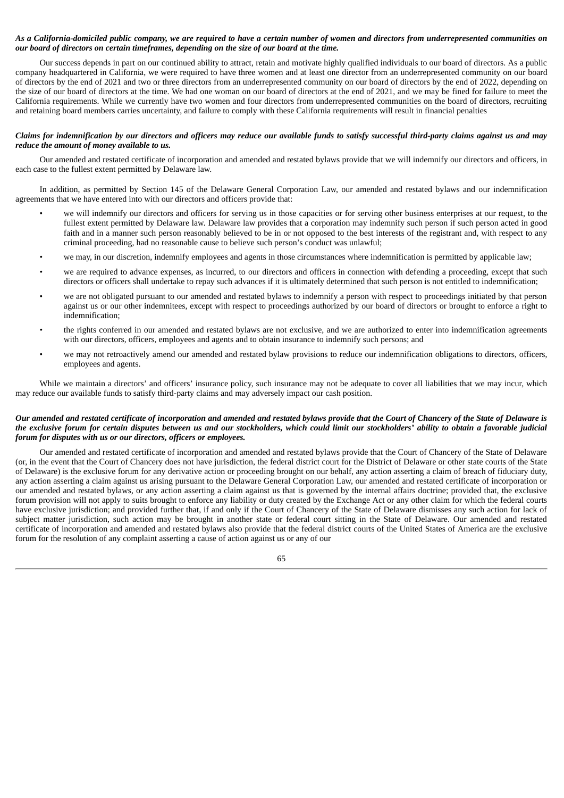### As a California-domiciled public company, we are required to have a certain number of women and directors from underrepresented communities on *our board of directors on certain timeframes, depending on the size of our board at the time.*

Our success depends in part on our continued ability to attract, retain and motivate highly qualified individuals to our board of directors. As a public company headquartered in California, we were required to have three women and at least one director from an underrepresented community on our board of directors by the end of 2021 and two or three directors from an underrepresented community on our board of directors by the end of 2022, depending on the size of our board of directors at the time. We had one woman on our board of directors at the end of 2021, and we may be fined for failure to meet the California requirements. While we currently have two women and four directors from underrepresented communities on the board of directors, recruiting and retaining board members carries uncertainty, and failure to comply with these California requirements will result in financial penalties

# Claims for indemnification by our directors and officers may reduce our available funds to satisfy successful third-party claims against us and may *reduce the amount of money available to us.*

Our amended and restated certificate of incorporation and amended and restated bylaws provide that we will indemnify our directors and officers, in each case to the fullest extent permitted by Delaware law.

In addition, as permitted by Section 145 of the Delaware General Corporation Law, our amended and restated bylaws and our indemnification agreements that we have entered into with our directors and officers provide that:

- we will indemnify our directors and officers for serving us in those capacities or for serving other business enterprises at our request, to the fullest extent permitted by Delaware law. Delaware law provides that a corporation may indemnify such person if such person acted in good faith and in a manner such person reasonably believed to be in or not opposed to the best interests of the registrant and, with respect to any criminal proceeding, had no reasonable cause to believe such person's conduct was unlawful;
- we may, in our discretion, indemnify employees and agents in those circumstances where indemnification is permitted by applicable law;
- we are required to advance expenses, as incurred, to our directors and officers in connection with defending a proceeding, except that such directors or officers shall undertake to repay such advances if it is ultimately determined that such person is not entitled to indemnification;
- we are not obligated pursuant to our amended and restated bylaws to indemnify a person with respect to proceedings initiated by that person against us or our other indemnitees, except with respect to proceedings authorized by our board of directors or brought to enforce a right to indemnification;
- the rights conferred in our amended and restated bylaws are not exclusive, and we are authorized to enter into indemnification agreements with our directors, officers, employees and agents and to obtain insurance to indemnify such persons; and
- we may not retroactively amend our amended and restated bylaw provisions to reduce our indemnification obligations to directors, officers, employees and agents.

While we maintain a directors' and officers' insurance policy, such insurance may not be adequate to cover all liabilities that we may incur, which may reduce our available funds to satisfy third-party claims and may adversely impact our cash position.

# Our amended and restated certificate of incorporation and amended and restated bylaws provide that the Court of Chancery of the State of Delaware is the exclusive forum for certain disputes between us and our stockholders, which could limit our stockholders' ability to obtain a favorable judicial *forum for disputes with us or our directors, officers or employees.*

Our amended and restated certificate of incorporation and amended and restated bylaws provide that the Court of Chancery of the State of Delaware (or, in the event that the Court of Chancery does not have jurisdiction, the federal district court for the District of Delaware or other state courts of the State of Delaware) is the exclusive forum for any derivative action or proceeding brought on our behalf, any action asserting a claim of breach of fiduciary duty, any action asserting a claim against us arising pursuant to the Delaware General Corporation Law, our amended and restated certificate of incorporation or our amended and restated bylaws, or any action asserting a claim against us that is governed by the internal affairs doctrine; provided that, the exclusive forum provision will not apply to suits brought to enforce any liability or duty created by the Exchange Act or any other claim for which the federal courts have exclusive jurisdiction; and provided further that, if and only if the Court of Chancery of the State of Delaware dismisses any such action for lack of subject matter jurisdiction, such action may be brought in another state or federal court sitting in the State of Delaware. Our amended and restated certificate of incorporation and amended and restated bylaws also provide that the federal district courts of the United States of America are the exclusive forum for the resolution of any complaint asserting a cause of action against us or any of our

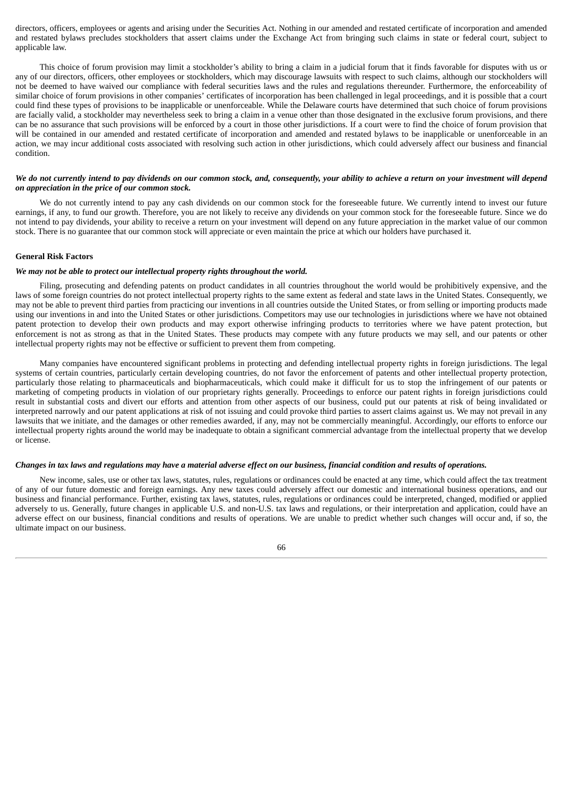directors, officers, employees or agents and arising under the Securities Act. Nothing in our amended and restated certificate of incorporation and amended and restated bylaws precludes stockholders that assert claims under the Exchange Act from bringing such claims in state or federal court, subject to applicable law.

This choice of forum provision may limit a stockholder's ability to bring a claim in a judicial forum that it finds favorable for disputes with us or any of our directors, officers, other employees or stockholders, which may discourage lawsuits with respect to such claims, although our stockholders will not be deemed to have waived our compliance with federal securities laws and the rules and regulations thereunder. Furthermore, the enforceability of similar choice of forum provisions in other companies' certificates of incorporation has been challenged in legal proceedings, and it is possible that a court could find these types of provisions to be inapplicable or unenforceable. While the Delaware courts have determined that such choice of forum provisions are facially valid, a stockholder may nevertheless seek to bring a claim in a venue other than those designated in the exclusive forum provisions, and there can be no assurance that such provisions will be enforced by a court in those other jurisdictions. If a court were to find the choice of forum provision that will be contained in our amended and restated certificate of incorporation and amended and restated bylaws to be inapplicable or unenforceable in an action, we may incur additional costs associated with resolving such action in other jurisdictions, which could adversely affect our business and financial condition.

#### We do not currently intend to pay dividends on our common stock, and, consequently, your ability to achieve a return on your investment will depend *on appreciation in the price of our common stock.*

We do not currently intend to pay any cash dividends on our common stock for the foreseeable future. We currently intend to invest our future earnings, if any, to fund our growth. Therefore, you are not likely to receive any dividends on your common stock for the foreseeable future. Since we do not intend to pay dividends, your ability to receive a return on your investment will depend on any future appreciation in the market value of our common stock. There is no guarantee that our common stock will appreciate or even maintain the price at which our holders have purchased it.

### **General Risk Factors**

#### *We may not be able to protect our intellectual property rights throughout the world.*

Filing, prosecuting and defending patents on product candidates in all countries throughout the world would be prohibitively expensive, and the laws of some foreign countries do not protect intellectual property rights to the same extent as federal and state laws in the United States. Consequently, we may not be able to prevent third parties from practicing our inventions in all countries outside the United States, or from selling or importing products made using our inventions in and into the United States or other jurisdictions. Competitors may use our technologies in jurisdictions where we have not obtained patent protection to develop their own products and may export otherwise infringing products to territories where we have patent protection, but enforcement is not as strong as that in the United States. These products may compete with any future products we may sell, and our patents or other intellectual property rights may not be effective or sufficient to prevent them from competing.

Many companies have encountered significant problems in protecting and defending intellectual property rights in foreign jurisdictions. The legal systems of certain countries, particularly certain developing countries, do not favor the enforcement of patents and other intellectual property protection, particularly those relating to pharmaceuticals and biopharmaceuticals, which could make it difficult for us to stop the infringement of our patents or marketing of competing products in violation of our proprietary rights generally. Proceedings to enforce our patent rights in foreign jurisdictions could result in substantial costs and divert our efforts and attention from other aspects of our business, could put our patents at risk of being invalidated or interpreted narrowly and our patent applications at risk of not issuing and could provoke third parties to assert claims against us. We may not prevail in any lawsuits that we initiate, and the damages or other remedies awarded, if any, may not be commercially meaningful. Accordingly, our efforts to enforce our intellectual property rights around the world may be inadequate to obtain a significant commercial advantage from the intellectual property that we develop or license.

#### Changes in tax laws and regulations may have a material adverse effect on our business, financial condition and results of operations.

New income, sales, use or other tax laws, statutes, rules, regulations or ordinances could be enacted at any time, which could affect the tax treatment of any of our future domestic and foreign earnings. Any new taxes could adversely affect our domestic and international business operations, and our business and financial performance. Further, existing tax laws, statutes, rules, regulations or ordinances could be interpreted, changed, modified or applied adversely to us. Generally, future changes in applicable U.S. and non-U.S. tax laws and regulations, or their interpretation and application, could have an adverse effect on our business, financial conditions and results of operations. We are unable to predict whether such changes will occur and, if so, the ultimate impact on our business.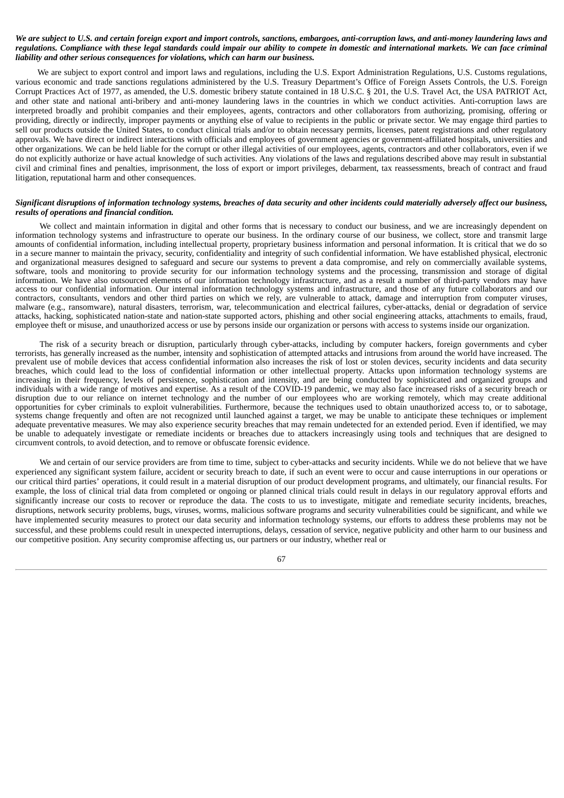### We are subject to U.S. and certain foreign export and import controls, sanctions, embargoes, anti-corruption laws, and anti-money laundering laws and regulations. Compliance with these legal standards could impair our ability to compete in domestic and international markets. We can face criminal *liability and other serious consequences for violations, which can harm our business.*

We are subject to export control and import laws and regulations, including the U.S. Export Administration Regulations, U.S. Customs regulations, various economic and trade sanctions regulations administered by the U.S. Treasury Department's Office of Foreign Assets Controls, the U.S. Foreign Corrupt Practices Act of 1977, as amended, the U.S. domestic bribery statute contained in 18 U.S.C. § 201, the U.S. Travel Act, the USA PATRIOT Act, and other state and national anti-bribery and anti-money laundering laws in the countries in which we conduct activities. Anti-corruption laws are interpreted broadly and prohibit companies and their employees, agents, contractors and other collaborators from authorizing, promising, offering or providing, directly or indirectly, improper payments or anything else of value to recipients in the public or private sector. We may engage third parties to sell our products outside the United States, to conduct clinical trials and/or to obtain necessary permits, licenses, patent registrations and other regulatory approvals. We have direct or indirect interactions with officials and employees of government agencies or government-affiliated hospitals, universities and other organizations. We can be held liable for the corrupt or other illegal activities of our employees, agents, contractors and other collaborators, even if we do not explicitly authorize or have actual knowledge of such activities. Any violations of the laws and regulations described above may result in substantial civil and criminal fines and penalties, imprisonment, the loss of export or import privileges, debarment, tax reassessments, breach of contract and fraud litigation, reputational harm and other consequences.

### Significant disruptions of information technology systems, breaches of data security and other incidents could materially adversely affect our business, *results of operations and financial condition.*

We collect and maintain information in digital and other forms that is necessary to conduct our business, and we are increasingly dependent on information technology systems and infrastructure to operate our business. In the ordinary course of our business, we collect, store and transmit large amounts of confidential information, including intellectual property, proprietary business information and personal information. It is critical that we do so in a secure manner to maintain the privacy, security, confidentiality and integrity of such confidential information. We have established physical, electronic and organizational measures designed to safeguard and secure our systems to prevent a data compromise, and rely on commercially available systems, software, tools and monitoring to provide security for our information technology systems and the processing, transmission and storage of digital information. We have also outsourced elements of our information technology infrastructure, and as a result a number of third-party vendors may have access to our confidential information. Our internal information technology systems and infrastructure, and those of any future collaborators and our contractors, consultants, vendors and other third parties on which we rely, are vulnerable to attack, damage and interruption from computer viruses, malware (e.g., ransomware), natural disasters, terrorism, war, telecommunication and electrical failures, cyber-attacks, denial or degradation of service attacks, hacking, sophisticated nation-state and nation-state supported actors, phishing and other social engineering attacks, attachments to emails, fraud, employee theft or misuse, and unauthorized access or use by persons inside our organization or persons with access to systems inside our organization.

The risk of a security breach or disruption, particularly through cyber-attacks, including by computer hackers, foreign governments and cyber terrorists, has generally increased as the number, intensity and sophistication of attempted attacks and intrusions from around the world have increased. The prevalent use of mobile devices that access confidential information also increases the risk of lost or stolen devices, security incidents and data security breaches, which could lead to the loss of confidential information or other intellectual property. Attacks upon information technology systems are increasing in their frequency, levels of persistence, sophistication and intensity, and are being conducted by sophisticated and organized groups and individuals with a wide range of motives and expertise. As a result of the COVID-19 pandemic, we may also face increased risks of a security breach or disruption due to our reliance on internet technology and the number of our employees who are working remotely, which may create additional opportunities for cyber criminals to exploit vulnerabilities. Furthermore, because the techniques used to obtain unauthorized access to, or to sabotage, systems change frequently and often are not recognized until launched against a target, we may be unable to anticipate these techniques or implement adequate preventative measures. We may also experience security breaches that may remain undetected for an extended period. Even if identified, we may be unable to adequately investigate or remediate incidents or breaches due to attackers increasingly using tools and techniques that are designed to circumvent controls, to avoid detection, and to remove or obfuscate forensic evidence.

We and certain of our service providers are from time to time, subject to cyber-attacks and security incidents. While we do not believe that we have experienced any significant system failure, accident or security breach to date, if such an event were to occur and cause interruptions in our operations or our critical third parties' operations, it could result in a material disruption of our product development programs, and ultimately, our financial results. For example, the loss of clinical trial data from completed or ongoing or planned clinical trials could result in delays in our regulatory approval efforts and significantly increase our costs to recover or reproduce the data. The costs to us to investigate, mitigate and remediate security incidents, breaches, disruptions, network security problems, bugs, viruses, worms, malicious software programs and security vulnerabilities could be significant, and while we have implemented security measures to protect our data security and information technology systems, our efforts to address these problems may not be successful, and these problems could result in unexpected interruptions, delays, cessation of service, negative publicity and other harm to our business and our competitive position. Any security compromise affecting us, our partners or our industry, whether real or

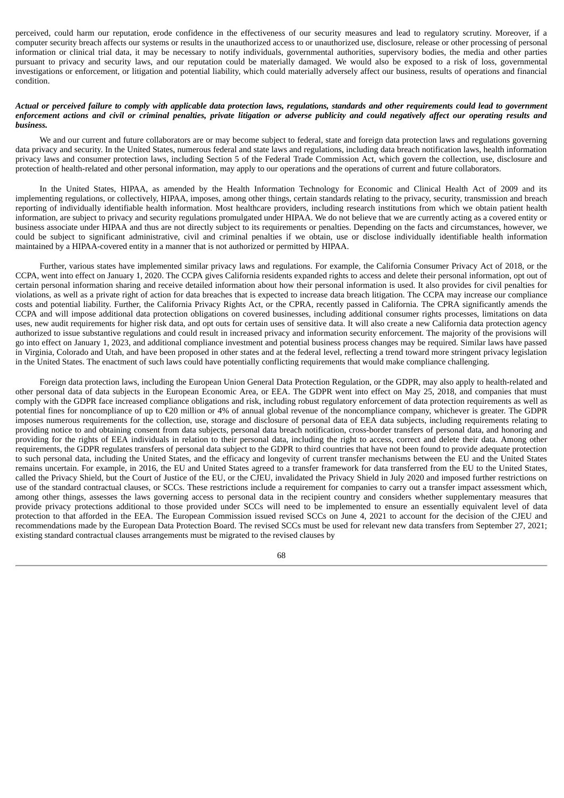perceived, could harm our reputation, erode confidence in the effectiveness of our security measures and lead to regulatory scrutiny. Moreover, if a computer security breach affects our systems or results in the unauthorized access to or unauthorized use, disclosure, release or other processing of personal information or clinical trial data, it may be necessary to notify individuals, governmental authorities, supervisory bodies, the media and other parties pursuant to privacy and security laws, and our reputation could be materially damaged. We would also be exposed to a risk of loss, governmental investigations or enforcement, or litigation and potential liability, which could materially adversely affect our business, results of operations and financial condition.

#### Actual or perceived failure to comply with applicable data protection laws, regulations, standards and other requirements could lead to government enforcement actions and civil or criminal penalties, private litigation or adverse publicity and could negatively affect our operating results and *business.*

We and our current and future collaborators are or may become subject to federal, state and foreign data protection laws and regulations governing data privacy and security. In the United States, numerous federal and state laws and regulations, including data breach notification laws, health information privacy laws and consumer protection laws, including Section 5 of the Federal Trade Commission Act, which govern the collection, use, disclosure and protection of health-related and other personal information, may apply to our operations and the operations of current and future collaborators.

In the United States, HIPAA, as amended by the Health Information Technology for Economic and Clinical Health Act of 2009 and its implementing regulations, or collectively, HIPAA, imposes, among other things, certain standards relating to the privacy, security, transmission and breach reporting of individually identifiable health information. Most healthcare providers, including research institutions from which we obtain patient health information, are subject to privacy and security regulations promulgated under HIPAA. We do not believe that we are currently acting as a covered entity or business associate under HIPAA and thus are not directly subject to its requirements or penalties. Depending on the facts and circumstances, however, we could be subject to significant administrative, civil and criminal penalties if we obtain, use or disclose individually identifiable health information maintained by a HIPAA-covered entity in a manner that is not authorized or permitted by HIPAA.

Further, various states have implemented similar privacy laws and regulations. For example, the California Consumer Privacy Act of 2018, or the CCPA, went into effect on January 1, 2020. The CCPA gives California residents expanded rights to access and delete their personal information, opt out of certain personal information sharing and receive detailed information about how their personal information is used. It also provides for civil penalties for violations, as well as a private right of action for data breaches that is expected to increase data breach litigation. The CCPA may increase our compliance costs and potential liability. Further, the California Privacy Rights Act, or the CPRA, recently passed in California. The CPRA significantly amends the CCPA and will impose additional data protection obligations on covered businesses, including additional consumer rights processes, limitations on data uses, new audit requirements for higher risk data, and opt outs for certain uses of sensitive data. It will also create a new California data protection agency authorized to issue substantive regulations and could result in increased privacy and information security enforcement. The majority of the provisions will go into effect on January 1, 2023, and additional compliance investment and potential business process changes may be required. Similar laws have passed in Virginia, Colorado and Utah, and have been proposed in other states and at the federal level, reflecting a trend toward more stringent privacy legislation in the United States. The enactment of such laws could have potentially conflicting requirements that would make compliance challenging.

Foreign data protection laws, including the European Union General Data Protection Regulation, or the GDPR, may also apply to health-related and other personal data of data subjects in the European Economic Area, or EEA. The GDPR went into effect on May 25, 2018, and companies that must comply with the GDPR face increased compliance obligations and risk, including robust regulatory enforcement of data protection requirements as well as potential fines for noncompliance of up to €20 million or 4% of annual global revenue of the noncompliance company, whichever is greater. The GDPR imposes numerous requirements for the collection, use, storage and disclosure of personal data of EEA data subjects, including requirements relating to providing notice to and obtaining consent from data subjects, personal data breach notification, cross-border transfers of personal data, and honoring and providing for the rights of EEA individuals in relation to their personal data, including the right to access, correct and delete their data. Among other requirements, the GDPR regulates transfers of personal data subject to the GDPR to third countries that have not been found to provide adequate protection to such personal data, including the United States, and the efficacy and longevity of current transfer mechanisms between the EU and the United States remains uncertain. For example, in 2016, the EU and United States agreed to a transfer framework for data transferred from the EU to the United States, called the Privacy Shield, but the Court of Justice of the EU, or the CJEU, invalidated the Privacy Shield in July 2020 and imposed further restrictions on use of the standard contractual clauses, or SCCs. These restrictions include a requirement for companies to carry out a transfer impact assessment which, among other things, assesses the laws governing access to personal data in the recipient country and considers whether supplementary measures that provide privacy protections additional to those provided under SCCs will need to be implemented to ensure an essentially equivalent level of data protection to that afforded in the EEA. The European Commission issued revised SCCs on June 4, 2021 to account for the decision of the CJEU and recommendations made by the European Data Protection Board. The revised SCCs must be used for relevant new data transfers from September 27, 2021; existing standard contractual clauses arrangements must be migrated to the revised clauses by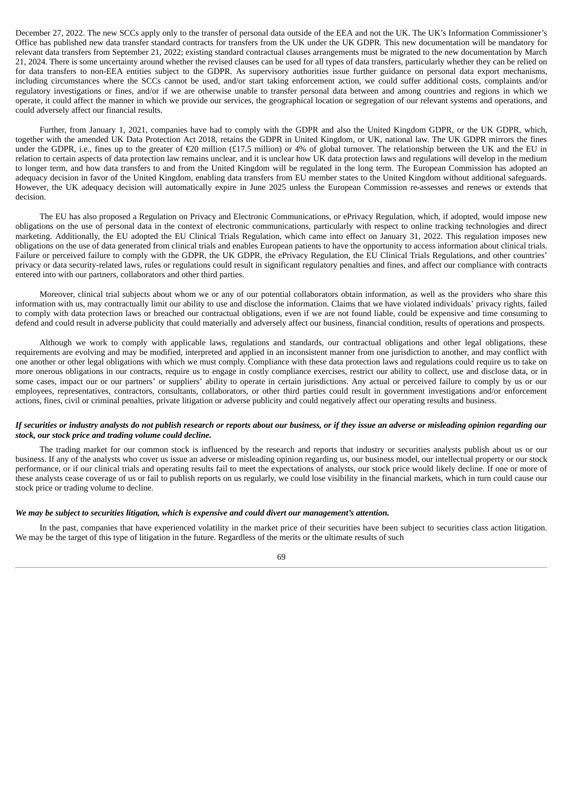December 27, 2022. The new SCCs apply only to the transfer of personal data outside of the EEA and not the UK. The UK's Information Commissioner's Office has published new data transfer standard contracts for transfers from the UK under the UK GDPR. This new documentation will be mandatory for relevant data transfers from September 21, 2022; existing standard contractual clauses arrangements must be migrated to the new documentation by March 21, 2024. There is some uncertainty around whether the revised clauses can be used for all types of data transfers, particularly whether they can be relied on for data transfers to non-EEA entities subject to the GDPR. As supervisory authorities issue further guidance on personal data export mechanisms, including circumstances where the SCCs cannot be used, and/or start taking enforcement action, we could suffer additional costs, complaints and/or regulatory investigations or fines, and/or if we are otherwise unable to transfer personal data between and among countries and regions in which we operate, it could affect the manner in which we provide our services, the geographical location or segregation of our relevant systems and operations, and could adversely affect our financial results.

Further, from January 1, 2021, companies have had to comply with the GDPR and also the United Kingdom GDPR, or the UK GDPR, which, together with the amended UK Data Protection Act 2018, retains the GDPR in United Kingdom, or UK, national law. The UK GDPR mirrors the fines under the GDPR, i.e., fines up to the greater of  $\epsilon$ 20 million (£17.5 million) or 4% of global turnover. The relationship between the UK and the EU in relation to certain aspects of data protection law remains unclear, and it is unclear how UK data protection laws and regulations will develop in the medium to longer term, and how data transfers to and from the United Kingdom will be regulated in the long term. The European Commission has adopted an adequacy decision in favor of the United Kingdom, enabling data transfers from EU member states to the United Kingdom without additional safeguards. However, the UK adequacy decision will automatically expire in June 2025 unless the European Commission re-assesses and renews or extends that decision.

The EU has also proposed a Regulation on Privacy and Electronic Communications, or ePrivacy Regulation, which, if adopted, would impose new obligations on the use of personal data in the context of electronic communications, particularly with respect to online tracking technologies and direct marketing. Additionally, the EU adopted the EU Clinical Trials Regulation, which came into effect on January 31, 2022. This regulation imposes new obligations on the use of data generated from clinical trials and enables European patients to have the opportunity to access information about clinical trials. Failure or perceived failure to comply with the GDPR, the UK GDPR, the ePrivacy Regulation, the EU Clinical Trials Regulations, and other countries' privacy or data security-related laws, rules or regulations could result in significant regulatory penalties and fines, and affect our compliance with contracts entered into with our partners, collaborators and other third parties.

Moreover, clinical trial subjects about whom we or any of our potential collaborators obtain information, as well as the providers who share this information with us, may contractually limit our ability to use and disclose the information. Claims that we have violated individuals' privacy rights, failed to comply with data protection laws or breached our contractual obligations, even if we are not found liable, could be expensive and time consuming to defend and could result in adverse publicity that could materially and adversely affect our business, financial condition, results of operations and prospects.

Although we work to comply with applicable laws, regulations and standards, our contractual obligations and other legal obligations, these requirements are evolving and may be modified, interpreted and applied in an inconsistent manner from one jurisdiction to another, and may conflict with one another or other legal obligations with which we must comply. Compliance with these data protection laws and regulations could require us to take on more onerous obligations in our contracts, require us to engage in costly compliance exercises, restrict our ability to collect, use and disclose data, or in some cases, impact our or our partners' or suppliers' ability to operate in certain jurisdictions. Any actual or perceived failure to comply by us or our employees, representatives, contractors, consultants, collaborators, or other third parties could result in government investigations and/or enforcement actions, fines, civil or criminal penalties, private litigation or adverse publicity and could negatively affect our operating results and business.

#### If securities or industry analysts do not publish research or reports about our business, or if they issue an adverse or misleading opinion regarding our *stock, our stock price and trading volume could decline.*

The trading market for our common stock is influenced by the research and reports that industry or securities analysts publish about us or our business. If any of the analysts who cover us issue an adverse or misleading opinion regarding us, our business model, our intellectual property or our stock performance, or if our clinical trials and operating results fail to meet the expectations of analysts, our stock price would likely decline. If one or more of these analysts cease coverage of us or fail to publish reports on us regularly, we could lose visibility in the financial markets, which in turn could cause our stock price or trading volume to decline.

### *We may be subject to securities litigation, which is expensive and could divert our management's attention.*

In the past, companies that have experienced volatility in the market price of their securities have been subject to securities class action litigation. We may be the target of this type of litigation in the future. Regardless of the merits or the ultimate results of such

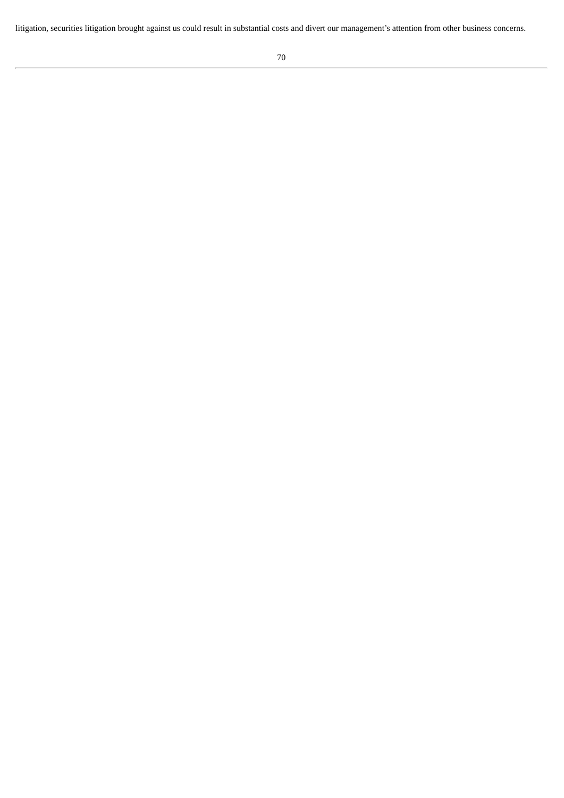litigation, securities litigation brought against us could result in substantial costs and divert our management's attention from other business concerns.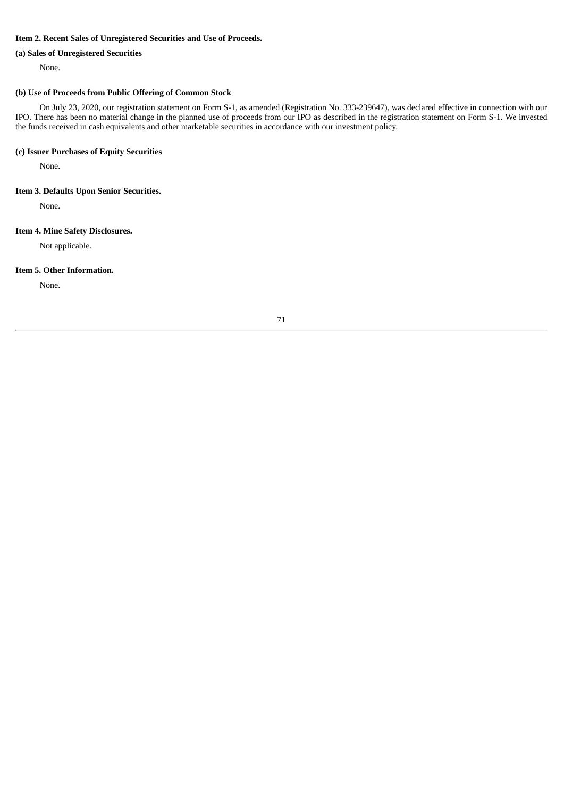# **Item 2. Recent Sales of Unregistered Securities and Use of Proceeds.**

# **(a) Sales of Unregistered Securities**

None.

# **(b) Use of Proceeds from Public Offering of Common Stock**

On July 23, 2020, our registration statement on Form S-1, as amended (Registration No. 333-239647), was declared effective in connection with our IPO. There has been no material change in the planned use of proceeds from our IPO as described in the registration statement on Form S-1. We invested the funds received in cash equivalents and other marketable securities in accordance with our investment policy.

# **(c) Issuer Purchases of Equity Securities**

None.

# **Item 3. Defaults Upon Senior Securities.**

None.

# **Item 4. Mine Safety Disclosures.**

Not applicable.

#### **Item 5. Other Information.**

None.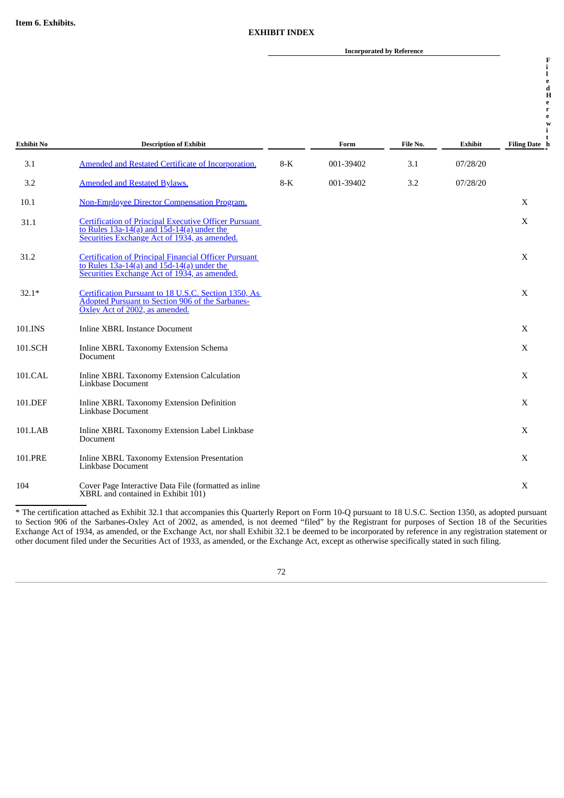# **EXHIBIT INDEX**

**Incorporated by Reference**

| <b>Exhibit No</b> | <b>Description of Exhibit</b>                                                                                                                                  |       | Form      | File No. | Exhibit  | <b>Filing Date</b> |
|-------------------|----------------------------------------------------------------------------------------------------------------------------------------------------------------|-------|-----------|----------|----------|--------------------|
| 3.1               | Amended and Restated Certificate of Incorporation.                                                                                                             | $8-K$ | 001-39402 | 3.1      | 07/28/20 |                    |
| 3.2               | <b>Amended and Restated Bylaws.</b>                                                                                                                            | $8-K$ | 001-39402 | 3.2      | 07/28/20 |                    |
| 10.1              | <b>Non-Employee Director Compensation Program.</b>                                                                                                             |       |           |          |          | X                  |
| 31.1              | <b>Certification of Principal Executive Officer Pursuant</b><br>to Rules $13a-14(a)$ and $15d-14(a)$ under the<br>Securities Exchange Act of 1934, as amended. |       |           |          |          | X                  |
| 31.2              | <b>Certification of Principal Financial Officer Pursuant</b><br>to Rules 13a-14(a) and 15d-14(a) under the<br>Securities Exchange Act of 1934, as amended.     |       |           |          |          | X                  |
| $32.1*$           | Certification Pursuant to 18 U.S.C. Section 1350, As<br>Adopted Pursuant to Section 906 of the Sarbanes-<br>Oxley Act of 2002, as amended.                     |       |           |          |          | X                  |
| 101.INS           | <b>Inline XBRL Instance Document</b>                                                                                                                           |       |           |          |          | $\boldsymbol{X}$   |
| 101.SCH           | Inline XBRL Taxonomy Extension Schema<br>Document                                                                                                              |       |           |          |          | X                  |
| 101.CAL           | Inline XBRL Taxonomy Extension Calculation<br>Linkbase Document                                                                                                |       |           |          |          | X                  |
| 101.DEF           | Inline XBRL Taxonomy Extension Definition<br>Linkbase Document                                                                                                 |       |           |          |          | X                  |
| 101.LAB           | Inline XBRL Taxonomy Extension Label Linkbase<br>Document                                                                                                      |       |           |          |          | X                  |
| 101.PRE           | Inline XBRL Taxonomy Extension Presentation<br><b>Linkbase Document</b>                                                                                        |       |           |          |          | X                  |
| 104               | Cover Page Interactive Data File (formatted as inline<br>XBRL and contained in Exhibit 101)                                                                    |       |           |          |          | X                  |

\* The certification attached as Exhibit 32.1 that accompanies this Quarterly Report on Form 10-Q pursuant to 18 U.S.C. Section 1350, as adopted pursuant to Section 906 of the Sarbanes-Oxley Act of 2002, as amended, is not deemed "filed" by the Registrant for purposes of Section 18 of the Securities Exchange Act of 1934, as amended, or the Exchange Act, nor shall Exhibit 32.1 be deemed to be incorporated by reference in any registration statement or other document filed under the Securities Act of 1933, as amended, or the Exchange Act, except as otherwise specifically stated in such filing.

72

**F i l e d H e r e w i t h**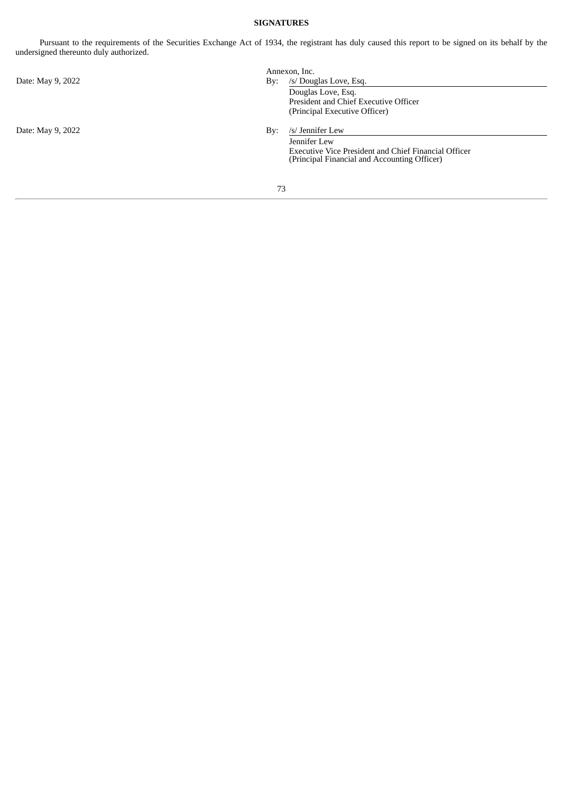# **SIGNATURES**

Pursuant to the requirements of the Securities Exchange Act of 1934, the registrant has duly caused this report to be signed on its behalf by the undersigned thereunto duly authorized.

| Date: May 9, 2022 | Annexon, Inc.<br>/s/ Douglas Love, Esq.<br>By:<br>Douglas Love, Esq.<br>President and Chief Executive Officer                                          |  |
|-------------------|--------------------------------------------------------------------------------------------------------------------------------------------------------|--|
|                   | (Principal Executive Officer)                                                                                                                          |  |
| Date: May 9, 2022 | /s/ Jennifer Lew<br>By:<br>Jennifer Lew<br><b>Executive Vice President and Chief Financial Officer</b><br>(Principal Financial and Accounting Officer) |  |
| 73                |                                                                                                                                                        |  |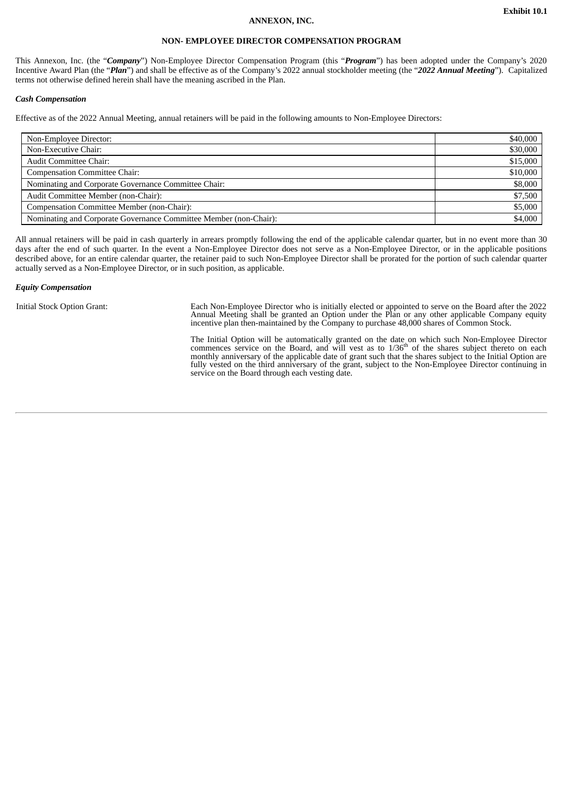## **ANNEXON, INC.**

#### **NON- EMPLOYEE DIRECTOR COMPENSATION PROGRAM**

This Annexon, Inc. (the "*Company*") Non-Employee Director Compensation Program (this "*Program*") has been adopted under the Company's 2020 Incentive Award Plan (the "*Plan*") and shall be effective as of the Company's 2022 annual stockholder meeting (the "*2022 Annual Meeting*"). Capitalized terms not otherwise defined herein shall have the meaning ascribed in the Plan.

### *Cash Compensation*

Effective as of the 2022 Annual Meeting, annual retainers will be paid in the following amounts to Non-Employee Directors:

| Non-Employee Director:                                            | \$40,000 |
|-------------------------------------------------------------------|----------|
| Non-Executive Chair:                                              | \$30,000 |
| <b>Audit Committee Chair:</b>                                     | \$15,000 |
| <b>Compensation Committee Chair:</b>                              | \$10,000 |
| Nominating and Corporate Governance Committee Chair:              | \$8,000  |
| Audit Committee Member (non-Chair):                               | \$7,500  |
| Compensation Committee Member (non-Chair):                        | \$5,000  |
| Nominating and Corporate Governance Committee Member (non-Chair): | \$4,000  |

All annual retainers will be paid in cash quarterly in arrears promptly following the end of the applicable calendar quarter, but in no event more than 30 days after the end of such quarter. In the event a Non-Employee Director does not serve as a Non-Employee Director, or in the applicable positions described above, for an entire calendar quarter, the retainer paid to such Non-Employee Director shall be prorated for the portion of such calendar quarter actually served as a Non-Employee Director, or in such position, as applicable.

### *Equity Compensation*

Initial Stock Option Grant: Each Non-Employee Director who is initially elected or appointed to serve on the Board after the 2022 Annual Meeting shall be granted an Option under the Plan or any other applicable Company equity incentive plan then-maintained by the Company to purchase 48,000 shares of Common Stock.

> The Initial Option will be automatically granted on the date on which such Non-Employee Director commences service on the Board, and will vest as to 1/36<sup>th</sup> of the shares subject thereto on each monthly anniversary of the applicable date of grant such that the shares subject to the Initial Option are fully vested on the third anniversary of the grant, subject to the Non-Employee Director continuing in service on the Board through each vesting date.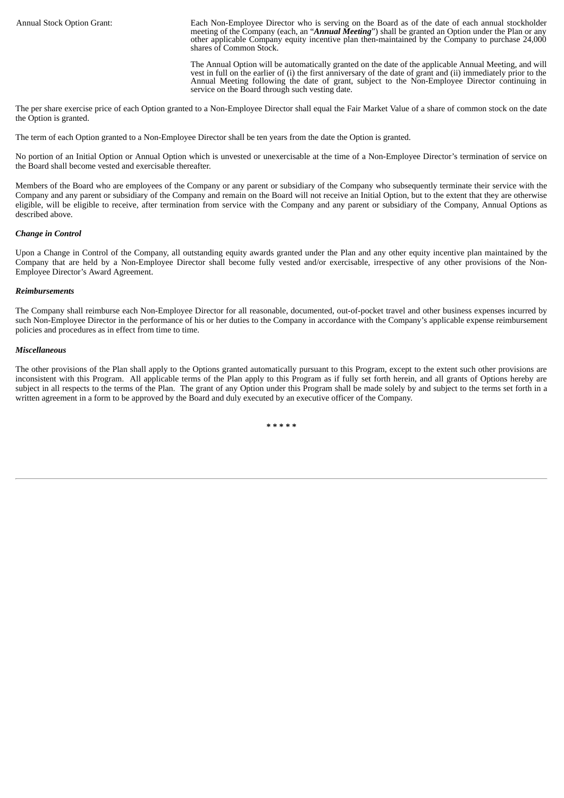Annual Stock Option Grant: Each Non-Employee Director who is serving on the Board as of the date of each annual stockholder meeting of the Company (each, an "*Annual Meeting*") shall be granted an Option under the Plan or any other applicable Company equity incentive plan then-maintained by the Company to purchase 24,000 shares of Common Stock.

> The Annual Option will be automatically granted on the date of the applicable Annual Meeting, and will vest in full on the earlier of (i) the first anniversary of the date of grant and (ii) immediately prior to the Annual Meeting following the date of grant, subject to the Non-Employee Director continuing in service on the Board through such vesting date.

The per share exercise price of each Option granted to a Non-Employee Director shall equal the Fair Market Value of a share of common stock on the date the Option is granted.

The term of each Option granted to a Non-Employee Director shall be ten years from the date the Option is granted.

No portion of an Initial Option or Annual Option which is unvested or unexercisable at the time of a Non-Employee Director's termination of service on the Board shall become vested and exercisable thereafter.

Members of the Board who are employees of the Company or any parent or subsidiary of the Company who subsequently terminate their service with the Company and any parent or subsidiary of the Company and remain on the Board will not receive an Initial Option, but to the extent that they are otherwise eligible, will be eligible to receive, after termination from service with the Company and any parent or subsidiary of the Company, Annual Options as described above.

## *Change in Control*

Upon a Change in Control of the Company, all outstanding equity awards granted under the Plan and any other equity incentive plan maintained by the Company that are held by a Non-Employee Director shall become fully vested and/or exercisable, irrespective of any other provisions of the Non-Employee Director's Award Agreement.

#### *Reimbursements*

The Company shall reimburse each Non-Employee Director for all reasonable, documented, out-of-pocket travel and other business expenses incurred by such Non-Employee Director in the performance of his or her duties to the Company in accordance with the Company's applicable expense reimbursement policies and procedures as in effect from time to time.

### *Miscellaneous*

The other provisions of the Plan shall apply to the Options granted automatically pursuant to this Program, except to the extent such other provisions are inconsistent with this Program. All applicable terms of the Plan apply to this Program as if fully set forth herein, and all grants of Options hereby are subject in all respects to the terms of the Plan. The grant of any Option under this Program shall be made solely by and subject to the terms set forth in a written agreement in a form to be approved by the Board and duly executed by an executive officer of the Company.

**\* \* \* \* \***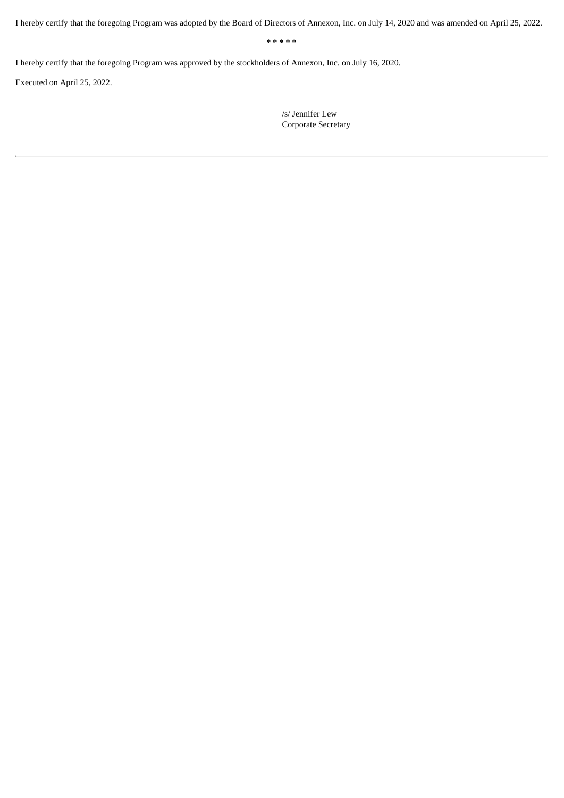I hereby certify that the foregoing Program was adopted by the Board of Directors of Annexon, Inc. on July 14, 2020 and was amended on April 25, 2022.

**\* \* \* \* \***

I hereby certify that the foregoing Program was approved by the stockholders of Annexon, Inc. on July 16, 2020.

Executed on April 25, 2022.

/s/ Jennifer Lew

Corporate Secretary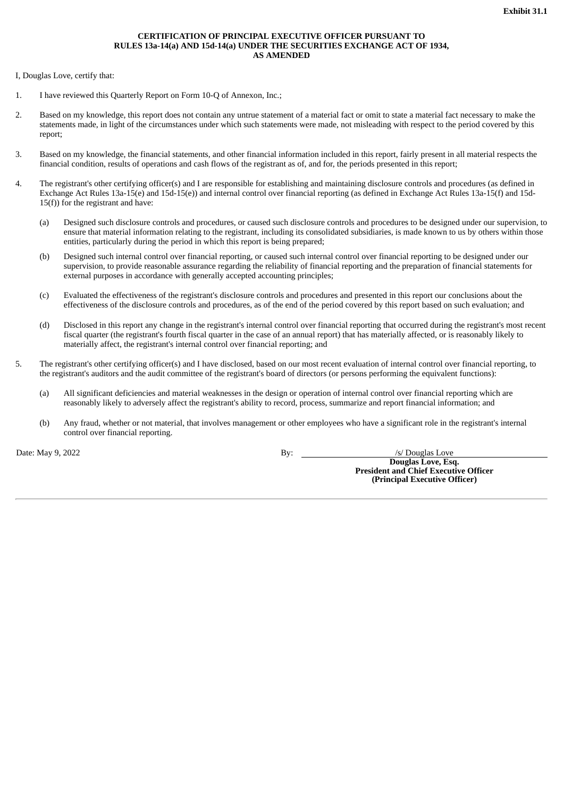## **CERTIFICATION OF PRINCIPAL EXECUTIVE OFFICER PURSUANT TO RULES 13a-14(a) AND 15d-14(a) UNDER THE SECURITIES EXCHANGE ACT OF 1934, AS AMENDED**

I, Douglas Love, certify that:

- 1. I have reviewed this Quarterly Report on Form 10-Q of Annexon, Inc.;
- 2. Based on my knowledge, this report does not contain any untrue statement of a material fact or omit to state a material fact necessary to make the statements made, in light of the circumstances under which such statements were made, not misleading with respect to the period covered by this report;
- 3. Based on my knowledge, the financial statements, and other financial information included in this report, fairly present in all material respects the financial condition, results of operations and cash flows of the registrant as of, and for, the periods presented in this report;
- 4. The registrant's other certifying officer(s) and I are responsible for establishing and maintaining disclosure controls and procedures (as defined in Exchange Act Rules 13a-15(e) and 15d-15(e)) and internal control over financial reporting (as defined in Exchange Act Rules 13a-15(f) and 15d-15(f)) for the registrant and have:
	- (a) Designed such disclosure controls and procedures, or caused such disclosure controls and procedures to be designed under our supervision, to ensure that material information relating to the registrant, including its consolidated subsidiaries, is made known to us by others within those entities, particularly during the period in which this report is being prepared;
	- (b) Designed such internal control over financial reporting, or caused such internal control over financial reporting to be designed under our supervision, to provide reasonable assurance regarding the reliability of financial reporting and the preparation of financial statements for external purposes in accordance with generally accepted accounting principles;
	- (c) Evaluated the effectiveness of the registrant's disclosure controls and procedures and presented in this report our conclusions about the effectiveness of the disclosure controls and procedures, as of the end of the period covered by this report based on such evaluation; and
	- (d) Disclosed in this report any change in the registrant's internal control over financial reporting that occurred during the registrant's most recent fiscal quarter (the registrant's fourth fiscal quarter in the case of an annual report) that has materially affected, or is reasonably likely to materially affect, the registrant's internal control over financial reporting; and
- 5. The registrant's other certifying officer(s) and I have disclosed, based on our most recent evaluation of internal control over financial reporting, to the registrant's auditors and the audit committee of the registrant's board of directors (or persons performing the equivalent functions):
	- (a) All significant deficiencies and material weaknesses in the design or operation of internal control over financial reporting which are reasonably likely to adversely affect the registrant's ability to record, process, summarize and report financial information; and
	- (b) Any fraud, whether or not material, that involves management or other employees who have a significant role in the registrant's internal control over financial reporting.

Date: May 9, 2022 **By:** /s/ Douglas Love **Douglas Love, Esq. President and Chief Executive Officer (Principal Executive Officer)**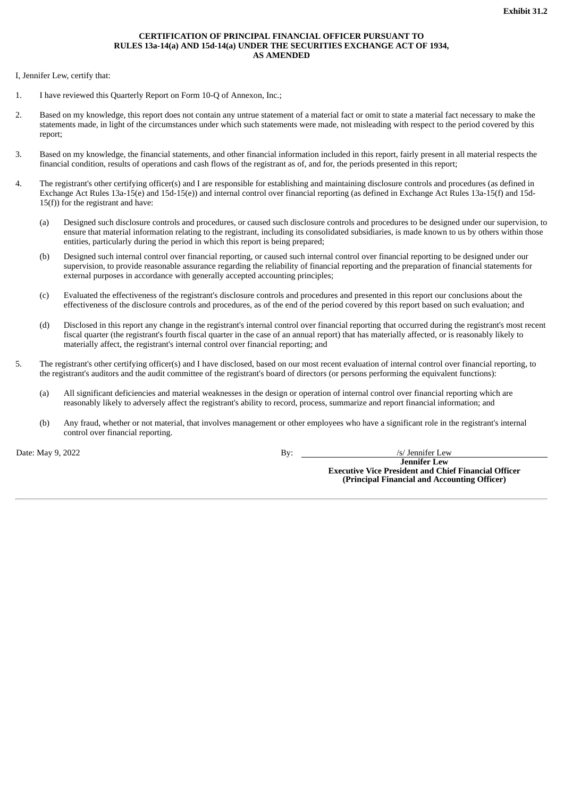## **CERTIFICATION OF PRINCIPAL FINANCIAL OFFICER PURSUANT TO RULES 13a-14(a) AND 15d-14(a) UNDER THE SECURITIES EXCHANGE ACT OF 1934, AS AMENDED**

I, Jennifer Lew, certify that:

- 1. I have reviewed this Quarterly Report on Form 10-Q of Annexon, Inc.;
- 2. Based on my knowledge, this report does not contain any untrue statement of a material fact or omit to state a material fact necessary to make the statements made, in light of the circumstances under which such statements were made, not misleading with respect to the period covered by this report;
- 3. Based on my knowledge, the financial statements, and other financial information included in this report, fairly present in all material respects the financial condition, results of operations and cash flows of the registrant as of, and for, the periods presented in this report;
- 4. The registrant's other certifying officer(s) and I are responsible for establishing and maintaining disclosure controls and procedures (as defined in Exchange Act Rules 13a-15(e) and 15d-15(e)) and internal control over financial reporting (as defined in Exchange Act Rules 13a-15(f) and 15d-15(f)) for the registrant and have:
	- (a) Designed such disclosure controls and procedures, or caused such disclosure controls and procedures to be designed under our supervision, to ensure that material information relating to the registrant, including its consolidated subsidiaries, is made known to us by others within those entities, particularly during the period in which this report is being prepared;
	- (b) Designed such internal control over financial reporting, or caused such internal control over financial reporting to be designed under our supervision, to provide reasonable assurance regarding the reliability of financial reporting and the preparation of financial statements for external purposes in accordance with generally accepted accounting principles;
	- (c) Evaluated the effectiveness of the registrant's disclosure controls and procedures and presented in this report our conclusions about the effectiveness of the disclosure controls and procedures, as of the end of the period covered by this report based on such evaluation; and
	- (d) Disclosed in this report any change in the registrant's internal control over financial reporting that occurred during the registrant's most recent fiscal quarter (the registrant's fourth fiscal quarter in the case of an annual report) that has materially affected, or is reasonably likely to materially affect, the registrant's internal control over financial reporting; and
- 5. The registrant's other certifying officer(s) and I have disclosed, based on our most recent evaluation of internal control over financial reporting, to the registrant's auditors and the audit committee of the registrant's board of directors (or persons performing the equivalent functions):
	- (a) All significant deficiencies and material weaknesses in the design or operation of internal control over financial reporting which are reasonably likely to adversely affect the registrant's ability to record, process, summarize and report financial information; and
	- (b) Any fraud, whether or not material, that involves management or other employees who have a significant role in the registrant's internal control over financial reporting.

Date: May 9, 2022 **By:** /s/ Jennifer Lew **Jennifer Lew Executive Vice President and Chief Financial Officer (Principal Financial and Accounting Officer)**